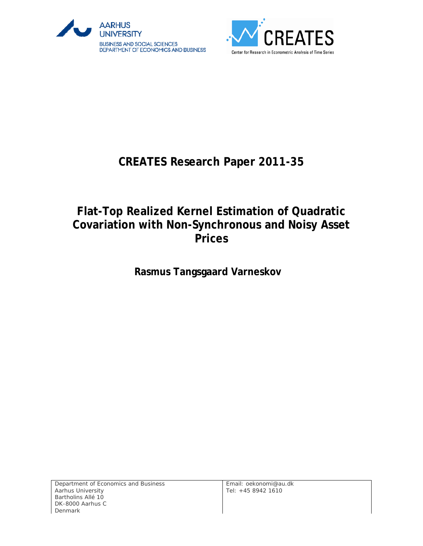



# **CREATES Research Paper 2011-35**

# **Flat-Top Realized Kernel Estimation of Quadratic Covariation with Non-Synchronous and Noisy Asset Prices**

**Rasmus Tangsgaard Varneskov**

Department of Economics and Business Aarhus University Bartholins Allé 10 DK-8000 Aarhus C Denmark

Email: oekonomi@au.dk Tel: +45 8942 1610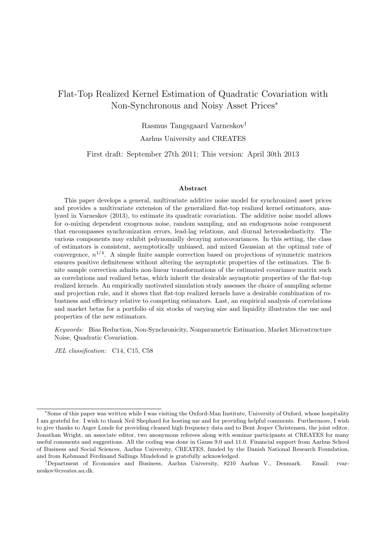## Flat-Top Realized Kernel Estimation of Quadratic Covariation with Non-Synchronous and Noisy Asset Prices<sup>∗</sup>

Rasmus Tangsgaard Varneskov† Aarhus University and CREATES

First draft: September 27th 2011; This version: April 30th 2013

#### Abstract

This paper develops a general, multivariate additive noise model for synchronized asset prices and provides a multivariate extension of the generalized flat-top realized kernel estimators, analyzed in Varneskov (2013), to estimate its quadratic covariation. The additive noise model allows for α-mixing dependent exogenous noise, random sampling, and an endogenous noise component that encompasses synchronization errors, lead-lag relations, and diurnal heteroskedasticity. The various components may exhibit polynomially decaying autocovariances. In this setting, the class of estimators is consistent, asymptotically unbiased, and mixed Gaussian at the optimal rate of convergence,  $n^{1/4}$ . A simple finite sample correction based on projections of symmetric matrices ensures positive definiteness without altering the asymptotic properties of the estimators. The finite sample correction admits non-linear transformations of the estimated covariance matrix such as correlations and realized betas, which inherit the desirable asymptotic properties of the flat-top realized kernels. An empirically motivated simulation study assesses the choice of sampling scheme and projection rule, and it shows that flat-top realized kernels have a desirable combination of robustness and efficiency relative to competing estimators. Last, an empirical analysis of correlations and market betas for a portfolio of six stocks of varying size and liquidity illustrates the use and properties of the new estimators.

Keywords: Bias Reduction, Non-Synchronicity, Nonparametric Estimation, Market Microstructure Noise, Quadratic Covariation.

JEL classification: C14, C15, C58

<sup>∗</sup>Some of this paper was written while I was visiting the Oxford-Man Institute, University of Oxford, whose hospitality I am grateful for. I wish to thank Neil Shephard for hosting me and for providing helpful comments. Furthermore, I wish to give thanks to Asger Lunde for providing cleaned high frequency data and to Bent Jesper Christensen, the joint editor, Jonathan Wright, an associate editor, two anonymous referees along with seminar participants at CREATES for many useful comments and suggestions. All the coding was done in Gauss 9.0 and 11.0. Financial support from Aarhus School of Business and Social Sciences, Aarhus University, CREATES, funded by the Danish National Research Foundation, and from Købmand Ferdinand Sallings Mindefond is gratefully acknowledged.

<sup>†</sup>Department of Economics and Business, Aarhus University, 8210 Aarhus V., Denmark. Email: rvarneskov@creates.au.dk.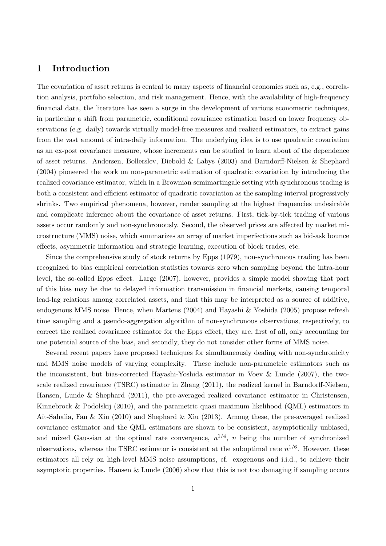## 1 Introduction

The covariation of asset returns is central to many aspects of financial economics such as, e.g., correlation analysis, portfolio selection, and risk management. Hence, with the availability of high-frequency financial data, the literature has seen a surge in the development of various econometric techniques, in particular a shift from parametric, conditional covariance estimation based on lower frequency observations (e.g. daily) towards virtually model-free measures and realized estimators, to extract gains from the vast amount of intra-daily information. The underlying idea is to use quadratic covariation as an ex-post covariance measure, whose increments can be studied to learn about of the dependence of asset returns. Andersen, Bollerslev, Diebold & Labys (2003) and Barndorff-Nielsen & Shephard (2004) pioneered the work on non-parametric estimation of quadratic covariation by introducing the realized covariance estimator, which in a Brownian semimartingale setting with synchronous trading is both a consistent and efficient estimator of quadratic covariation as the sampling interval progressively shrinks. Two empirical phenomena, however, render sampling at the highest frequencies undesirable and complicate inference about the covariance of asset returns. First, tick-by-tick trading of various assets occur randomly and non-synchronously. Second, the observed prices are affected by market microstructure (MMS) noise, which summarizes an array of market imperfections such as bid-ask bounce effects, asymmetric information and strategic learning, execution of block trades, etc.

Since the comprehensive study of stock returns by Epps (1979), non-synchronous trading has been recognized to bias empirical correlation statistics towards zero when sampling beyond the intra-hour level, the so-called Epps effect. Large (2007), however, provides a simple model showing that part of this bias may be due to delayed information transmission in financial markets, causing temporal lead-lag relations among correlated assets, and that this may be interpreted as a source of additive, endogenous MMS noise. Hence, when Martens (2004) and Hayashi & Yoshida (2005) propose refresh time sampling and a pseudo-aggregation algorithm of non-synchronous observations, respectively, to correct the realized covariance estimator for the Epps effect, they are, first of all, only accounting for one potential source of the bias, and secondly, they do not consider other forms of MMS noise.

Several recent papers have proposed techniques for simultaneously dealing with non-synchronicity and MMS noise models of varying complexity. These include non-parametric estimators such as the inconsistent, but bias-corrected Hayashi-Yoshida estimator in Voev & Lunde (2007), the twoscale realized covariance (TSRC) estimator in Zhang (2011), the realized kernel in Barndorff-Nielsen, Hansen, Lunde & Shephard (2011), the pre-averaged realized covariance estimator in Christensen, Kinnebrock & Podolskij (2010), and the parametric quasi maximum likelihood (QML) estimators in Aït-Sahalia, Fan & Xiu (2010) and Shephard & Xiu (2013). Among these, the pre-averaged realized covariance estimator and the QML estimators are shown to be consistent, asymptotically unbiased, and mixed Gaussian at the optimal rate convergence,  $n^{1/4}$ , n being the number of synchronized observations, whereas the TSRC estimator is consistent at the suboptimal rate  $n^{1/6}$ . However, these estimators all rely on high-level MMS noise assumptions, cf. exogenous and i.i.d., to achieve their asymptotic properties. Hansen & Lunde (2006) show that this is not too damaging if sampling occurs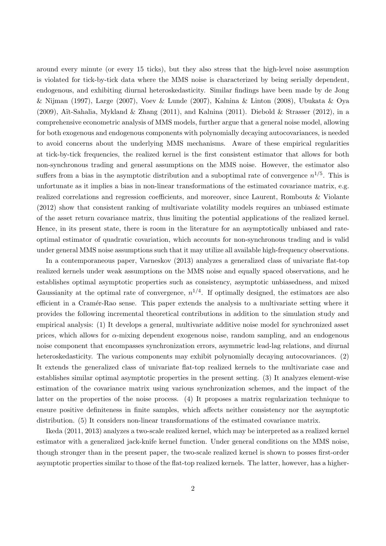around every minute (or every 15 ticks), but they also stress that the high-level noise assumption is violated for tick-by-tick data where the MMS noise is characterized by being serially dependent, endogenous, and exhibiting diurnal heteroskedasticity. Similar findings have been made by de Jong & Nijman (1997), Large (2007), Voev & Lunde (2007), Kalnina & Linton (2008), Ubukata & Oya (2009), Aït-Sahalia, Mykland & Zhang (2011), and Kalnina (2011). Diebold & Strasser (2012), in a comprehensive econometric analysis of MMS models, further argue that a general noise model, allowing for both exogenous and endogenous components with polynomially decaying autocovariances, is needed to avoid concerns about the underlying MMS mechanisms. Aware of these empirical regularities at tick-by-tick frequencies, the realized kernel is the first consistent estimator that allows for both non-synchronous trading and general assumptions on the MMS noise. However, the estimator also suffers from a bias in the asymptotic distribution and a suboptimal rate of convergence  $n^{1/5}$ . This is unfortunate as it implies a bias in non-linear transformations of the estimated covariance matrix, e.g. realized correlations and regression coefficients, and moreover, since Laurent, Rombouts & Violante (2012) show that consistent ranking of multivariate volatility models requires an unbiased estimate of the asset return covariance matrix, thus limiting the potential applications of the realized kernel. Hence, in its present state, there is room in the literature for an asymptotically unbiased and rateoptimal estimator of quadratic covariation, which accounts for non-synchronous trading and is valid under general MMS noise assumptions such that it may utilize all available high-frequency observations.

In a contemporaneous paper, Varneskov (2013) analyzes a generalized class of univariate flat-top realized kernels under weak assumptions on the MMS noise and equally spaced observations, and he establishes optimal asymptotic properties such as consistency, asymptotic unbiasedness, and mixed Gaussianity at the optimal rate of convergence,  $n^{1/4}$ . If optimally designed, the estimators are also efficient in a Cram´er-Rao sense. This paper extends the analysis to a multivariate setting where it provides the following incremental theoretical contributions in addition to the simulation study and empirical analysis: (1) It develops a general, multivariate additive noise model for synchronized asset prices, which allows for  $\alpha$ -mixing dependent exogenous noise, random sampling, and an endogenous noise component that encompasses synchronization errors, asymmetric lead-lag relations, and diurnal heteroskedasticity. The various components may exhibit polynomially decaying autocovariances. (2) It extends the generalized class of univariate flat-top realized kernels to the multivariate case and establishes similar optimal asymptotic properties in the present setting. (3) It analyzes element-wise estimation of the covariance matrix using various synchronization schemes, and the impact of the latter on the properties of the noise process. (4) It proposes a matrix regularization technique to ensure positive definiteness in finite samples, which affects neither consistency nor the asymptotic distribution. (5) It considers non-linear transformations of the estimated covariance matrix.

Ikeda (2011, 2013) analyzes a two-scale realized kernel, which may be interpreted as a realized kernel estimator with a generalized jack-knife kernel function. Under general conditions on the MMS noise, though stronger than in the present paper, the two-scale realized kernel is shown to posses first-order asymptotic properties similar to those of the flat-top realized kernels. The latter, however, has a higher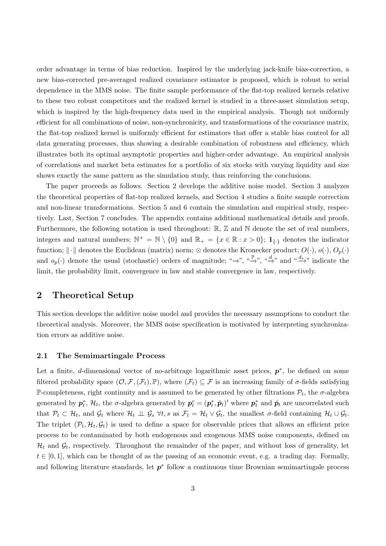order advantage in terms of bias reduction. Inspired by the underlying jack-knife bias-correction, a new bias-corrected pre-averaged realized covariance estimator is proposed, which is robust to serial dependence in the MMS noise. The finite sample performance of the flat-top realized kernels relative to these two robust competitors and the realized kernel is studied in a three-asset simulation setup, which is inspired by the high-frequency data used in the empirical analysis. Though not uniformly efficient for all combinations of noise, non-synchronicity, and transformations of the covariance matrix, the flat-top realized kernel is uniformly efficient for estimators that offer a stable bias control for all data generating processes, thus showing a desirable combination of robustness and efficiency, which illustrates both its optimal asymptotic properties and higher-order advantage. An empirical analysis of correlations and market beta estimates for a portfolio of six stocks with varying liquidity and size shows exactly the same pattern as the simulation study, thus reinforcing the conclusions.

The paper proceeds as follows. Section 2 develops the additive noise model. Section 3 analyzes the theoretical properties of flat-top realized kernels, and Section 4 studies a finite sample correction and non-linear transformations. Section 5 and 6 contain the simulation and empirical study, respectively. Last, Section 7 concludes. The appendix contains additional mathematical details and proofs. Furthermore, the following notation is used throughout:  $\mathbb{R}, \mathbb{Z}$  and  $\mathbb{N}$  denote the set of real numbers, integers and natural numbers;  $\mathbb{N}^+ = \mathbb{N} \setminus \{0\}$  and  $\mathbb{R}_+ = \{x \in \mathbb{R} : x > 0\}$ ;  $\mathbf{1}_{\{\cdot\}}$  denotes the indicator function;  $\|\cdot\|$  denotes the Euclidean (matrix) norm; ⊗ denotes the Kronecker product;  $O(\cdot)$ ,  $o(\cdot)$ ,  $O_p(\cdot)$ and  $o_p(\cdot)$  denote the usual (stochastic) orders of magnitude; "→", " $\stackrel{\text{def}}{\rightarrow}$ ", " $\stackrel{d_s}{\rightarrow}$ " and " $\stackrel{d_s}{\rightarrow}$ " indicate the limit, the probability limit, convergence in law and stable convergence in law, respectively.

## 2 Theoretical Setup

This section develops the additive noise model and provides the necessary assumptions to conduct the theoretical analysis. Moreover, the MMS noise specification is motivated by interpreting synchronization errors as additive noise.

### 2.1 The Semimartingale Process

Let a finite, d-dimensional vector of no-arbitrage logarithmic asset prices,  $p^*$ , be defined on some filtered probability space  $(\mathcal{O}, \mathcal{F}, (\mathcal{F}_t), \mathbb{P})$ , where  $(\mathcal{F}_t) \subseteq \mathcal{F}$  is an increasing family of  $\sigma$ -fields satisfying P-completeness, right continuity and is assumed to be generated by other filtrations  $\mathcal{P}_t$ , the  $\sigma$ -algebra generated by  $p_t^*, \mathcal{H}_t$ , the  $\sigma$ -algebra generated by  $p_t^c = (p_t^*, \check{p}_t)'$  where  $p_t^*$  and  $\check{p}_t$  are uncorrelated such that  $\mathcal{P}_t \subset \mathcal{H}_t$ , and  $\mathcal{G}_t$  where  $\mathcal{H}_t \perp \!\!\! \perp \mathcal{G}_s \ \forall t, s$  as  $\mathcal{F}_t = \mathcal{H}_t \vee \mathcal{G}_t$ , the smallest  $\sigma$ -field containing  $\mathcal{H}_t \cup \mathcal{G}_t$ . The triplet  $(\mathcal{P}_t, \mathcal{H}_t, \mathcal{G}_t)$  is used to define a space for observable prices that allows an efficient price process to be contaminated by both endogenous and exogenous MMS noise components, defined on  $\mathcal{H}_t$  and  $\mathcal{G}_t$ , respectively. Throughout the remainder of the paper, and without loss of generality, let  $t \in [0,1]$ , which can be thought of as the passing of an economic event, e.g. a trading day. Formally, and following literature standards, let  $p^*$  follow a continuous time Brownian semimartingale process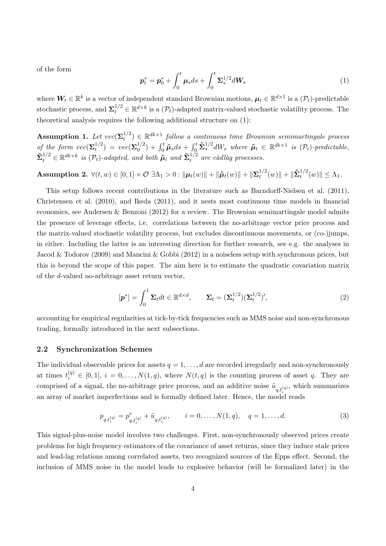of the form

$$
\boldsymbol{p}_t^* = \boldsymbol{p}_0^* + \int_0^t \boldsymbol{\mu}_s ds + \int_0^t \boldsymbol{\Sigma}_s^{1/2} d\boldsymbol{W}_s \tag{1}
$$

where  $W_t \in \mathbb{R}^k$  is a vector of independent standard Brownian motions,  $\mu_t \in \mathbb{R}^{d \times 1}$  is a  $(\mathcal{P}_t)$ -predictable stochastic process, and  $\Sigma_t^{1/2} \in \mathbb{R}^{d \times k}$  is a  $(\mathcal{P}_t)$ -adapted matrix-valued stochastic volatility process. The theoretical analysis requires the following additional structure on (1):

Assumption 1. Let  $vec(\Sigma_t^{1/2})$  $t^{1/2}_t$   $\in \mathbb{R}^{dk \times 1}$  follow a continuous time Brownian semimartingale process of the form  $vec(\Sigma_t^{1/2})$  $t^{1/2}) = vec(\mathbf{\Sigma}_{0}^{1/2})$  $\tilde{D}_0^{1/2}) + \int_0^t \tilde{\mu}_s ds + \int_0^t \tilde{\Sigma}_s^{1/2} dW_s$  where  $\tilde{\mu}_t \in \mathbb{R}^{dk \times 1}$  is  $(\mathcal{P}_t)$ -predictable,  $\tilde{\mathbf{\Sigma}}_t^{1/2} \in \mathbb{R}^{dk \times k}$  is  $(\mathcal{P}_t)$ -adapted, and both  $\tilde{\boldsymbol{\mu}}_t$  and  $\tilde{\mathbf{\Sigma}}_t^{1/2}$  are càdlàg processes.

 $\textbf{Assumption 2.} \; \forall (t,w) \in [0,1] \times \mathcal{O} \; \exists \Lambda_1 > 0: \| \boldsymbol{\mu}_t(w) \| + \| \boldsymbol{\tilde{\mu}}_t(w) \| + \| \boldsymbol{\Sigma}_t^{1/2}$  $t^{1/2}(w)$ || +  $\|\tilde{\mathbf{\Sigma}}_t^{1/2}(w)\| \leq \Lambda_1$ .

This setup follows recent contributions in the literature such as Barndorff-Nielsen et al. (2011), Christensen et al. (2010), and Ikeda (2011), and it nests most continuous time models in financial economics, see Andersen & Benzoni (2012) for a review. The Brownian semimartingale model admits the presence of leverage effects, i.e. correlations between the no-arbitrage vector price process and the matrix-valued stochastic volatility process, but excludes discontinuous movements, or (co-)jumps, in either. Including the latter is an interesting direction for further research, see e.g. the analyses in Jacod & Todorov (2009) and Mancini & Gobbi (2012) in a noiseless setup with synchronous prices, but this is beyond the scope of this paper. The aim here is to estimate the quadratic covariation matrix of the d-valued no-arbitrage asset return vector,

$$
[\boldsymbol{p}^*] = \int_0^1 \boldsymbol{\Sigma}_t dt \in \mathbb{R}^{d \times d}, \qquad \boldsymbol{\Sigma}_t = (\boldsymbol{\Sigma}_t^{1/2})(\boldsymbol{\Sigma}_t^{1/2})', \tag{2}
$$

accounting for empirical regularities at tick-by-tick frequencies such as MMS noise and non-synchronous trading, formally introduced in the next subsections.

#### 2.2 Synchronization Schemes

The individual observable prices for assets  $q = 1, \ldots, d$  are recorded irregularly and non-synchronously at times  $t_i^{(q)} \in [0,1], i = 0,\ldots,N(1,q)$ , where  $N(t,q)$  is the counting process of asset q. They are comprised of a signal, the no-arbitrage price process, and an additive noise  $\tilde{u}_{q,t_i^{(q)}},$  which summarizes an array of market imperfections and is formally defined later. Hence, the model reads

$$
p_{q,t_i^{(q)}} = p_{q,t_i^{(q)}}^* + \tilde{u}_{q,t_i^{(q)}}, \qquad i = 0, \dots, N(1,q), \quad q = 1, \dots, d.
$$
 (3)

This signal-plus-noise model involves two challenges. First, non-synchronously observed prices create problems for high frequency estimators of the covariance of asset returns, since they induce stale prices and lead-lag relations among correlated assets, two recognized sources of the Epps effect. Second, the inclusion of MMS noise in the model leads to explosive behavior (will be formalized later) in the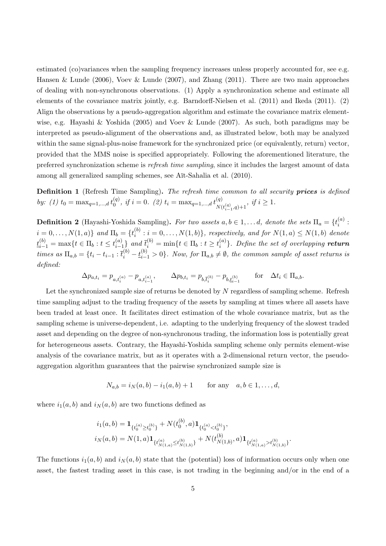estimated (co)variances when the sampling frequency increases unless properly accounted for, see e.g. Hansen & Lunde (2006), Voev & Lunde (2007), and Zhang (2011). There are two main approaches of dealing with non-synchronous observations. (1) Apply a synchronization scheme and estimate all elements of the covariance matrix jointly, e.g. Barndorff-Nielsen et al. (2011) and Ikeda (2011). (2) Align the observations by a pseudo-aggregation algorithm and estimate the covariance matrix elementwise, e.g. Hayashi & Yoshida (2005) and Voev & Lunde (2007). As such, both paradigms may be interpreted as pseudo-alignment of the observations and, as illustrated below, both may be analyzed within the same signal-plus-noise framework for the synchronized price (or equivalently, return) vector, provided that the MMS noise is specified appropriately. Following the aforementioned literature, the preferred synchronization scheme is refresh time sampling, since it includes the largest amount of data among all generalized sampling schemes, see Aït-Sahalia et al.  $(2010)$ .

Definition 1 (Refresh Time Sampling). The refresh time common to all security prices is defined by: (1)  $t_0 = \max_{q=1,\dots,d} t_0^{(q)}$  $\hat{u}_{0}^{(q)}$ , if  $i=0$ . (2)  $t_i = \max_{q=1,...,d} t_{N(\alpha)}^{(q)}$  $N(t_{i-1}^{(q)},q)+1$ , if  $i \geq 1$ .

**Definition 2** (Hayashi-Yoshida Sampling). For two assets  $a, b \in 1, \ldots d$ , denote the sets  $\Pi_a = \{t_i^{(a)}\}$  $\binom{u}{i}$ :  $i = 0, \ldots, N(1, a) \}$  and  $\Pi_b = \{t_i^{(b)}\}$  $i_i^{(0)}$ :  $i = 0, \ldots, N(1, b)$ , respectively, and for  $N(1, a) \leq N(1, b)$  denote  $\underline{t}_{i-1}^{(b)} = \max\{t \in \Pi_b : t \leq t_{i-1}^{(a)}\}$  $\binom{a}{i-1}$  and  $\bar{t}_i^{(b)} = \min\{t \in \Pi_b : t \ge t_i^{(a)}\}$  $\binom{a}{i}$ . Define the set of overlapping **return** times as  $\Pi_{a,b} = \{t_i - t_{i-1} : \overline{t}_i^{(b)} - t_{i-1}^{(b)} > 0\}$ . Now, for  $\Pi_{a,b} \neq \emptyset$ , the common sample of asset returns is defined:

$$
\Delta p_{a,t_i} = p_{a,t_i^{(a)}} - p_{a,t_{i-1}^{(a)}}, \qquad \Delta p_{b,t_i} = p_{b,\bar{t}_i^{(b)}} - p_{b,t_{i-1}^{(b)}} \qquad \text{for} \quad \Delta t_i \in \Pi_{a,b}.
$$

Let the synchronized sample size of returns be denoted by N regardless of sampling scheme. Refresh time sampling adjust to the trading frequency of the assets by sampling at times where all assets have been traded at least once. It facilitates direct estimation of the whole covariance matrix, but as the sampling scheme is universe-dependent, i.e. adapting to the underlying frequency of the slowest traded asset and depending on the degree of non-synchronous trading, the information loss is potentially great for heterogeneous assets. Contrary, the Hayashi-Yoshida sampling scheme only permits element-wise analysis of the covariance matrix, but as it operates with a 2-dimensional return vector, the pseudoaggregation algorithm guarantees that the pairwise synchronized sample size is

$$
N_{a,b} = i_N(a,b) - i_1(a,b) + 1
$$
 for any  $a, b \in 1, ..., d$ ,

where  $i_1(a, b)$  and  $i_N(a, b)$  are two functions defined as

$$
i_1(a,b) = \mathbf{1}_{\{t_0^{(a)} \ge t_0^{(b)}\}} + N(t_0^{(b)},a)\mathbf{1}_{\{t_0^{(a)} < t_0^{(b)}\}},
$$
  

$$
i_N(a,b) = N(1,a)\mathbf{1}_{\{t_{N(1,a)}^{(a)} \le t_{N(1,b)}^{(b)}\}} + N(t_{N(1,b)}^{(b)},a)\mathbf{1}_{\{t_{N(1,a)}^{(a)} > t_{N(1,b)}^{(b)}\}}.
$$

The functions  $i_1(a, b)$  and  $i_N(a, b)$  state that the (potential) loss of information occurs only when one asset, the fastest trading asset in this case, is not trading in the beginning and/or in the end of a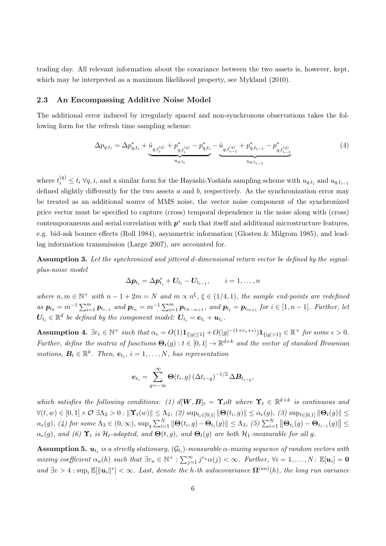trading day. All relevant information about the covariance between the two assets is, however, kept, which may be interpreted as a maximum likelihood property, see Mykland (2010).

#### 2.3 An Encompassing Additive Noise Model

The additional error induced by irregularly spaced and non-synchronous observations takes the following form for the refresh time sampling scheme:

$$
\Delta p_{q,t_i} = \Delta p_{q,t_i}^* + \underbrace{\tilde{u}_{q,t_i^{(q)}} + p_{q,t_i^{(q)}}^* - p_{q,t_i}^* - \tilde{u}_{q,t_{i-1}^{(q)}} + p_{q,t_{i-1}}^* - p_{q,t_{i-1}^{(q)}}^*}{u_{q,t_{i-1}}}
$$
\n
$$
\tag{4}
$$

where  $t_i^{(q)} \le t_i \ \forall q, i$ , and a similar form for the Hayashi-Yoshida sampling scheme with  $u_{q,t_i}$  and  $u_{q,t_{i-1}}$ defined slightly differently for the two assets  $a$  and  $b$ , respectively. As the synchronization error may be treated as an additional source of MMS noise, the vector noise component of the synchronized price vector must be specified to capture (cross) temporal dependence in the noise along with (cross) contemporaneous and serial correlation with  $p^*$  such that itself and additional microstructure features, e.g. bid-ask bounce effects (Roll 1984), asymmetric information (Glosten & Milgrom 1985), and leadlag information transmission (Large 2007), are accounted for.

Assumption 3. Let the synchronized and jittered d-dimensional return vector be defined by the signalplus-noise model

$$
\Delta p_{t_i} = \Delta p_{t_i}^* + U_{t_i} - U_{t_{i-1}}, \qquad i = 1, \ldots, n
$$

where  $n, m \in \mathbb{N}^+$  with  $n-1+2m=N$  and  $m \propto n^{\xi}, \xi \in (1/4,1)$ , the sample end-points are redefined as  $p_{t_0} = m^{-1} \sum_{i=1}^m p_{t_{i-1}}$  and  $p_{t_n} = m^{-1} \sum_{i=1}^m p_{t_{N-m+1}}$ , and  $p_{t_i} = p_{t_{m+i}}$  for  $i \in [1, n-1]$ . Further, let  $\boldsymbol{U}_{t_i} \in \mathbb{R}^d$  be defined by the component model:  $\boldsymbol{U}_{t_i} = \boldsymbol{e}_{t_i} + \boldsymbol{u}_{t_i}$ .

Assumption 4.  $\exists r_e \in \mathbb{N}^+$  such that  $\alpha_e = O(1) \mathbf{1}_{\{|g| \leq 1\}} + O(|g|^{-(1+r_e+\epsilon)}) \mathbf{1}_{\{|g| > 1\}} \in \mathbb{R}^+$  for some  $\epsilon > 0$ . Further, define the matrix of functions  $\Theta_t(g) : t \in [0,1] \to \mathbb{R}^{d \times k}$  and the vector of standard Brownian motions,  $B_t \in \mathbb{R}^k$ . Then,  $e_{t_i}$ ,  $i = 1, ..., N$ , has representation

$$
\boldsymbol{e}_{t_i} = \sum_{g=-\infty}^{\infty} \boldsymbol{\Theta}(t_i, g) \left(\Delta t_{i-g}\right)^{-1/2} \Delta \boldsymbol{B}_{t_{i-g}},
$$

which satisfies the following conditions: (1)  $d[\bm{W}, \bm{B}]_t = \Upsilon_t dt$  where  $\Upsilon_t \in \mathbb{R}^{k \times k}$  is continuous and  $\forall (t, w) \in [0, 1] \times \mathcal{O} \; \exists \Lambda_2 > 0 : \| \Upsilon_t(w) \| \leq \Lambda_2, \; (2) \; \text{sup}_{t_i \in [0, 1]} \| \Theta(t_i, g) \| \leq \alpha_e(g), \; (3) \; \text{sup}_{t \in [0, 1]} \| \Theta_t(g) \| \leq$  $\alpha_e(g)$ , (4) for some  $\Lambda_3 \in (0, \infty)$ ,  $\sup_g \sum_{i=1}^N \|\Theta(t_i, g) - \Theta_{t_i}(g)\| \leq \Lambda_3$ , (5)  $\sum_{i=1}^N \|\Theta_{t_i}(g) - \Theta_{t_{i-1}}(g)\| \leq$  $\alpha_e(g)$ , and (6)  $\Upsilon_t$  is  $\mathcal{H}_t$ -adapted, and  $\Theta(t, g)$ , and  $\Theta_t(g)$  are both  $\mathcal{H}_1$ -measurable for all g.

 ${\bf Assumption~5.}~~{\bm u}_{t_i}~is~a~strictly~stationary,~({\cal G}_{t_i})\textrm{-}measurable~{\alpha}\textrm{-}mixing~sequence~of~random~vectors~with}$ mixing coefficient  $\alpha_u(h)$  such that  $\exists r_u \in \mathbb{N}^+ : \sum_{j=1}^{\infty} j^{r_u} \alpha(j) < \infty$ . Further,  $\forall i = 1, \ldots, N : \mathbb{E}[u_i] = 0$ and  $\exists v > 4 : \sup_i \mathbb{E}[\|\mathbf{u}_i\|^v] < \infty$ . Last, denote the h-th autocovariance  $\mathbf{\Omega}^{(uu)}(h)$ , the long run variance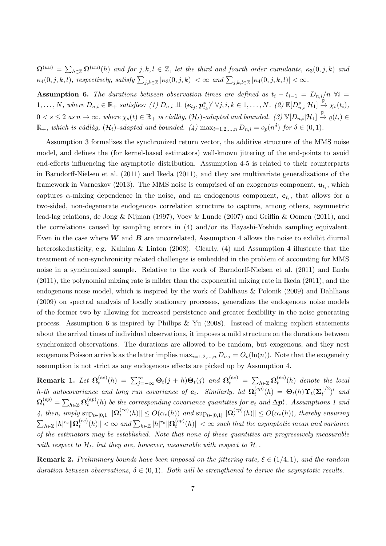$\mathbf{\Omega}^{(uu)}=\sum_{h\in\mathbb{Z}}\mathbf{\Omega}^{(uu)}(h)$  and for  $j,k,l\in\mathbb{Z},$  let the third and fourth order cumulants,  $\kappa_3(0,j,k)$  and  $\kappa_4(0, j, k, l)$ , respectively, satisfy  $\sum_{j,k\in\mathbb{Z}}|\kappa_3(0, j, k)| < \infty$  and  $\sum_{j,k,l\in\mathbb{Z}}|\kappa_4(0, j, k, l)| < \infty$ .

**Assumption 6.** The durations between observation times are defined as  $t_i - t_{i-1} = D_{n,i}/n$   $\forall i =$  $1, \ldots, N$ , where  $D_{n,i} \in \mathbb{R}_+$  satisfies: (1)  $D_{n,i} \perp \perp (e_{t_j}, p_{t_k}^*)' \; \forall j, i, k \in 1, \ldots, N$ . (2)  $\mathbb{E}[D_{n,i}^s | \mathcal{H}_1] \stackrel{\mathbb{P}}{\rightarrow} \chi_s(t_i)$ ,  $0 < s \leq 2$  as  $n \to \infty$ , where  $\chi_s(t) \in \mathbb{R}_+$  is càdlàg,  $(\mathcal{H}_t)$ -adapted and bounded.  $(3) \mathbb{V}[D_{n,i}|\mathcal{H}_1] \stackrel{\mathbb{P}}{\to} \varrho(t_i) \in$  $\mathbb{R}_+$ , which is càdlàg,  $(\mathcal{H}_t)$ -adapted and bounded. (4)  $\max_{i=1,2,...,n} D_{n,i} = o_p(n^{\delta})$  for  $\delta \in (0,1)$ .

Assumption 3 formalizes the synchronized return vector, the additive structure of the MMS noise model, and defines the (for kernel-based estimators) well-known jittering of the end-points to avoid end-effects influencing the asymptotic distribution. Assumption 4-5 is related to their counterparts in Barndorff-Nielsen et al. (2011) and Ikeda (2011), and they are multivariate generalizations of the framework in Varneskov (2013). The MMS noise is comprised of an exogenous component,  $u_{t_i}$ , which captures  $\alpha$ -mixing dependence in the noise, and an endogenous component,  $e_{t_i}$ , that allows for a two-sided, non-degenerate endogenous correlation structure to capture, among others, asymmetric lead-lag relations, de Jong & Nijman (1997), Voev & Lunde (2007) and Griffin & Oomen (2011), and the correlations caused by sampling errors in (4) and/or its Hayashi-Yoshida sampling equivalent. Even in the case where  $W$  and  $B$  are uncorrelated, Assumption 4 allows the noise to exhibit diurnal heteroskedasticity, e.g. Kalnina & Linton (2008). Clearly, (4) and Assumption 4 illustrate that the treatment of non-synchronicity related challenges is embedded in the problem of accounting for MMS noise in a synchronized sample. Relative to the work of Barndorff-Nielsen et al. (2011) and Ikeda (2011), the polynomial mixing rate is milder than the exponential mixing rate in Ikeda (2011), and the endogenous noise model, which is inspired by the work of Dahlhaus & Polonik (2009) and Dahlhaus (2009) on spectral analysis of locally stationary processes, generalizes the endogenous noise models of the former two by allowing for increased persistence and greater flexibility in the noise generating process. Assumption 6 is inspired by Phillips & Yu  $(2008)$ . Instead of making explicit statements about the arrival times of individual observations, it imposes a mild structure on the durations between synchronized observations. The durations are allowed to be random, but exogenous, and they nest exogenous Poisson arrivals as the latter implies  $\max_{i=1,2,...,n} D_{n,i} = O_p(\ln(n))$ . Note that the exogeneity assumption is not strict as any endogenous effects are picked up by Assumption 4.

 $\bold{Remark} \enspace \boldsymbol{1.} \enspace Let \enspace \boldsymbol{\Omega^{(ee)}_t}$  $\mathcal{L}_t^{(ee)}(h) \;=\; \sum_{j=-\infty}^{\infty} \mathbf{\Theta}_t(j\,+\,h)\mathbf{\Theta}_t(j)\;\;and\;\mathbf{\Omega}_t^{(ee)}\;=\; \sum_{h\in\mathbb{Z}} \mathbf{\Omega}_t^{(ee)}$  $t^{(ee)}(h)$  denote the local h-th autocovariance and long run covariance of  $\bm{e}_t$ . Similarly, let  $\bm{\Omega}_t^{(ep)}$  $t_t^{(ep)}(h)~=~\mathbf{\Theta}_t(h) \mathbf{\Upsilon}_t(\mathbf{\Sigma}_t^{1/2})$  $t^{1/2}$ <sup>'</sup> and  $\bm{\Omega}_t^{(ep)} = \sum_{h \in \mathbb{Z}} \bm{\Omega}_t^{(ep)}$  $_{t}^{(ep)}(h)$  be the corresponding covariance quantities for  $\boldsymbol{e}_{t}$  and  $\Delta\boldsymbol{p}_{t}^*$ . Assumptions 1 and 4, then, imply  $\sup_{t\in[0,1]}\|\Omega_t^{(ee)}\|$  $t_t^{(ee)}(h)$   $\leq O(\alpha_e(h))$  and  $\sup_{t \in [0,1]} \|\Omega_t^{(ep)}\|$  $\|u_t^{(ep)}(h)\| \leq O(\alpha_e(h))$ , thereby ensuring  $\sum_{h\in \mathbb{Z}}|h|^{r_{e}}\|\mathbf{\Omega}_{t}^{(ee)}$  $\mathcal{L}_t^{(ee)}(h)\| < \infty$  and  $\sum_{h \in \mathbb{Z}} |h|^{r_e} \| \mathbf{\Omega}_t^{(ep)}\|$  $\|u_t^{(ep)}(h)\| < \infty$  such that the asymptotic mean and variance of the estimators may be established. Note that none of these quantities are progressively measurable with respect to  $\mathcal{H}_t$ , but they are, however, measurable with respect to  $\mathcal{H}_1$ .

**Remark 2.** Preliminary bounds have been imposed on the jittering rate,  $\xi \in (1/4, 1)$ , and the random duration between observations,  $\delta \in (0,1)$ . Both will be strengthened to derive the asymptotic results.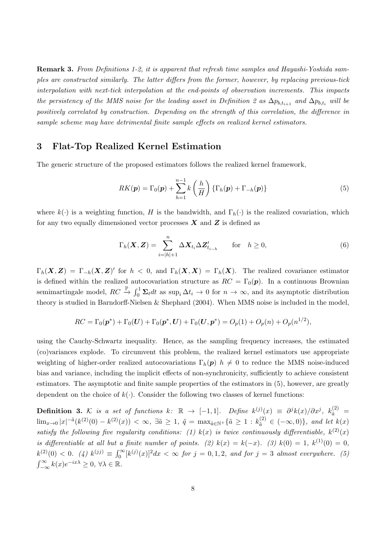Remark 3. From Definitions 1-2, it is apparent that refresh time samples and Hayashi-Yoshida samples are constructed similarly. The latter differs from the former, however, by replacing previous-tick interpolation with next-tick interpolation at the end-points of observation increments. This impacts the persistency of the MMS noise for the leading asset in Definition 2 as  $\Delta p_{b,t_{i+1}}$  and  $\Delta p_{b,t_i}$  will be positively correlated by construction. Depending on the strength of this correlation, the difference in sample scheme may have detrimental finite sample effects on realized kernel estimators.

## 3 Flat-Top Realized Kernel Estimation

The generic structure of the proposed estimators follows the realized kernel framework,

$$
RK(\boldsymbol{p}) = \Gamma_0(\boldsymbol{p}) + \sum_{h=1}^{n-1} k\left(\frac{h}{H}\right) \left\{ \Gamma_h(\boldsymbol{p}) + \Gamma_{-h}(\boldsymbol{p}) \right\} \tag{5}
$$

where  $k(\cdot)$  is a weighting function, H is the bandwidth, and  $\Gamma_h(\cdot)$  is the realized covariation, which for any two equally dimensioned vector processes  $X$  and  $Z$  is defined as

$$
\Gamma_h(\boldsymbol{X}, \boldsymbol{Z}) = \sum_{i=|h|+1}^n \Delta \boldsymbol{X}_{t_i} \Delta \boldsymbol{Z}_{t_{i-h}}' \quad \text{for} \quad h \ge 0,
$$
\n<sup>(6)</sup>

 $\Gamma_h(\bm{X}, \bm{Z}) = \Gamma_{-h}(\bm{X}, \bm{Z})'$  for  $h < 0$ , and  $\Gamma_h(\bm{X}, \bm{X}) = \Gamma_h(\bm{X})$ . The realized covariance estimator is defined within the realized autocovariation structure as  $RC = \Gamma_0(\mathbf{p})$ . In a continuous Brownian semimartingale model,  $RC \stackrel{\mathbb{P}}{\rightarrow} \int_0^1 \Sigma_t dt$  as  $\sup_i \Delta t_i \rightarrow 0$  for  $n \rightarrow \infty$ , and its asymptotic distribution theory is studied in Barndorff-Nielsen & Shephard (2004). When MMS noise is included in the model,

$$
RC = \Gamma_0(\pmb{p}^*) + \Gamma_0(\pmb{U}) + \Gamma_0(\pmb{p}^*, \pmb{U}) + \Gamma_0(\pmb{U}, \pmb{p}^*) = O_p(1) + O_p(n) + O_p(n^{1/2}),
$$

using the Cauchy-Schwartz inequality. Hence, as the sampling frequency increases, the estimated (co)variances explode. To circumvent this problem, the realized kernel estimators use appropriate weighting of higher-order realized autocovariations  $\Gamma_h(p)$   $h \neq 0$  to reduce the MMS noise-induced bias and variance, including the implicit effects of non-synchronicity, sufficiently to achieve consistent estimators. The asymptotic and finite sample properties of the estimators in (5), however, are greatly dependent on the choice of  $k(.)$ . Consider the following two classes of kernel functions:

**Definition 3.** K is a set of functions  $k: \mathbb{R} \to [-1,1]$ . Define  $k^{(j)}(x) \equiv \partial^j k(x)/\partial x^j$ ,  $k_{\tilde{a}}^{(2)} =$  $\lim_{x\to 0}|x|^{-\tilde{a}}(k^{(2)}(0)-k^{(2)}(x))<\infty, \ \exists \tilde{a}\geq 1, \ \tilde{q}=\max_{\tilde{a}\in \mathbb{N}^+}\{\tilde{a}\geq 1: k^{(2)}_{\tilde{a}}\in (-\infty,0)\}, \ and \ let \ k(x)$ satisfy the following five regularity conditions: (1)  $k(x)$  is twice continuously differentiable,  $k^{(2)}(x)$ is differentiable at all but a finite number of points. (2)  $k(x) = k(-x)$ . (3)  $k(0) = 1$ ,  $k^{(1)}(0) = 0$ ,  $k^{(2)}(0) < 0.$  (4)  $k^{(jj)} \equiv \int_0^\infty [k^{(j)}(x)]^2 dx < \infty$  for  $j = 0, 1, 2$ , and for  $j = 3$  almost everywhere. (5)  $\int_{-\infty}^{\infty} k(x)e^{-ix\lambda} \geq 0, \,\forall \lambda \in \mathbb{R}.$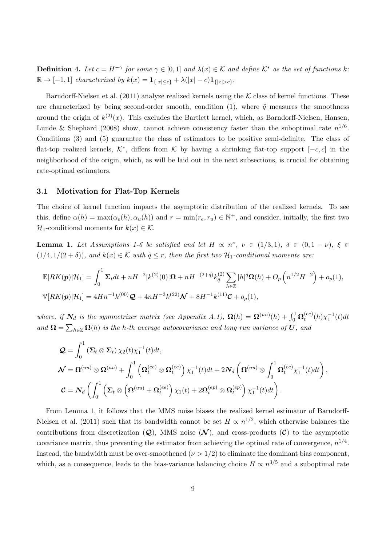**Definition 4.** Let  $c = H^{-\gamma}$  for some  $\gamma \in [0,1]$  and  $\lambda(x) \in \mathcal{K}$  and define  $\mathcal{K}^*$  as the set of functions k:  $\mathbb{R} \to [-1,1]$  characterized by  $k(x) = \mathbf{1}_{\{|x| \leq c\}} + \lambda(|x| - c)\mathbf{1}_{\{|x| > c\}}.$ 

Barndorff-Nielsen et al. (2011) analyze realized kernels using the  $K$  class of kernel functions. These are characterized by being second-order smooth, condition (1), where  $\tilde{q}$  measures the smoothness around the origin of  $k^{(2)}(x)$ . This excludes the Bartlett kernel, which, as Barndorff-Nielsen, Hansen, Lunde & Shephard (2008) show, cannot achieve consistency faster than the suboptimal rate  $n^{1/6}$ . Conditions (3) and (5) guarantee the class of estimators to be positive semi-definite. The class of flat-top realized kernels,  $\mathcal{K}^*$ , differs from  $\mathcal K$  by having a shrinking flat-top support  $[-c, c]$  in the neighborhood of the origin, which, as will be laid out in the next subsections, is crucial for obtaining rate-optimal estimators.

#### 3.1 Motivation for Flat-Top Kernels

The choice of kernel function impacts the asymptotic distribution of the realized kernels. To see this, define  $\alpha(h) = \max(\alpha_e(h), \alpha_u(h))$  and  $r = \min(r_e, r_u) \in \mathbb{N}^+$ , and consider, initially, the first two  $\mathcal{H}_1$ -conditional moments for  $k(x) \in \mathcal{K}$ .

**Lemma 1.** Let Assumptions 1-6 be satisfied and let  $H \propto n^{\nu}$ ,  $\nu \in (1/3, 1)$ ,  $\delta \in (0, 1 - \nu)$ ,  $\xi \in$  $(1/4, 1/(2 + \delta))$ , and  $k(x) \in K$  with  $\tilde{q} \leq r$ , then the first two  $\mathcal{H}_1$ -conditional moments are:

$$
\mathbb{E}[RK(\mathbf{p})|\mathcal{H}_1] = \int_0^1 \Sigma_t dt + nH^{-2} |k^{(2)}(0)|\mathbf{\Omega} + nH^{-(2+\tilde{q})} k_{\tilde{q}}^{(2)} \sum_{h \in \mathbb{Z}} |h|^{\tilde{q}} \mathbf{\Omega}(h) + O_p\left(n^{1/2} H^{-2}\right) + o_p(1),
$$
  
\n
$$
\mathbb{V}[RK(\mathbf{p})|\mathcal{H}_1] = 4Hn^{-1}k^{(00)}\mathbf{Q} + 4nH^{-3}k^{(22)}\mathbf{W} + 8H^{-1}k^{(11)}\mathbf{C} + o_p(1),
$$

where, if  $N_d$  is the symmetrizer matrix (see Appendix A.1),  $\Omega(h) = \Omega^{(uu)}(h) + \int_0^1 \Omega_t^{(ee)}$  $t^{(ee)}_t(h)\chi_1^{-1}(t)dt$ and  $\mathbf{\Omega} = \sum_{h \in \mathbb{Z}} \mathbf{\Omega}(h)$  is the h-th average autocovariance and long run variance of  $\mathbf{U}$ , and

$$
\mathcal{Q} = \int_0^1 \left( \mathbf{\Sigma}_t \otimes \mathbf{\Sigma}_t \right) \chi_2(t) \chi_1^{-1}(t) dt,
$$
\n
$$
\mathcal{N} = \mathbf{\Omega}^{(uu)} \otimes \mathbf{\Omega}^{(uu)} + \int_0^1 \left( \mathbf{\Omega}_t^{(ee)} \otimes \mathbf{\Omega}_t^{(ee)} \right) \chi_1^{-1}(t) dt + 2 \mathbf{N}_d \left( \mathbf{\Omega}^{(uu)} \otimes \int_0^1 \mathbf{\Omega}_t^{(ee)} \chi_1^{-1}(t) dt \right),
$$
\n
$$
\mathcal{C} = \mathbf{N}_d \left( \int_0^1 \left( \mathbf{\Sigma}_t \otimes \left( \mathbf{\Omega}^{(uu)} + \mathbf{\Omega}_t^{(ee)} \right) \chi_1(t) + 2 \mathbf{\Omega}_t^{(ep)} \otimes \mathbf{\Omega}_t^{(ep)} \right) \chi_1^{-1}(t) dt \right).
$$

From Lemma 1, it follows that the MMS noise biases the realized kernel estimator of Barndorff-Nielsen et al. (2011) such that its bandwidth cannot be set  $H \propto n^{1/2}$ , which otherwise balances the contributions from discretization  $(Q)$ , MMS noise  $(\mathcal{N})$ , and cross-products  $(\mathcal{C})$  to the asymptotic covariance matrix, thus preventing the estimator from achieving the optimal rate of convergence,  $n^{1/4}$ . Instead, the bandwidth must be over-smoothened  $(\nu > 1/2)$  to eliminate the dominant bias component, which, as a consequence, leads to the bias-variance balancing choice  $H \propto n^{3/5}$  and a suboptimal rate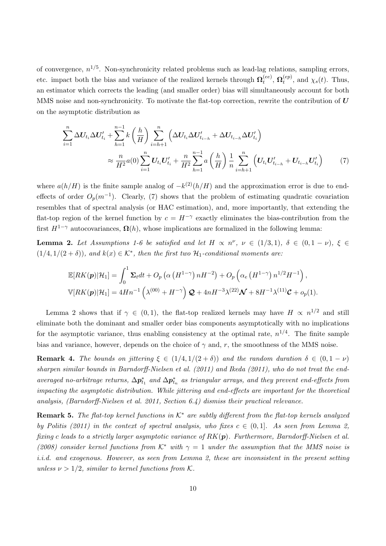of convergence,  $n^{1/5}$ . Non-synchronicity related problems such as lead-lag relations, sampling errors, etc. impact both the bias and variance of the realized kernels through  $\Omega_t^{(ee)}$  $_t^{(ee)},\,\mathbf{\Omega}_t^{(ep)}$  $t^{(ep)}$ , and  $\chi_s(t)$ . Thus, an estimator which corrects the leading (and smaller order) bias will simultaneously account for both MMS noise and non-synchronicity. To motivate the flat-top correction, rewrite the contribution of  $U$ on the asymptotic distribution as

$$
\sum_{i=1}^{n} \Delta U_{t_i} \Delta U'_{t_i} + \sum_{h=1}^{n-1} k \left(\frac{h}{H}\right) \sum_{i=h+1}^{n} \left(\Delta U_{t_i} \Delta U'_{t_{i-h}} + \Delta U_{t_{i-h}} \Delta U'_{t_i}\right)
$$
\n
$$
\approx \frac{n}{H^2} a(0) \sum_{i=1}^{n} U_{t_i} U'_{t_i} + \frac{n}{H^2} \sum_{h=1}^{n-1} a\left(\frac{h}{H}\right) \frac{1}{n} \sum_{i=h+1}^{n} \left(U_{t_i} U'_{t_{i-h}} + U_{t_{i-h}} U'_{t_i}\right) \tag{7}
$$

where  $a(h/H)$  is the finite sample analog of  $-k^{(2)}(h/H)$  and the approximation error is due to endeffects of order  $O_p(m^{-1})$ . Clearly, (7) shows that the problem of estimating quadratic covariation resembles that of spectral analysis (or HAC estimation), and, more importantly, that extending the flat-top region of the kernel function by  $c = H^{-\gamma}$  exactly eliminates the bias-contribution from the first  $H^{1-\gamma}$  autocovariances,  $\Omega(h)$ , whose implications are formalized in the following lemma:

**Lemma 2.** Let Assumptions 1-6 be satisfied and let  $H \propto n^{\nu}$ ,  $\nu \in (1/3, 1)$ ,  $\delta \in (0, 1 - \nu)$ ,  $\xi \in$  $(1/4, 1/(2 + \delta))$ , and  $k(x) \in \mathcal{K}^*$ , then the first two  $\mathcal{H}_1$ -conditional moments are:

$$
\mathbb{E}[RK(\boldsymbol{p})|\mathcal{H}_1] = \int_0^1 \boldsymbol{\Sigma}_t dt + O_p\left(\alpha \left(H^{1-\gamma}\right)nH^{-2}\right) + O_p\left(\alpha_e \left(H^{1-\gamma}\right)n^{1/2}H^{-1}\right),
$$
  

$$
\mathbb{V}[RK(\boldsymbol{p})|\mathcal{H}_1] = 4Hn^{-1}\left(\lambda^{(00)} + H^{-\gamma}\right)\boldsymbol{\mathcal{Q}} + 4nH^{-3}\lambda^{(22)}\boldsymbol{\mathcal{N}} + 8H^{-1}\lambda^{(11)}\boldsymbol{\mathcal{C}} + o_p(1).
$$

Lemma 2 shows that if  $\gamma \in (0,1)$ , the flat-top realized kernels may have  $H \propto n^{1/2}$  and still eliminate both the dominant and smaller order bias components asymptotically with no implications for the asymptotic variance, thus enabling consistency at the optimal rate,  $n^{1/4}$ . The finite sample bias and variance, however, depends on the choice of  $\gamma$  and, r, the smoothness of the MMS noise.

**Remark 4.** The bounds on jittering  $\xi \in (1/4, 1/(2 + \delta))$  and the random duration  $\delta \in (0, 1 - \nu)$ sharpen similar bounds in Barndorff-Nielsen et al. (2011) and Ikeda (2011), who do not treat the endaveraged no-arbitrage returns,  $\Delta p_{t_1}^*$  and  $\Delta p_{t_n}^*$  as triangular arrays, and they prevent end-effects from impacting the asymptotic distribution. While jittering and end-effects are important for the theoretical analysis, (Barndorff-Nielsen et al. 2011, Section 6.4) dismiss their practical relevance.

**Remark 5.** The flat-top kernel functions in  $K^*$  are subtly different from the flat-top kernels analyzed by Politis (2011) in the context of spectral analysis, who fixes  $c \in (0,1]$ . As seen from Lemma 2, fixing c leads to a strictly larger asymptotic variance of  $RK(p)$ . Furthermore, Barndorff-Nielsen et al. (2008) consider kernel functions from  $K^*$  with  $\gamma = 1$  under the assumption that the MMS noise is i.i.d. and exogenous. However, as seen from Lemma 2, these are inconsistent in the present setting unless  $\nu > 1/2$ , similar to kernel functions from K.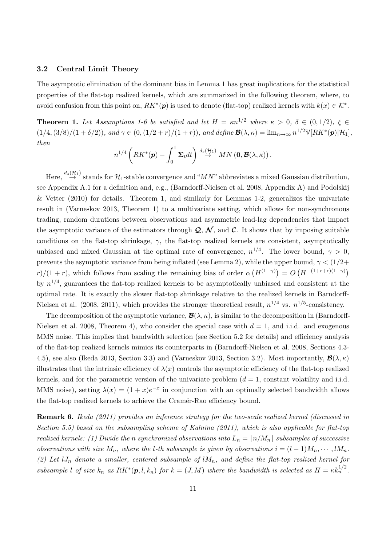#### 3.2 Central Limit Theory

The asymptotic elimination of the dominant bias in Lemma 1 has great implications for the statistical properties of the flat-top realized kernels, which are summarized in the following theorem, where, to avoid confusion from this point on,  $RK^*(p)$  is used to denote (flat-top) realized kernels with  $k(x) \in K^*$ .

**Theorem 1.** Let Assumptions 1-6 be satisfied and let  $H = \kappa n^{1/2}$  where  $\kappa > 0$ ,  $\delta \in (0, 1/2)$ ,  $\xi \in$  $(1/4, (3/8)/(1 + \delta/2))$ , and  $\gamma \in (0, (1/2 + r)/(1 + r))$ , and define  $\mathcal{B}(\lambda, \kappa) = \lim_{n \to \infty} n^{1/2} \mathbb{V}[RK^*(p)|\mathcal{H}_1]$ , then

$$
n^{1/4}\left(RK^*(\boldsymbol{p})-\int_0^1\boldsymbol{\Sigma}_t dt\right)\stackrel{d_s(\mathcal{H}_1)}{\rightarrow} MN\left(\boldsymbol{0},\boldsymbol{\mathcal{B}}(\lambda,\kappa)\right).
$$

Here,  $\stackrel{d_s(\mathcal{H}_1)}{\rightarrow}$  stands for  $\mathcal{H}_1$ -stable convergence and "MN" abbreviates a mixed Gaussian distribution, see Appendix A.1 for a definition and, e.g., (Barndorff-Nielsen et al. 2008, Appendix A) and Podolskij & Vetter  $(2010)$  for details. Theorem 1, and similarly for Lemmas 1-2, generalizes the univariate result in (Varneskov 2013, Theorem 1) to a multivariate setting, which allows for non-synchronous trading, random durations between observations and asymmetric lead-lag dependencies that impact the asymptotic variance of the estimators through  $\mathcal{Q}, \mathcal{N}$ , and  $\mathcal{C}$ . It shows that by imposing suitable conditions on the flat-top shrinkage,  $\gamma$ , the flat-top realized kernels are consistent, asymptotically unbiased and mixed Gaussian at the optimal rate of convergence,  $n^{1/4}$ . The lower bound,  $\gamma > 0$ , prevents the asymptotic variance from being inflated (see Lemma 2), while the upper bound,  $\gamma < (1/2 +$  $r$ / $(1 + r)$ , which follows from scaling the remaining bias of order  $\alpha(H^{(1-\gamma)}) = O(H^{-(1+r+\epsilon)(1-\gamma)})$ by  $n^{1/4}$ , guarantees the flat-top realized kernels to be asymptotically unbiased and consistent at the optimal rate. It is exactly the slower flat-top shrinkage relative to the realized kernels in Barndorff-Nielsen et al. (2008, 2011), which provides the stronger theoretical result,  $n^{1/4}$  vs.  $n^{1/5}$ -consistency.

The decomposition of the asymptotic variance,  $\mathcal{B}(\lambda,\kappa)$ , is similar to the decomposition in (Barndorff-Nielsen et al. 2008, Theorem 4), who consider the special case with  $d = 1$ , and i.i.d. and exogenous MMS noise. This implies that bandwidth selection (see Section 5.2 for details) and efficiency analysis of the flat-top realized kernels mimics its counterparts in (Barndorff-Nielsen et al. 2008, Sections 4.3- 4.5), see also (Ikeda 2013, Section 3.3) and (Varneskov 2013, Section 3.2). Most importantly,  $\mathcal{B}(\lambda,\kappa)$ illustrates that the intrinsic efficiency of  $\lambda(x)$  controls the asymptotic efficiency of the flat-top realized kernels, and for the parametric version of the univariate problem  $(d = 1, \text{ constant volatility and i.i.d.})$ MMS noise), setting  $\lambda(x) = (1+x)e^{-x}$  in conjunction with an optimally selected bandwidth allows the flat-top realized kernels to achieve the Cramér-Rao efficiency bound.

Remark 6. Ikeda (2011) provides an inference strategy for the two-scale realized kernel (discussed in Section 5.5) based on the subsampling scheme of Kalnina (2011), which is also applicable for flat-top realized kernels: (1) Divide the n synchronized observations into  $L_n = |n/M_n|$  subsamples of successive observations with size  $M_n$ , where the l-th subsample is given by observations  $i = (l-1)M_n, \cdots, lM_n$ . (2) Let  $lJ_n$  denote a smaller, centered subsample of  $lM_n$ , and define the flat-top realized kernel for subsample l of size  $k_n$  as  $RK^*(p, l, k_n)$  for  $k = (J, M)$  where the bandwidth is selected as  $H = \kappa k_n^{1/2}$ .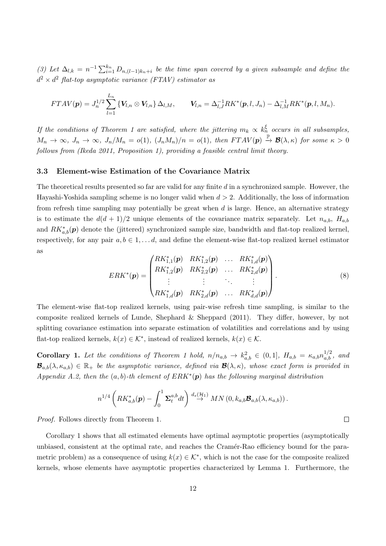(3) Let  $\Delta_{l,k} = n^{-1} \sum_{i=1}^{k_n} D_{n,(l-1)k_n+i}$  be the time span covered by a given subsample and define the  $d^2 \times d^2$  flat-top asymptotic variance (FTAV) estimator as

$$
FTAV(\boldsymbol{p})=J_n^{1/2}\sum_{l=1}^{L_n}\left\{ \boldsymbol{V}_{l,n}\otimes \boldsymbol{V}_{l,n}\right\}\Delta_{l,M},\qquad \boldsymbol{V}_{l,n}=\Delta_{l,J}^{-1}RK^*(\boldsymbol{p},l,J_n)-\Delta_{l,M}^{-1}RK^*(\boldsymbol{p},l,M_n).
$$

If the conditions of Theorem 1 are satisfied, where the jittering  $m_k \propto k_n^{\xi}$  occurs in all subsamples,  $M_n \to \infty$ ,  $J_n \to \infty$ ,  $J_n/M_n = o(1)$ ,  $(J_nM_n)/n = o(1)$ , then  $FTAV(p) \stackrel{\mathbb{P}}{\to} \mathcal{B}(\lambda, \kappa)$  for some  $\kappa > 0$ follows from (Ikeda 2011, Proposition 1), providing a feasible central limit theory.

#### 3.3 Element-wise Estimation of the Covariance Matrix

The theoretical results presented so far are valid for any finite d in a synchronized sample. However, the Hayashi-Yoshida sampling scheme is no longer valid when  $d > 2$ . Additionally, the loss of information from refresh time sampling may potentially be great when  $d$  is large. Hence, an alternative strategy is to estimate the  $d(d+1)/2$  unique elements of the covariance matrix separately. Let  $n_{a,b}$ ,  $H_{a,b}$ and  $RK_{a,b}^*(p)$  denote the (jittered) synchronized sample size, bandwidth and flat-top realized kernel, respectively, for any pair  $a, b \in 1, \ldots d$ , and define the element-wise flat-top realized kernel estimator as

$$
ERK^{*}(\boldsymbol{p}) = \begin{pmatrix} RK^{*}_{1,1}(\boldsymbol{p}) & RK^{*}_{1,2}(\boldsymbol{p}) & \dots & RK^{*}_{1,d}(\boldsymbol{p}) \\ RK^{*}_{1,2}(\boldsymbol{p}) & RK^{*}_{2,2}(\boldsymbol{p}) & \dots & RK^{*}_{2,d}(\boldsymbol{p}) \\ \vdots & \vdots & \ddots & \vdots \\ RK^{*}_{1,d}(\boldsymbol{p}) & RK^{*}_{2,d}(\boldsymbol{p}) & \dots & RK^{*}_{d,d}(\boldsymbol{p}) \end{pmatrix} .
$$
\n(8)

The element-wise flat-top realized kernels, using pair-wise refresh time sampling, is similar to the composite realized kernels of Lunde, Shephard & Sheppard (2011). They differ, however, by not splitting covariance estimation into separate estimation of volatilities and correlations and by using flat-top realized kernels,  $k(x) \in \mathcal{K}^*$ , instead of realized kernels,  $k(x) \in \mathcal{K}$ .

**Corollary 1.** Let the conditions of Theorem 1 hold,  $n/n_{a,b} \to k_{a,b}^2 \in (0,1]$ ,  $H_{a,b} = \kappa_{a,b} n_{a,b}^{1/2}$ , and  $\mathcal{B}_{a,b}(\lambda,\kappa_{a,b}) \in \mathbb{R}_+$  be the asymptotic variance, defined via  $\mathcal{B}(\lambda,\kappa)$ , whose exact form is provided in Appendix A.2, then the  $(a, b)$ -th element of  $ERK^*(p)$  has the following marginal distribution

$$
n^{1/4}\left(RK_{a,b}^*(\boldsymbol{p})-\int_0^1 \boldsymbol{\Sigma}_t^{a,b}dt\right) \stackrel{d_s(\mathcal{H}_1)}{\rightarrow} MN(0,k_{a,b}\boldsymbol{\mathcal{B}}_{a,b}(\lambda,\kappa_{a,b})) .
$$

Proof. Follows directly from Theorem 1.

Corollary 1 shows that all estimated elements have optimal asymptotic properties (asymptotically unbiased, consistent at the optimal rate, and reaches the Cramér-Rao efficiency bound for the parametric problem) as a consequence of using  $k(x) \in \mathcal{K}^*$ , which is not the case for the composite realized kernels, whose elements have asymptotic properties characterized by Lemma 1. Furthermore, the

 $\Box$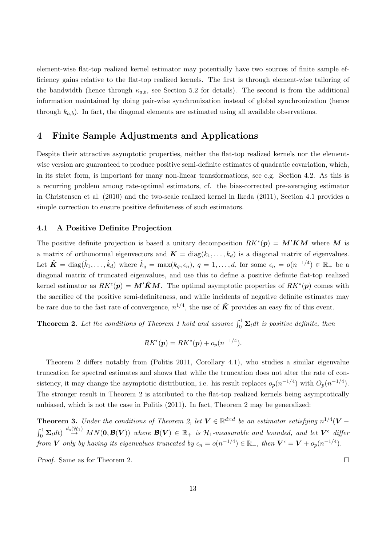element-wise flat-top realized kernel estimator may potentially have two sources of finite sample efficiency gains relative to the flat-top realized kernels. The first is through element-wise tailoring of the bandwidth (hence through  $\kappa_{a,b}$ , see Section 5.2 for details). The second is from the additional information maintained by doing pair-wise synchronization instead of global synchronization (hence through  $k_{a,b}$ ). In fact, the diagonal elements are estimated using all available observations.

## 4 Finite Sample Adjustments and Applications

Despite their attractive asymptotic properties, neither the flat-top realized kernels nor the elementwise version are guaranteed to produce positive semi-definite estimates of quadratic covariation, which, in its strict form, is important for many non-linear transformations, see e.g. Section 4.2. As this is a recurring problem among rate-optimal estimators, cf. the bias-corrected pre-averaging estimator in Christensen et al. (2010) and the two-scale realized kernel in Ikeda (2011), Section 4.1 provides a simple correction to ensure positive definiteness of such estimators.

#### 4.1 A Positive Definite Projection

The positive definite projection is based a unitary decomposition  $RK^*(p) = M'KM$  where M is a matrix of orthonormal eigenvectors and  $\mathbf{K} = \text{diag}(k_1, \ldots, k_d)$  is a diagonal matrix of eigenvalues. Let  $\hat{\mathbf{K}} = \text{diag}(\hat{k}_1, \dots, \hat{k}_d)$  where  $\hat{k}_q = \max(k_q, \epsilon_n), q = 1, \dots, d$ , for some  $\epsilon_n = o(n^{-1/4}) \in \mathbb{R}_+$  be a diagonal matrix of truncated eigenvalues, and use this to define a positive definite flat-top realized kernel estimator as  $RK^{\epsilon}(p) = M' \hat{K} M$ . The optimal asymptotic properties of  $RK^*(p)$  comes with the sacrifice of the positive semi-definiteness, and while incidents of negative definite estimates may be rare due to the fast rate of convergence,  $n^{1/4}$ , the use of  $\hat{K}$  provides an easy fix of this event.

**Theorem 2.** Let the conditions of Theorem 1 hold and assume  $\int_0^1 \Sigma_t dt$  is positive definite, then

$$
RK^{\epsilon}(\boldsymbol{p}) = RK^*(\boldsymbol{p}) + o_p(n^{-1/4}).
$$

Theorem 2 differs notably from (Politis 2011, Corollary 4.1), who studies a similar eigenvalue truncation for spectral estimates and shows that while the truncation does not alter the rate of consistency, it may change the asymptotic distribution, i.e. his result replaces  $o_p(n^{-1/4})$  with  $O_p(n^{-1/4})$ . The stronger result in Theorem 2 is attributed to the flat-top realized kernels being asymptotically unbiased, which is not the case in Politis (2011). In fact, Theorem 2 may be generalized:

**Theorem 3.** Under the conditions of Theorem 2, let  $V \in \mathbb{R}^{d \times d}$  be an estimator satisfying  $n^{1/4}(V \int_0^1 \mathbf{\Sigma}_t dt$   $\stackrel{d_s(\mathcal{H}_1)}{\rightarrow} MN(\mathbf{0}, \mathcal{B}(\mathbf{V}))$  where  $\mathcal{B}(\mathbf{V}) \in \mathbb{R}_+$  is  $\mathcal{H}_1$ -measurable and bounded, and let  $\mathbf{V}^{\epsilon}$  differ from V only by having its eigenvalues truncated by  $\epsilon_n = o(n^{-1/4}) \in \mathbb{R}_+$ , then  $V^{\epsilon} = V + o_p(n^{-1/4})$ .

Proof. Same as for Theorem 2.

 $\Box$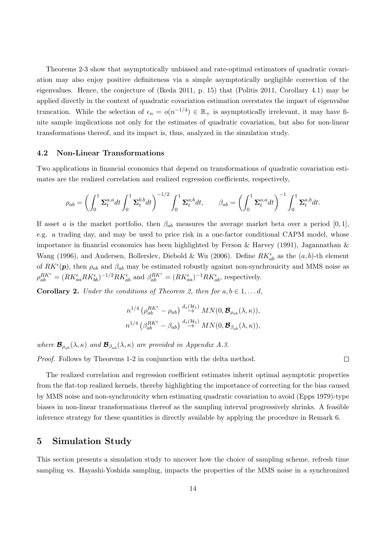Theorems 2-3 show that asymptotically unbiased and rate-optimal estimators of quadratic covariation may also enjoy positive definiteness via a simple asymptotically negligible correction of the eigenvalues. Hence, the conjecture of (Ikeda 2011, p. 15) that (Politis 2011, Corollary 4.1) may be applied directly in the context of quadratic covariation estimation overstates the impact of eigenvalue truncation. While the selection of  $\epsilon_n = o(n^{-1/4}) \in \mathbb{R}_+$  is asymptotically irrelevant, it may have finite sample implications not only for the estimates of quadratic covariation, but also for non-linear transformations thereof, and its impact is, thus, analyzed in the simulation study.

#### 4.2 Non-Linear Transformations

Two applications in financial economics that depend on transformations of quadratic covariation estimates are the realized correlation and realized regression coefficients, respectively,

$$
\rho_{ab} = \left(\int_0^1 \Sigma_t^{a,a} dt \int_0^1 \Sigma_t^{b,b} dt\right)^{-1/2} \int_0^1 \Sigma_t^{a,b} dt, \qquad \beta_{ab} = \left(\int_0^1 \Sigma_t^{a,a} dt\right)^{-1} \int_0^1 \Sigma_t^{a,b} dt.
$$

If asset a is the market portfolio, then  $\beta_{ab}$  measures the average market beta over a period [0, 1], e.g. a trading day, and may be used to price risk in a one-factor conditional CAPM model, whose importance in financial economics has been highlighted by Ferson & Harvey (1991), Jagannathan & Wang (1996), and Andersen, Bollerslev, Diebold & Wu (2006). Define  $RK_{ab}^{\epsilon}$  as the  $(a, b)$ -th element of  $RK^{\epsilon}(\boldsymbol{p})$ , then  $\rho_{ab}$  and  $\beta_{ab}$  may be estimated robustly against non-synchronicity and MMS noise as  $\rho_{ab}^{RK^{\epsilon}} = (RK_{aa}^{\epsilon}RK_{bb}^{\epsilon})^{-1/2}RK_{ab}^{\epsilon}$  and  $\beta_{ab}^{RK^{\epsilon}} = (RK_{aa}^{\epsilon})^{-1}RK_{ab}^{\epsilon}$ , respectively.

**Corollary 2.** Under the conditions of Theorem 2, then for  $a, b \in 1, \ldots, d$ ,

$$
n^{1/4} \left(\rho_{ab}^{RK^{\epsilon}} - \rho_{ab}\right) \stackrel{d_s(\mathcal{H}_1)}{\rightarrow} M N(0, \mathcal{B}_{\rho_{ab}}(\lambda, \kappa)),
$$
  

$$
n^{1/4} \left(\beta_{ab}^{RK^{\epsilon}} - \beta_{ab}\right) \stackrel{d_s(\mathcal{H}_1)}{\rightarrow} M N(0, \mathcal{B}_{\beta_{ab}}(\lambda, \kappa)),
$$

where  $\mathcal{B}_{\rho_{ab}}(\lambda,\kappa)$  and  $\mathcal{B}_{\beta_{ab}}(\lambda,\kappa)$  are provided in Appendix A.3.

Proof. Follows by Theorems 1-2 in conjunction with the delta method.

The realized correlation and regression coefficient estimates inherit optimal asymptotic properties from the flat-top realized kernels, thereby highlighting the importance of correcting for the bias caused by MMS noise and non-synchronicity when estimating quadratic covariation to avoid (Epps 1979)-type biases in non-linear transformations thereof as the sampling interval progressively shrinks. A feasible inference strategy for these quantities is directly available by applying the procedure in Remark 6.

 $\Box$ 

## 5 Simulation Study

This section presents a simulation study to uncover how the choice of sampling scheme, refresh time sampling vs. Hayashi-Yoshida sampling, impacts the properties of the MMS noise in a synchronized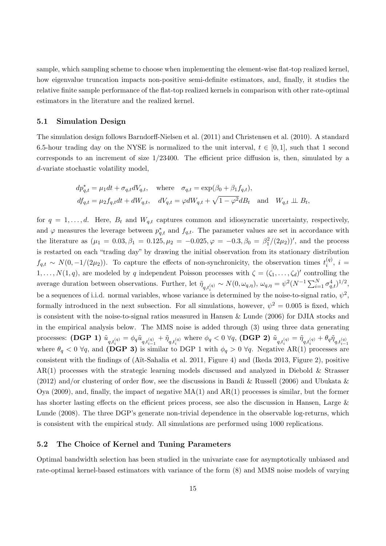sample, which sampling scheme to choose when implementing the element-wise flat-top realized kernel, how eigenvalue truncation impacts non-positive semi-definite estimators, and, finally, it studies the relative finite sample performance of the flat-top realized kernels in comparison with other rate-optimal estimators in the literature and the realized kernel.

#### 5.1 Simulation Design

The simulation design follows Barndorff-Nielsen et al. (2011) and Christensen et al. (2010). A standard 6.5-hour trading day on the NYSE is normalized to the unit interval,  $t \in [0, 1]$ , such that 1 second corresponds to an increment of size  $1/23400$ . The efficient price diffusion is, then, simulated by a d-variate stochastic volatility model,

$$
dp_{q,t}^* = \mu_1 dt + \sigma_{q,t} dV_{q,t}, \quad \text{where} \quad \sigma_{q,t} = \exp(\beta_0 + \beta_1 f_{q,t}),
$$
  

$$
df_{q,t} = \mu_2 f_{q,t} dt + dW_{q,t}, \quad dV_{q,t} = \varphi dW_{q,t} + \sqrt{1 - \varphi^2} dB_t \quad \text{and} \quad W_{q,t} \perp \!\!\! \perp B_t,
$$

for  $q = 1, \ldots, d$ . Here,  $B_t$  and  $W_{q,t}$  captures common and idiosyncratic uncertainty, respectively, and  $\varphi$  measures the leverage between  $p_{q,t}^*$  and  $f_{q,t}$ . The parameter values are set in accordance with the literature as  $(\mu_1 = 0.03, \beta_1 = 0.125, \mu_2 = -0.025, \varphi = -0.3, \beta_0 = \beta_1^2/(2\mu_2))'$ , and the process is restarted on each "trading day" by drawing the initial observation from its stationary distribution  $f_{q,t} \sim N(0, -1/(2\mu_2)).$  To capture the effects of non-synchronicity, the observation times  $t_i^{(q)}$  $i^{(q)}$ ,  $i =$  $1, \ldots, N(1, q)$ , are modeled by q independent Poisson processes with  $\zeta = (\zeta_1, \ldots, \zeta_d)'$  controlling the average duration between observations. Further, let  $\tilde{\eta}_{q,t_i^{(q)}} \sim N(0,\omega_{q,\eta}), \omega_{q,\eta} = \psi^2 (N^{-1} \sum_{i=1}^N \sigma_{q,t}^4)^{1/2},$ be a sequences of i.i.d. normal variables, whose variance is determined by the noise-to-signal ratio,  $\psi^2$ , formally introduced in the next subsection. For all simulations, however,  $\psi^2 = 0.005$  is fixed, which is consistent with the noise-to-signal ratios measured in Hansen & Lunde (2006) for DJIA stocks and in the empirical analysis below. The MMS noise is added through (3) using three data generating processes: (DGP 1)  $\tilde{u}_{q,t^{(q)}_i} = \phi_q \tilde{u}_{q,t^{(q)}_{i-1}} + \tilde{\eta}_{q,t^{(q)}_i}$  where  $\phi_q < 0$   $\forall q$ , (DGP 2)  $\tilde{u}_{q,t^{(q)}_i} = \tilde{\eta}_{q,t^{(q)}_i} + \theta_q \tilde{\eta}_{q,t^{(q)}_{i-1}}$ where  $\theta_q < 0 \ \forall q$ , and (DGP 3) is similar to DGP 1 with  $\phi_q > 0 \ \forall q$ . Negative AR(1) processes are consistent with the findings of (A¨ıt-Sahalia et al. 2011, Figure 4) and (Ikeda 2013, Figure 2), positive AR(1) processes with the strategic learning models discussed and analyzed in Diebold & Strasser  $(2012)$  and/or clustering of order flow, see the discussions in Bandi & Russell (2006) and Ubukata & Oya (2009), and, finally, the impact of negative  $MA(1)$  and  $AR(1)$  processes is similar, but the former has shorter lasting effects on the efficient prices process, see also the discussion in Hansen, Large & Lunde (2008). The three DGP's generate non-trivial dependence in the observable log-returns, which is consistent with the empirical study. All simulations are performed using 1000 replications.

#### 5.2 The Choice of Kernel and Tuning Parameters

Optimal bandwidth selection has been studied in the univariate case for asymptotically unbiased and rate-optimal kernel-based estimators with variance of the form (8) and MMS noise models of varying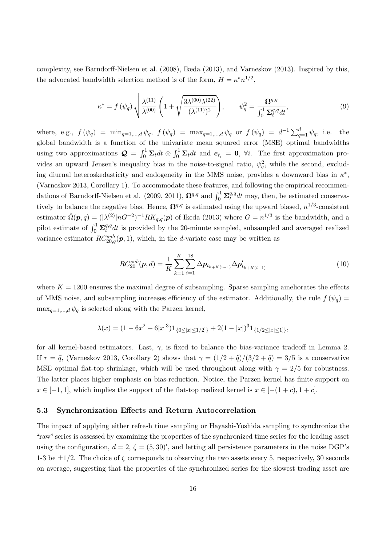complexity, see Barndorff-Nielsen et al. (2008), Ikeda (2013), and Varneskov (2013). Inspired by this, the advocated bandwidth selection method is of the form,  $H = \kappa^* n^{1/2}$ ,

$$
\kappa^* = f(\psi_q) \sqrt{\frac{\lambda^{(11)}}{\lambda^{(00)}} \left(1 + \sqrt{\frac{3\lambda^{(00)}\lambda^{(22)}}{(\lambda^{(11)})^2}}\right)}, \qquad \psi_q^2 = \frac{\Omega^{q,q}}{\int_0^1 \Sigma_t^{q,q} dt}, \tag{9}
$$

where, e.g.,  $f(\psi_q) = \min_{q=1,\dots,d} \psi_q$ ,  $f(\psi_q) = \max_{q=1,\dots,d} \psi_q$  or  $f(\psi_q) = d^{-1} \sum_{q=1}^d \psi_q$ , i.e. the global bandwidth is a function of the univariate mean squared error (MSE) optimal bandwidths using two approximations  $\mathcal{Q} = \int_0^1 \Sigma_t dt \otimes \int_0^1 \Sigma_t dt$  and  $e_{t_i} = 0$ ,  $\forall i$ . The first approximation provides an upward Jensen's inequality bias in the noise-to-signal ratio,  $\psi_q^2$ , while the second, excluding diurnal heteroskedasticity and endogeneity in the MMS noise, provides a downward bias in  $\kappa^*$ , (Varneskov 2013, Corollary 1). To accommodate these features, and following the empirical recommendations of Barndorff-Nielsen et al. (2009, 2011),  $\mathbf{\Omega}^{q,q}$  and  $\int_0^1 \mathbf{\Sigma}_t^{q,q}$  $t^{q,q}dt$  may, then, be estimated conservatively to balance the negative bias. Hence,  $\Omega^{q,q}$  is estimated using the upward biased,  $n^{1/3}$ -consistent estimator  $\hat{\Omega}(\mathbf{p}, q) = (|\lambda^{(2)}| nG^{-2})^{-1} R K_{q,q}(\mathbf{p})$  of Ikeda (2013) where  $G = n^{1/3}$  is the bandwidth, and a pilot estimate of  $\int_0^1 \mathbf{\Sigma}_t^{q,q}$  $t^{q,q}dt$  is provided by the 20-minute sampled, subsampled and averaged realized variance estimator  $RC_{20,q}^{sub}(\mathbf{p},1)$ , which, in the d-variate case may be written as

$$
RC_{20}^{sub}(\boldsymbol{p},d) = \frac{1}{K} \sum_{k=1}^{K} \sum_{i=1}^{18} \Delta p_{t_{k+K(i-1)}} \Delta p'_{t_{k+K(i-1)}} \tag{10}
$$

where  $K = 1200$  ensures the maximal degree of subsampling. Sparse sampling ameliorates the effects of MMS noise, and subsampling increases efficiency of the estimator. Additionally, the rule  $f(\psi_q)$  $\max_{q=1,\dots,d} \psi_q$  is selected along with the Parzen kernel,

$$
\lambda(x) = (1 - 6x^2 + 6|x|^3)\mathbf{1}_{\{0 \le |x| \le 1/2\}} + 2(1 - |x|)^3 \mathbf{1}_{\{1/2 \le |x| \le 1\}},
$$

for all kernel-based estimators. Last,  $\gamma$ , is fixed to balance the bias-variance tradeoff in Lemma 2. If  $r = \tilde{q}$ , (Varneskov 2013, Corollary 2) shows that  $\gamma = (1/2 + \tilde{q})/(3/2 + \tilde{q}) = 3/5$  is a conservative MSE optimal flat-top shrinkage, which will be used throughout along with  $\gamma = 2/5$  for robustness. The latter places higher emphasis on bias-reduction. Notice, the Parzen kernel has finite support on  $x \in [-1,1]$ , which implies the support of the flat-top realized kernel is  $x \in [-1,1]$ ,  $x \in [-1,1]$ .

#### 5.3 Synchronization Effects and Return Autocorrelation

The impact of applying either refresh time sampling or Hayashi-Yoshida sampling to synchronize the "raw" series is assessed by examining the properties of the synchronized time series for the leading asset using the configuration,  $d = 2$ ,  $\zeta = (5, 30)'$ , and letting all persistence parameters in the noise DGP's 1-3 be  $\pm 1/2$ . The choice of  $\zeta$  corresponds to observing the two assets every 5, respectively, 30 seconds on average, suggesting that the properties of the synchronized series for the slowest trading asset are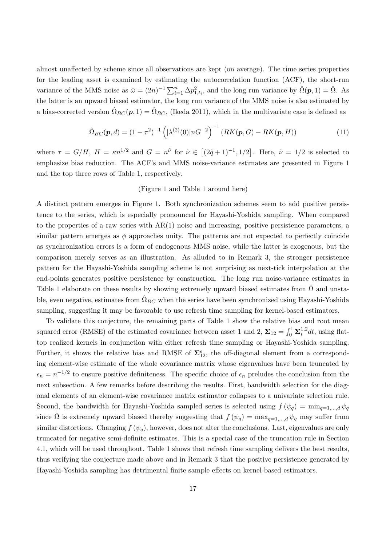almost unaffected by scheme since all observations are kept (on average). The time series properties for the leading asset is examined by estimating the autocorrelation function (ACF), the short-run variance of the MMS noise as  $\hat{\omega} = (2n)^{-1} \sum_{i=1}^{n} \Delta p_{1,t_i}^2$ , and the long run variance by  $\hat{\Omega}(\mathbf{p}, 1) = \hat{\Omega}$ . As the latter is an upward biased estimator, the long run variance of the MMS noise is also estimated by a bias-corrected version  $\hat{\Omega}_{BC}(p,1) = \hat{\Omega}_{BC}$ , (Ikeda 2011), which in the multivariate case is defined as

$$
\hat{\Omega}_{BC}(\mathbf{p}, d) = (1 - \tau^2)^{-1} \left( |\lambda^{(2)}(0)| nG^{-2} \right)^{-1} \left( RK(\mathbf{p}, G) - RK(\mathbf{p}, H) \right) \tag{11}
$$

where  $\tau = G/H$ ,  $H = \kappa n^{1/2}$  and  $G = n^{\tilde{\nu}}$  for  $\tilde{\nu} \in [(2\tilde{q}+1)^{-1}, 1/2]$ . Here,  $\tilde{\nu} = 1/2$  is selected to emphasize bias reduction. The ACF's and MMS noise-variance estimates are presented in Figure 1 and the top three rows of Table 1, respectively.

#### (Figure 1 and Table 1 around here)

A distinct pattern emerges in Figure 1. Both synchronization schemes seem to add positive persistence to the series, which is especially pronounced for Hayashi-Yoshida sampling. When compared to the properties of a raw series with AR(1) noise and increasing, positive persistence parameters, a similar pattern emerges as  $\phi$  approaches unity. The patterns are not expected to perfectly coincide as synchronization errors is a form of endogenous MMS noise, while the latter is exogenous, but the comparison merely serves as an illustration. As alluded to in Remark 3, the stronger persistence pattern for the Hayashi-Yoshida sampling scheme is not surprising as next-tick interpolation at the end-points generates positive persistence by construction. The long run noise-variance estimates in Table 1 elaborate on these results by showing extremely upward biased estimates from  $\Omega$  and unstable, even negative, estimates from  $\Omega_{BC}$  when the series have been synchronized using Hayashi-Yoshida sampling, suggesting it may be favorable to use refresh time sampling for kernel-based estimators.

To validate this conjecture, the remaining parts of Table 1 show the relative bias and root mean squared error (RMSE) of the estimated covariance between asset 1 and 2,  $\Sigma_{12} = \int_0^1 \Sigma_t^{1,2}$  $t^{1,2}dt$ , using flattop realized kernels in conjunction with either refresh time sampling or Hayashi-Yoshida sampling. Further, it shows the relative bias and RMSE of  $\Sigma_{12}^{\epsilon}$ , the off-diagonal element from a corresponding element-wise estimate of the whole covariance matrix whose eigenvalues have been truncated by  $\epsilon_n = n^{-1/2}$  to ensure positive definiteness. The specific choice of  $\epsilon_n$  preludes the conclusion from the next subsection. A few remarks before describing the results. First, bandwidth selection for the diagonal elements of an element-wise covariance matrix estimator collapses to a univariate selection rule. Second, the bandwidth for Hayashi-Yoshida sampled series is selected using  $f(\psi_q) = \min_{q=1,\dots,d} \psi_q$ since  $\hat{\Omega}$  is extremely upward biased thereby suggesting that  $f(\psi_q) = \max_{q=1,\dots,d} \psi_q$  may suffer from similar distortions. Changing  $f(\psi_q)$ , however, does not alter the conclusions. Last, eigenvalues are only truncated for negative semi-definite estimates. This is a special case of the truncation rule in Section 4.1, which will be used throughout. Table 1 shows that refresh time sampling delivers the best results, thus verifying the conjecture made above and in Remark 3 that the positive persistence generated by Hayashi-Yoshida sampling has detrimental finite sample effects on kernel-based estimators.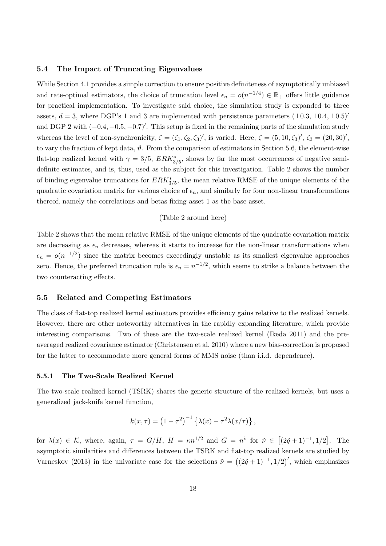#### 5.4 The Impact of Truncating Eigenvalues

While Section 4.1 provides a simple correction to ensure positive definiteness of asymptotically unbiased and rate-optimal estimators, the choice of truncation level  $\epsilon_n = o(n^{-1/4}) \in \mathbb{R}_+$  offers little guidance for practical implementation. To investigate said choice, the simulation study is expanded to three assets,  $d = 3$ , where DGP's 1 and 3 are implemented with persistence parameters  $(\pm 0.3, \pm 0.4, \pm 0.5)$ <sup>t</sup> and DGP 2 with  $(-0.4, -0.5, -0.7)'$ . This setup is fixed in the remaining parts of the simulation study whereas the level of non-synchronicity,  $\zeta = (\zeta_1, \zeta_2, \zeta_3)'$ , is varied. Here,  $\zeta = (5, 10, \zeta_3)'$ ,  $\zeta_3 = (20, 30)'$ , to vary the fraction of kept data,  $\vartheta$ . From the comparison of estimators in Section 5.6, the element-wise flat-top realized kernel with  $\gamma = 3/5$ ,  $ERK^*_{3/5}$ , shows by far the most occurrences of negative semidefinite estimates, and is, thus, used as the subject for this investigation. Table 2 shows the number of binding eigenvalue truncations for  $ERK^*_{3/5}$ , the mean relative RMSE of the unique elements of the quadratic covariation matrix for various choice of  $\epsilon_n$ , and similarly for four non-linear transformations thereof, namely the correlations and betas fixing asset 1 as the base asset.

#### (Table 2 around here)

Table 2 shows that the mean relative RMSE of the unique elements of the quadratic covariation matrix are decreasing as  $\epsilon_n$  decreases, whereas it starts to increase for the non-linear transformations when  $\epsilon_n = o(n^{-1/2})$  since the matrix becomes exceedingly unstable as its smallest eigenvalue approaches zero. Hence, the preferred truncation rule is  $\epsilon_n = n^{-1/2}$ , which seems to strike a balance between the two counteracting effects.

#### 5.5 Related and Competing Estimators

The class of flat-top realized kernel estimators provides efficiency gains relative to the realized kernels. However, there are other noteworthy alternatives in the rapidly expanding literature, which provide interesting comparisons. Two of these are the two-scale realized kernel (Ikeda 2011) and the preaveraged realized covariance estimator (Christensen et al. 2010) where a new bias-correction is proposed for the latter to accommodate more general forms of MMS noise (than i.i.d. dependence).

#### 5.5.1 The Two-Scale Realized Kernel

The two-scale realized kernel (TSRK) shares the generic structure of the realized kernels, but uses a generalized jack-knife kernel function,

$$
k(x,\tau) = (1-\tau^2)^{-1} \left\{ \lambda(x) - \tau^2 \lambda(x/\tau) \right\},\,
$$

for  $\lambda(x) \in \mathcal{K}$ , where, again,  $\tau = G/H$ ,  $H = \kappa n^{1/2}$  and  $G = n^{\tilde{\nu}}$  for  $\tilde{\nu} \in [(2\tilde{q}+1)^{-1}, 1/2]$ . The asymptotic similarities and differences between the TSRK and flat-top realized kernels are studied by Varneskov (2013) in the univariate case for the selections  $\tilde{\nu} = ((2\tilde{q}+1)^{-1}, 1/2)'$ , which emphasizes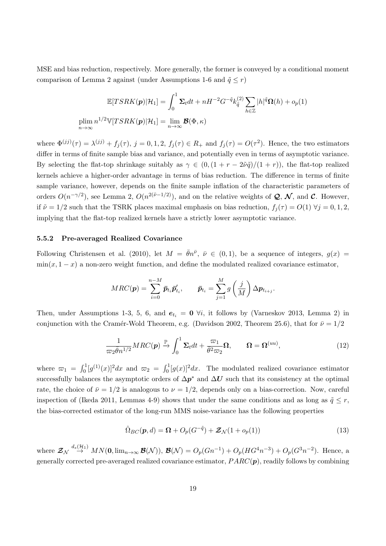MSE and bias reduction, respectively. More generally, the former is conveyed by a conditional moment comparison of Lemma 2 against (under Assumptions 1-6 and  $\tilde{q} \leq r$ )

$$
\mathbb{E}[TSRK(\boldsymbol{p})|\mathcal{H}_1] = \int_0^1 \Sigma_t dt + nH^{-2}G^{-\tilde{q}}k_{\tilde{q}}^{(2)} \sum_{h \in \mathbb{Z}} |h|^{\tilde{q}}\Omega(h) + o_p(1)
$$
  
plim  $n^{1/2}\mathbb{V}[TSRK(\boldsymbol{p})|\mathcal{H}_1] = \lim_{n \to \infty} \mathcal{B}(\Phi, \kappa)$ 

where  $\Phi^{(jj)}(\tau) = \lambda^{(jj)} + f_j(\tau)$ ,  $j = 0, 1, 2$ ,  $f_j(\tau) \in R_+$  and  $f_j(\tau) = O(\tau^2)$ . Hence, the two estimators differ in terms of finite sample bias and variance, and potentially even in terms of asymptotic variance. By selecting the flat-top shrinkage suitably as  $\gamma \in (0, (1 + r - 2\tilde{\nu}\tilde{q})/(1+r))$ , the flat-top realized kernels achieve a higher-order advantage in terms of bias reduction. The difference in terms of finite sample variance, however, depends on the finite sample inflation of the characteristic parameters of orders  $O(n^{-\gamma/2})$ , see Lemma 2,  $O(n^{2(\tilde{\nu}-1/2)})$ , and on the relative weights of  $\mathcal{Q}, \mathcal{N}$ , and  $\mathcal{C}$ . However, if  $\tilde{\nu} = 1/2$  such that the TSRK places maximal emphasis on bias reduction,  $f_j(\tau) = O(1)$   $\forall j = 0, 1, 2$ , implying that the flat-top realized kernels have a strictly lower asymptotic variance.

#### 5.5.2 Pre-averaged Realized Covariance

Following Christensen et al. (2010), let  $M = \bar{\theta}n^{\bar{\nu}}, \bar{\nu} \in (0,1)$ , be a sequence of integers,  $g(x)$  $\min(x, 1-x)$  a non-zero weight function, and define the modulated realized covariance estimator,

$$
MRC(\mathbf{p}) = \sum_{i=0}^{n-M} \bar{p}_{t_i} \bar{p}'_{t_i}, \qquad \bar{p}_{t_i} = \sum_{j=1}^{M} g\left(\frac{j}{M}\right) \Delta p_{t_{i+j}}.
$$

Then, under Assumptions 1-3, 5, 6, and  $e_{t_i} = 0$   $\forall i$ , it follows by (Varneskov 2013, Lemma 2) in conjunction with the Cramér-Wold Theorem, e.g. (Davidson 2002, Theorem 25.6), that for  $\bar{\nu} = 1/2$ 

$$
\frac{1}{\varpi_2 \bar{\theta} n^{1/2}} MRC(\boldsymbol{p}) \xrightarrow{\mathbb{P}} \int_0^1 \Sigma_t dt + \frac{\varpi_1}{\bar{\theta}^2 \varpi_2} \Omega, \qquad \Omega = \Omega^{(uu)}, \tag{12}
$$

where  $\varpi_1 = \int_0^1 [g^{(1)}(x)]^2 dx$  and  $\varpi_2 = \int_0^1 [g(x)]^2 dx$ . The modulated realized covariance estimator successfully balances the asymptotic orders of  $\Delta p^*$  and  $\Delta U$  such that its consistency at the optimal rate, the choice of  $\bar{\nu} = 1/2$  is analogous to  $\nu = 1/2$ , depends only on a bias-correction. Now, careful inspection of (Ikeda 2011, Lemmas 4-9) shows that under the same conditions and as long as  $\tilde{q} \leq r$ , the bias-corrected estimator of the long-run MMS noise-variance has the following properties

$$
\hat{\Omega}_{BC}(\mathbf{p}, d) = \mathbf{\Omega} + O_p(G^{-\tilde{q}}) + \mathcal{Z}_{\mathcal{N}}(1 + o_p(1))
$$
\n(13)

where  $\mathcal{Z}_{\mathcal{N}} \stackrel{d_s(\mathcal{H}_1)}{\rightarrow} MN(0, \lim_{n\to\infty} \mathcal{B}(\mathcal{N}))$ ,  $\mathcal{B}(\mathcal{N})=O_p(Gn^{-1})+O_p(HG^4n^{-3})+O_p(G^3n^{-2})$ . Hence, a generally corrected pre-averaged realized covariance estimator,  $PARC(p)$ , readily follows by combining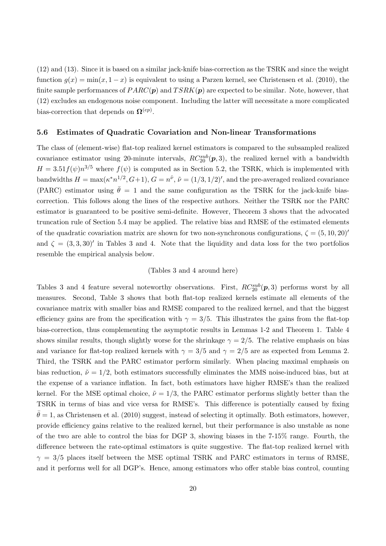(12) and (13). Since it is based on a similar jack-knife bias-correction as the TSRK and since the weight function  $g(x) = min(x, 1-x)$  is equivalent to using a Parzen kernel, see Christensen et al. (2010), the finite sample performances of  $PARC(p)$  and  $TSRK(p)$  are expected to be similar. Note, however, that (12) excludes an endogenous noise component. Including the latter will necessitate a more complicated bias-correction that depends on  $\mathbf{\Omega}^{(ep)}$ .

#### 5.6 Estimates of Quadratic Covariation and Non-linear Transformations

The class of (element-wise) flat-top realized kernel estimators is compared to the subsampled realized covariance estimator using 20-minute intervals,  $RC_{20}^{sub}(p,3)$ , the realized kernel with a bandwidth  $H = 3.51 f(\psi) n^{3/5}$  where  $f(\psi)$  is computed as in Section 5.2, the TSRK, which is implemented with bandwidths  $H = \max(\kappa^* n^{1/2}, G+1), G = n^{\tilde{\nu}}, \tilde{\nu} = (1/3, 1/2)$ , and the pre-averaged realized covariance (PARC) estimator using  $\bar{\theta} = 1$  and the same configuration as the TSRK for the jack-knife biascorrection. This follows along the lines of the respective authors. Neither the TSRK nor the PARC estimator is guaranteed to be positive semi-definite. However, Theorem 3 shows that the advocated truncation rule of Section 5.4 may be applied. The relative bias and RMSE of the estimated elements of the quadratic covariation matrix are shown for two non-synchronous configurations,  $\zeta = (5, 10, 20)^{6}$ and  $\zeta = (3, 3, 30)'$  in Tables 3 and 4. Note that the liquidity and data loss for the two portfolios resemble the empirical analysis below.

#### (Tables 3 and 4 around here)

Tables 3 and 4 feature several noteworthy observations. First,  $RC_{20}^{sub}(p,3)$  performs worst by all measures. Second, Table 3 shows that both flat-top realized kernels estimate all elements of the covariance matrix with smaller bias and RMSE compared to the realized kernel, and that the biggest efficiency gains are from the specification with  $\gamma = 3/5$ . This illustrates the gains from the flat-top bias-correction, thus complementing the asymptotic results in Lemmas 1-2 and Theorem 1. Table 4 shows similar results, though slightly worse for the shrinkage  $\gamma = 2/5$ . The relative emphasis on bias and variance for flat-top realized kernels with  $\gamma = 3/5$  and  $\gamma = 2/5$  are as expected from Lemma 2. Third, the TSRK and the PARC estimator perform similarly. When placing maximal emphasis on bias reduction,  $\tilde{\nu} = 1/2$ , both estimators successfully eliminates the MMS noise-induced bias, but at the expense of a variance inflation. In fact, both estimators have higher RMSE's than the realized kernel. For the MSE optimal choice,  $\tilde{\nu} = 1/3$ , the PARC estimator performs slightly better than the TSRK in terms of bias and vice versa for RMSE's. This difference is potentially caused by fixing  $\theta = 1$ , as Christensen et al. (2010) suggest, instead of selecting it optimally. Both estimators, however, provide efficiency gains relative to the realized kernel, but their performance is also unstable as none of the two are able to control the bias for DGP 3, showing biases in the 7-15% range. Fourth, the difference between the rate-optimal estimators is quite suggestive. The flat-top realized kernel with  $\gamma = 3/5$  places itself between the MSE optimal TSRK and PARC estimators in terms of RMSE, and it performs well for all DGP's. Hence, among estimators who offer stable bias control, counting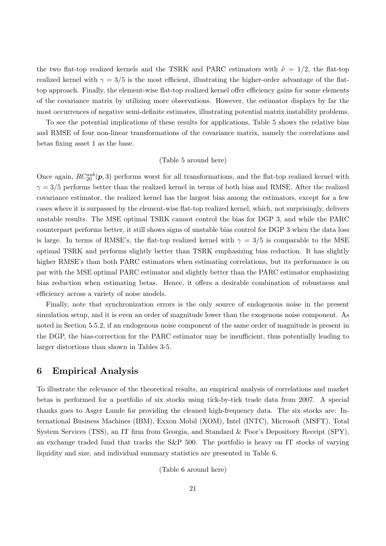the two flat-top realized kernels and the TSRK and PARC estimators with  $\tilde{\nu} = 1/2$ , the flat-top realized kernel with  $\gamma = 3/5$  is the most efficient, illustrating the higher-order advantage of the flattop approach. Finally, the element-wise flat-top realized kernel offer efficiency gains for some elements of the covariance matrix by utilizing more observations. However, the estimator displays by far the most occurrences of negative semi-definite estimates, illustrating potential matrix instability problems.

To see the potential implications of these results for applications, Table 5 shows the relative bias and RMSE of four non-linear transformations of the covariance matrix, namely the correlations and betas fixing asset 1 as the base.

#### (Table 5 around here)

Once again,  $RC_{20}^{sub}(\mathbf{p},3)$  performs worst for all transformations, and the flat-top realized kernel with  $\gamma = 3/5$  performs better than the realized kernel in terms of both bias and RMSE. After the realized covariance estimator, the realized kernel has the largest bias among the estimators, except for a few cases where it is surpassed by the element-wise flat-top realized kernel, which, not surprisingly, delivers unstable results. The MSE optimal TSRK cannot control the bias for DGP 3, and while the PARC counterpart performs better, it still shows signs of unstable bias control for DGP 3 when the data loss is large. In terms of RMSE's, the flat-top realized kernel with  $\gamma = 3/5$  is comparable to the MSE optimal TSRK and performs slightly better than TSRK emphasizing bias reduction. It has slightly higher RMSE's than both PARC estimators when estimating correlations, but its performance is on par with the MSE optimal PARC estimator and slightly better than the PARC estimator emphasizing bias reduction when estimating betas. Hence, it offers a desirable combination of robustness and efficiency across a variety of noise models.

Finally, note that synchronization errors is the only source of endogenous noise in the present simulation setup, and it is even an order of magnitude lower than the exogenous noise component. As noted in Section 5.5.2, if an endogenous noise component of the same order of magnitude is present in the DGP, the bias-correction for the PARC estimator may be insufficient, thus potentially leading to larger distortions than shown in Tables 3-5.

## 6 Empirical Analysis

To illustrate the relevance of the theoretical results, an empirical analysis of correlations and market betas is performed for a portfolio of six stocks using tick-by-tick trade data from 2007. A special thanks goes to Asger Lunde for providing the cleaned high-frequency data. The six stocks are: International Business Machines (IBM), Exxon Mobil (XOM), Intel (INTC), Microsoft (MSFT), Total System Services (TSS), an IT firm from Georgia, and Standard & Poor's Depository Receipt (SPY), an exchange traded fund that tracks the S&P 500. The portfolio is heavy on IT stocks of varying liquidity and size, and individual summary statistics are presented in Table 6.

(Table 6 around here)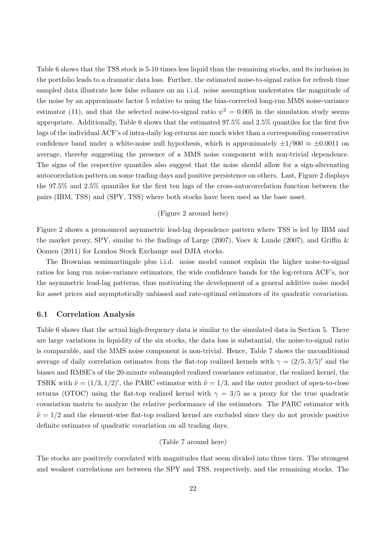Table 6 shows that the TSS stock is 5-10 times less liquid than the remaining stocks, and its inclusion in the portfolio leads to a dramatic data loss. Further, the estimated noise-to-signal ratios for refresh time sampled data illustrate how false reliance on an i.i.d. noise assumption understates the magnitude of the noise by an approximate factor 5 relative to using the bias-corrected long-run MMS noise-variance estimator (11), and that the selected noise-to-signal ratio  $\psi^2 = 0.005$  in the simulation study seems appropriate. Additionally, Table 6 shows that the estimated 97.5% and 2.5% quantiles for the first five lags of the individual ACF's of intra-daily log-returns are much wider than a corresponding conservative confidence band under a white-noise null hypothesis, which is approximately  $\pm 1/900 \approx \pm 0.0011$  on average, thereby suggesting the presence of a MMS noise component with non-trivial dependence. The signs of the respective quantiles also suggest that the noise should allow for a sign-alternating autocorrelation pattern on some trading days and positive persistence on others. Last, Figure 2 displays the 97.5% and 2.5% quantiles for the first ten lags of the cross-autocorrelation function between the pairs (IBM, TSS) and (SPY, TSS) where both stocks have been used as the base asset.

#### (Figure 2 around here)

Figure 2 shows a pronounced asymmetric lead-lag dependence pattern where TSS is led by IBM and the market proxy, SPY, similar to the findings of Large (2007), Voev & Lunde (2007), and Griffin & Oomen (2011) for London Stock Exchange and DJIA stocks.

The Brownian semimartingale plus i.i.d. noise model cannot explain the higher noise-to-signal ratios for long run noise-variance estimators, the wide confidence bands for the log-return ACF's, nor the asymmetric lead-lag patterns, thus motivating the development of a general additive noise model for asset prices and asymptotically unbiased and rate-optimal estimators of its quadratic covariation.

#### 6.1 Correlation Analysis

Table 6 shows that the actual high-frequency data is similar to the simulated data in Section 5. There are large variations in liquidity of the six stocks, the data loss is substantial, the noise-to-signal ratio is comparable, and the MMS noise component is non-trivial. Hence, Table 7 shows the unconditional average of daily correlation estimates from the flat-top realized kernels with  $\gamma = (2/5, 3/5)'$  and the biases and RMSE's of the 20-minute subsampled realized covariance estimator, the realized kernel, the TSRK with  $\tilde{\nu} = (1/3, 1/2)'$ , the PARC estimator with  $\tilde{\nu} = 1/3$ , and the outer product of open-to-close returns (OTOC) using the flat-top realized kernel with  $\gamma = 3/5$  as a proxy for the true quadratic covariation matrix to analyze the relative performance of the estimators. The PARC estimator with  $\tilde{\nu} = 1/2$  and the element-wise flat-top realized kernel are excluded since they do not provide positive definite estimates of quadratic covariation on all trading days.

#### (Table 7 around here)

The stocks are positively correlated with magnitudes that seem divided into three tiers. The strongest and weakest correlations are between the SPY and TSS, respectively, and the remaining stocks. The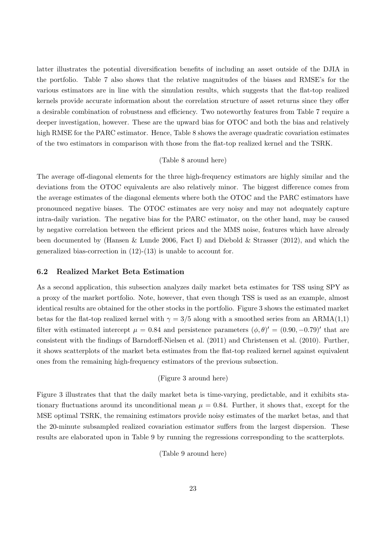latter illustrates the potential diversification benefits of including an asset outside of the DJIA in the portfolio. Table 7 also shows that the relative magnitudes of the biases and RMSE's for the various estimators are in line with the simulation results, which suggests that the flat-top realized kernels provide accurate information about the correlation structure of asset returns since they offer a desirable combination of robustness and efficiency. Two noteworthy features from Table 7 require a deeper investigation, however. These are the upward bias for OTOC and both the bias and relatively high RMSE for the PARC estimator. Hence, Table 8 shows the average quadratic covariation estimates of the two estimators in comparison with those from the flat-top realized kernel and the TSRK.

#### (Table 8 around here)

The average off-diagonal elements for the three high-frequency estimators are highly similar and the deviations from the OTOC equivalents are also relatively minor. The biggest difference comes from the average estimates of the diagonal elements where both the OTOC and the PARC estimators have pronounced negative biases. The OTOC estimates are very noisy and may not adequately capture intra-daily variation. The negative bias for the PARC estimator, on the other hand, may be caused by negative correlation between the efficient prices and the MMS noise, features which have already been documented by (Hansen & Lunde 2006, Fact I) and Diebold & Strasser (2012), and which the generalized bias-correction in (12)-(13) is unable to account for.

#### 6.2 Realized Market Beta Estimation

As a second application, this subsection analyzes daily market beta estimates for TSS using SPY as a proxy of the market portfolio. Note, however, that even though TSS is used as an example, almost identical results are obtained for the other stocks in the portfolio. Figure 3 shows the estimated market betas for the flat-top realized kernel with  $\gamma = 3/5$  along with a smoothed series from an ARMA(1,1) filter with estimated intercept  $\mu = 0.84$  and persistence parameters  $(\phi, \theta)' = (0.90, -0.79)'$  that are consistent with the findings of Barndorff-Nielsen et al. (2011) and Christensen et al. (2010). Further, it shows scatterplots of the market beta estimates from the flat-top realized kernel against equivalent ones from the remaining high-frequency estimators of the previous subsection.

#### (Figure 3 around here)

Figure 3 illustrates that that the daily market beta is time-varying, predictable, and it exhibits stationary fluctuations around its unconditional mean  $\mu = 0.84$ . Further, it shows that, except for the MSE optimal TSRK, the remaining estimators provide noisy estimates of the market betas, and that the 20-minute subsampled realized covariation estimator suffers from the largest dispersion. These results are elaborated upon in Table 9 by running the regressions corresponding to the scatterplots.

(Table 9 around here)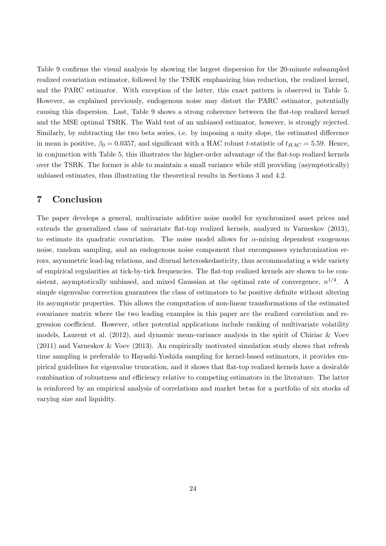Table 9 confirms the visual analysis by showing the largest dispersion for the 20-minute subsampled realized covariation estimator, followed by the TSRK emphasizing bias reduction, the realized kernel, and the PARC estimator. With exception of the latter, this exact pattern is observed in Table 5. However, as explained previously, endogenous noise may distort the PARC estimator, potentially causing this dispersion. Last, Table 9 shows a strong coherence between the flat-top realized kernel and the MSE optimal TSRK. The Wald test of an unbiased estimator, however, is strongly rejected. Similarly, by subtracting the two beta series, i.e. by imposing a unity slope, the estimated difference in mean is positive,  $\beta_0 = 0.0357$ , and significant with a HAC robust t-statistic of  $t_{HAC} = 5.59$ . Hence, in conjunction with Table 5, this illustrates the higher-order advantage of the flat-top realized kernels over the TSRK. The former is able to maintain a small variance while still providing (asymptotically) unbiased estimates, thus illustrating the theoretical results in Sections 3 and 4.2.

## 7 Conclusion

The paper develops a general, multivariate additive noise model for synchronized asset prices and extends the generalized class of univariate flat-top realized kernels, analyzed in Varneskov (2013), to estimate its quadratic covariation. The noise model allows for  $\alpha$ -mixing dependent exogenous noise, random sampling, and an endogenous noise component that encompasses synchronization errors, asymmetric lead-lag relations, and diurnal heteroskedasticity, thus accommodating a wide variety of empirical regularities at tick-by-tick frequencies. The flat-top realized kernels are shown to be consistent, asymptotically unbiased, and mixed Gaussian at the optimal rate of convergence,  $n^{1/4}$ . A simple eigenvalue correction guarantees the class of estimators to be positive definite without altering its asymptotic properties. This allows the computation of non-linear transformations of the estimated covariance matrix where the two leading examples in this paper are the realized correlation and regression coefficient. However, other potential applications include ranking of multivariate volatility models, Laurent et al. (2012), and dynamic mean-variance analysis in the spirit of Chiriac & Voev (2011) and Varneskov & Voev (2013). An empirically motivated simulation study shows that refresh time sampling is preferable to Hayashi-Yoshida sampling for kernel-based estimators, it provides empirical guidelines for eigenvalue truncation, and it shows that flat-top realized kernels have a desirable combination of robustness and efficiency relative to competing estimators in the literature. The latter is reinforced by an empirical analysis of correlations and market betas for a portfolio of six stocks of varying size and liquidity.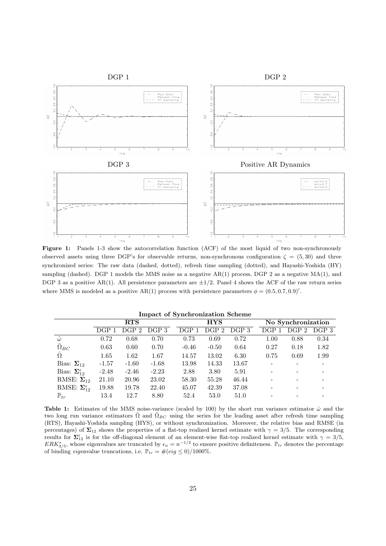

Figure 1: Panels 1-3 show the autocorrelation function (ACF) of the most liquid of two non-synchronously observed assets using three DGP's for observable returns, non-synchronous configuration  $\zeta = (5, 30)$  and three synchronized series: The raw data (dashed, dotted), refresh time sampling (dotted), and Hayashi-Yoshida (HY) sampling (dashed). DGP 1 models the MMS noise as a negative AR(1) process, DGP 2 as a negative MA(1), and DGP 3 as a positive AR(1). All persistence parameters are  $\pm 1/2$ . Panel 4 shows the ACF of the raw return series where MMS is modeled as a positive AR(1) process with persistence parameters  $\phi = (0.5, 0.7, 0.9)'$ .

|                                |                  | RTS              |                  |         | <b>HYS</b> |       |                  | No Synchronization |                  |
|--------------------------------|------------------|------------------|------------------|---------|------------|-------|------------------|--------------------|------------------|
|                                | DGP <sub>1</sub> | DGP <sub>2</sub> | DGP <sub>3</sub> | DGP 1   | DGP 2      | DGP 3 | DGP <sub>1</sub> | DGP 2              | DGP <sub>3</sub> |
| $\hat{\omega}$                 | 0.72             | 0.68             | 0.70             | 0.73    | 0.69       | 0.72  | 1.00             | 0.88               | 0.34             |
| $\Omega_{BC}$                  | 0.63             | 0.60             | 0.70             | $-0.46$ | $-0.50$    | 0.64  | 0.27             | 0.18               | 1.82             |
| $\hat{\Omega}$                 | 1.65             | 1.62             | 1.67             | 14.57   | 13.02      | 6.30  | 0.75             | 0.69               | 1.99             |
| Bias: $\Sigma_{12}$            | $-1.57$          | $-1.60$          | $-1.68$          | 13.98   | 14.33      | 13.67 |                  |                    |                  |
| Bias: $\Sigma_{12}^{\epsilon}$ | $-2.48$          | $-2.46$          | $-2.23$          | 2.88    | 3.80       | 5.91  |                  |                    |                  |
| RMSE: $\Sigma_{12}$            | 21.10            | 20.96            | 23.02            | 58.30   | 55.28      | 46.44 |                  |                    |                  |
| RMSE: $\Sigma_{12}^{\epsilon}$ | 19.88            | 19.78            | 22.40            | 45.07   | 42.39      | 37.08 |                  |                    |                  |
| $\mathbb{P}_{tr}$              | 13.4             | 12.7             | 8.80             | 52.4    | 53.0       | 51.0  |                  |                    |                  |

| <b>Impact of Synchronization Scheme</b> |  |  |  |  |  |
|-----------------------------------------|--|--|--|--|--|
|-----------------------------------------|--|--|--|--|--|

Table 1: Estimates of the MMS noise-variance (scaled by 100) by the short run variance estimator  $\hat{\omega}$  and the two long run variance estimators  $\hat{\Omega}$  and  $\hat{\Omega}_{BC}$  using the series for the leading asset after refresh time sampling (RTS), Hayashi-Yoshida sampling (HYS), or without synchronization. Moreover, the relative bias and RMSE (in percentages) of  $\Sigma_{12}$  shows the properties of a flat-top realized kernel estimate with  $\gamma = 3/5$ . The corresponding results for  $\Sigma_{12}^{\epsilon}$  is for the off-diagonal element of an element-wise flat-top realized kernel estimate with  $\gamma = 3/5$ ,  $ERK^*_{3/5}$ , whose eigenvalues are truncated by  $\epsilon_n = n^{-1/2}$  to ensure positive definiteness.  $\mathbb{P}_{tr}$  denotes the percentage of binding eigenvalue truncations, i.e.  $\mathbb{P}_{tr} = \#(eig \leq 0)/1000\%.$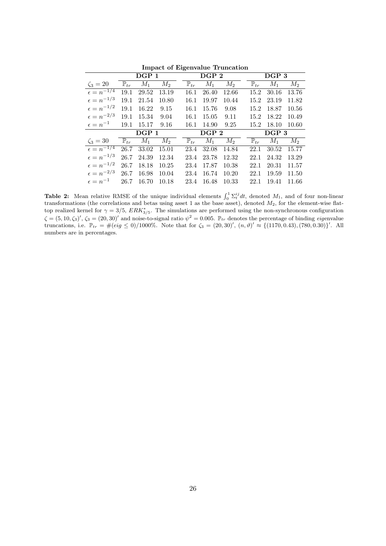|                       |                   |       |       | 0                 |                  |       |                   |       |       |
|-----------------------|-------------------|-------|-------|-------------------|------------------|-------|-------------------|-------|-------|
|                       |                   | DGP 1 |       |                   | DGP <sub>2</sub> |       |                   | DGP 3 |       |
| $\zeta_3 = 20$        | $\mathbb{P}_{tr}$ | $M_1$ | $M_2$ | $\mathbb{P}_{tr}$ | $M_1$            | $M_2$ | $\mathbb{P}_{tr}$ | $M_1$ | $M_2$ |
| $\epsilon = n^{-1/4}$ | 19.1              | 29.52 | 13.19 | 16.1              | 26.40            | 12.66 | 15.2              | 30.16 | 13.76 |
| $\epsilon = n^{-1/3}$ | 19.1              | 21.54 | 10.80 | 16.1              | 19.97            | 10.44 | 15.2              | 23.19 | 11.82 |
| $\epsilon = n^{-1/2}$ | 19.1              | 16.22 | 9.15  | 16.1              | 15.76            | 9.08  | 15.2              | 18.87 | 10.56 |
| $\epsilon = n^{-2/3}$ | 19.1              | 15.34 | 9.04  | 16.1              | 15.05            | 9.11  | 15.2              | 18.22 | 10.49 |
| $\epsilon = n^{-1}$   | 19.1              | 15.17 | 9.16  | 16.1              | 14.90            | 9.25  | 15.2              | 18.10 | 10.60 |
|                       |                   | DGP 1 |       |                   | DGP <sub>2</sub> |       |                   | DGP 3 |       |
|                       |                   |       |       |                   |                  |       |                   |       |       |
| $\zeta_3=30$          | $\mathbb{P}_{tr}$ | $M_1$ | $M_2$ | $\mathbb{P}_{tr}$ | $M_1$            | $M_2$ | $\mathbb{P}_{tr}$ | $M_1$ | $M_2$ |
| $\epsilon = n^{-1/4}$ | 26.7              | 33.02 | 15.01 | 23.4              | 32.08            | 14.84 | 22.1              | 30.52 | 15.77 |
| $\epsilon = n^{-1/3}$ | 26.7              | 24.39 | 12.34 | 23.4              | 23.78            | 12.32 | 22.1              | 24.32 | 13.29 |
| $\epsilon = n^{-1/2}$ | 26.7              | 18.18 | 10.25 | 23.4              | 17.87            | 10.38 | 22.1              | 20.31 | 11.57 |
| $\epsilon = n^{-2/3}$ | 26.7              | 16.98 | 10.04 | 23.4              | 16.74            | 10.20 | 22.1              | 19.59 | 11.50 |
| $\epsilon = n^{-1}$   | 26.7              | 16.70 | 10.18 | 23.4              | 16.48            | 10.33 | 22.1              | 19.41 | 11.66 |

Impact of Eigenvalue Truncation

**Table 2:** Mean relative RMSE of the unique individual elements  $\int_0^1 \sum_t^{ij} dt$ , denoted  $M_1$ , and of four non-linear transformations (the correlations and betas using asset 1 as the base asset), denoted  $M_2$ , for the element-wise flattop realized kernel for  $\gamma = 3/5$ ,  $ERK^*_{3/5}$ . The simulations are performed using the non-synchronous configuration  $\zeta = (5, 10, \zeta_3)'$ ,  $\zeta_3 = (20, 30)'$  and noise-to-signal ratio  $\psi^2 = 0.005$ .  $\mathbb{P}_{tr}$  denotes the percentage of binding *eigenvalue* truncations, i.e.  $\mathbb{P}_{tr} = \#(eig \le 0)/1000\%$ . Note that for  $\zeta_3 = (20, 30)'$ ,  $(n, \vartheta)' \approx \{(1170, 0.43), (780, 0.30)\}'$ . All numbers are in percentages.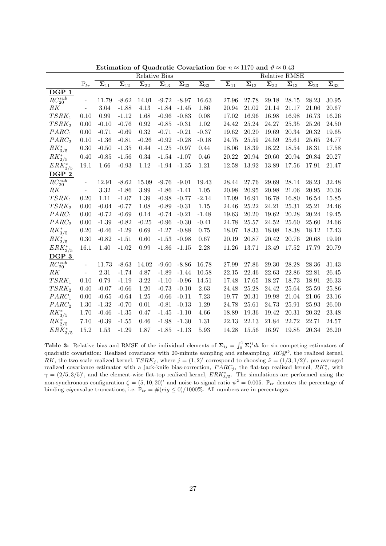|                   |                          | Relative Bias                         |                          |                          |                                         |                          |                                   |                                       |                          |                          | Relative RMSE            |                          | $\overline{\Sigma_{33}}$<br>30.95<br>20.67<br>16.26<br>24.50<br>19.65 |  |  |  |  |  |  |
|-------------------|--------------------------|---------------------------------------|--------------------------|--------------------------|-----------------------------------------|--------------------------|-----------------------------------|---------------------------------------|--------------------------|--------------------------|--------------------------|--------------------------|-----------------------------------------------------------------------|--|--|--|--|--|--|
|                   | $\mathbb{P}_{tr}$        | $\overline{\boldsymbol{\Sigma}}_{11}$ | $\overline{\Sigma_{12}}$ | $\overline{\Sigma_{22}}$ | $\overline{\boldsymbol{\Sigma}}_{13}^-$ | $\overline{\Sigma_{23}}$ | $\overline{\mathbf{\Sigma}_{33}}$ | $\overline{\boldsymbol{\Sigma}_{11}}$ | $\overline{\Sigma_{12}}$ | $\overline{\Sigma_{22}}$ | $\overline{\Sigma}_{13}$ | $\overline{\Sigma_{23}}$ |                                                                       |  |  |  |  |  |  |
| DGP <sub>1</sub>  |                          |                                       |                          |                          |                                         |                          |                                   |                                       |                          |                          |                          |                          |                                                                       |  |  |  |  |  |  |
| $RC_{20}^{sub}$   | $\overline{\phantom{0}}$ | 11.79                                 | $-8.62$                  | 14.01                    | $-9.72$                                 | $-8.97$                  | 16.63                             | 27.96                                 | 27.78                    | 29.18                    | 28.15                    | 28.23                    |                                                                       |  |  |  |  |  |  |
| $R$ K             | $\overline{\phantom{0}}$ | 3.04                                  | $-1.88$                  | 4.13                     | $-1.84$                                 | $-1.45$                  | 1.86                              | 20.94                                 | 21.02                    | 21.14                    | 21.17                    | 21.06                    |                                                                       |  |  |  |  |  |  |
| $TSRK_1$          | 0.10                     | 0.99                                  | $-1.12$                  | 1.68                     | $-0.96$                                 | $-0.83$                  | 0.08                              | 17.02                                 | 16.96                    | 16.98                    | 16.98                    | 16.73                    |                                                                       |  |  |  |  |  |  |
| TSRK <sub>2</sub> | 0.00                     | $-0.10$                               | $-0.76$                  | 0.92                     | $-0.85$                                 | $-0.31$                  | 1.02                              | 24.42                                 | 25.24                    | 24.27                    | $25.35\,$                | 25.26                    |                                                                       |  |  |  |  |  |  |
| $PARC_1$          | 0.00                     | $-0.71$                               | $-0.69$                  | 0.32                     | $-0.71$                                 | $-0.21$                  | $-0.37$                           | 19.62                                 | 20.20                    | 19.69                    | 20.34                    | 20.32                    |                                                                       |  |  |  |  |  |  |
| PARC <sub>2</sub> | 0.10                     | $-1.36$                               | $-0.81$                  | $-0.26$                  | $-0.92$                                 | $-0.28$                  | $-0.18$                           | 24.75                                 | 25.59                    | 24.59                    | 25.61                    | 25.65                    | 24.77                                                                 |  |  |  |  |  |  |
| $RK^{*}_{3/5}$    | 0.30                     | $-0.50$                               | $-1.35$                  | 0.44                     | $-1.25$                                 | $-0.97$                  | 0.44                              | 18.06                                 | 18.39                    | 18.22                    | 18.54                    | 18.31                    | 17.58                                                                 |  |  |  |  |  |  |
| $RK^{*}_{2/5}$    | 0.40                     | $-0.85$                               | $-1.56$                  | 0.34                     | $-1.54$                                 | $-1.07$                  | 0.46                              | 20.22                                 | 20.94                    | 20.60                    | $20.94\,$                | 20.84                    | 20.27                                                                 |  |  |  |  |  |  |
| $ERK^*_{3/5}$     | 19.1                     | 1.66                                  | $-0.93$                  | 1.12                     | $-1.94$                                 | $-1.35$                  | 1.21                              | 12.58                                 | 13.92                    | 13.89                    | 17.56                    | 17.91                    | 21.47                                                                 |  |  |  |  |  |  |
| DGP 2             |                          |                                       |                          |                          |                                         |                          |                                   |                                       |                          |                          |                          |                          |                                                                       |  |  |  |  |  |  |
| $RC_{20}^{sub}$   | $\overline{\phantom{0}}$ | 12.91                                 | $-8.62$                  | 15.09                    | $-9.76$                                 | $-9.01$                  | 19.43                             | 28.44                                 | 27.76                    | 29.69                    | 28.14                    | 28.23                    | 32.48                                                                 |  |  |  |  |  |  |
| RK                | $\overline{\phantom{0}}$ | 3.32                                  | $-1.86$                  | 3.99                     | $-1.86$                                 | $-1.41$                  | 1.05                              | 20.98                                 | 20.95                    | 20.98                    | 21.06                    | 20.95                    | 20.36                                                                 |  |  |  |  |  |  |
| $TSRK_1$          | 0.20                     | 1.11                                  | $-1.07$                  | 1.39                     | $-0.98$                                 | $-0.77$                  | $-2.14$                           | 17.09                                 | 16.91                    | 16.78                    | 16.80                    | 16.54                    | 15.85                                                                 |  |  |  |  |  |  |
| TSRK <sub>2</sub> | 0.00                     | $-0.04$                               | $-0.77$                  | 1.08                     | $-0.89$                                 | $-0.31$                  | 1.15                              | 24.46                                 | 25.22                    | 24.21                    | 25.31                    | 25.21                    | 24.46                                                                 |  |  |  |  |  |  |
| $PARC_1$          | 0.00                     | $-0.72$                               | $-0.69$                  | 0.14                     | $-0.74$                                 | $-0.21$                  | $-1.48$                           | 19.63                                 | 20.20                    | 19.62                    | 20.28                    | 20.24                    | 19.45                                                                 |  |  |  |  |  |  |
| PARC <sub>2</sub> | 0.00                     | $-1.39$                               | $-0.82$                  | $-0.25$                  | $-0.96$                                 | $-0.30$                  | $-0.41$                           | 24.78                                 | 25.57                    | 24.52                    | 25.60                    | 25.60                    | 24.66                                                                 |  |  |  |  |  |  |
| $RK_{3/5}^*$      | 0.20                     | $-0.46$                               | $-1.29$                  | 0.69                     | $-1.27$                                 | $-0.88$                  | 0.75                              | 18.07                                 | 18.33                    | 18.08                    | 18.38                    | 18.12                    | 17.43                                                                 |  |  |  |  |  |  |
| $RK^{*}_{2/5}$    | $0.30\,$                 | $-0.82$                               | $-1.51$                  | 0.60                     | $-1.53$                                 | $-0.98$                  | 0.67                              | 20.19                                 | 20.87                    | 20.42                    | 20.76                    | 20.68                    | 19.90                                                                 |  |  |  |  |  |  |
| $ERK^*_{3/5}$     | 16.1                     | 1.40                                  | $-1.02$                  | 0.99                     | $-1.86$                                 | $-1.15$                  | 2.28                              | 11.26                                 | 13.71                    | 13.49                    | 17.52                    | 17.79                    | 20.79                                                                 |  |  |  |  |  |  |
| DGP 3             |                          |                                       |                          |                          |                                         |                          |                                   |                                       |                          |                          |                          |                          |                                                                       |  |  |  |  |  |  |
| $RC_{20}^{sub}$   | $\overline{\phantom{0}}$ | 11.73                                 | $-8.63$                  | 14.02                    | $-9.60$                                 | $-8.86$                  | 16.78                             | 27.99                                 | 27.86                    | 29.30                    | 28.28                    | 28.36                    | 31.43                                                                 |  |  |  |  |  |  |
| RK                | $\overline{\phantom{0}}$ | $2.31\,$                              | $-1.74$                  | 4.87                     | $-1.89$                                 | $-1.44$                  | 10.58                             | 22.15                                 | 22.46                    | 22.63                    | 22.86                    | 22.81                    | 26.45                                                                 |  |  |  |  |  |  |
| $TSRK_1$          | 0.10                     | 0.79                                  | $-1.19$                  | 3.22                     | $-1.10$                                 | $-0.96$                  | 14.51                             | 17.48                                 | 17.65                    | 18.27                    | 18.73                    | 18.91                    | 26.33                                                                 |  |  |  |  |  |  |
| TSRK <sub>2</sub> | 0.40                     | $-0.07$                               | $-0.66$                  | 1.20                     | $-0.73$                                 | $-0.10$                  | 2.63                              | 24.48                                 | 25.28                    | 24.42                    | 25.64                    | 25.59                    | 25.86                                                                 |  |  |  |  |  |  |
| $PARC_1$          | 0.00                     | $-0.65$                               | $-0.64$                  | 1.25                     | $-0.66$                                 | $-0.11$                  | 7.23                              | 19.77                                 | 20.31                    | 19.98                    | 21.04                    | 21.06                    | 23.16                                                                 |  |  |  |  |  |  |
| PARC <sub>2</sub> | 1.30                     | $-1.32$                               | $-0.70$                  | 0.01                     | $-0.81$                                 | $-0.13$                  | 1.29                              | 24.78                                 | 25.61                    | 24.73                    | 25.91                    | 25.93                    | 26.00                                                                 |  |  |  |  |  |  |
| $RK^{*}_{3/5}$    | 1.70                     | $-0.46$                               | $-1.35$                  | 0.47                     | $-1.45$                                 | $-1.10$                  | 4.66                              | 18.89                                 | 19.36                    | 19.42                    | 20.31                    | 20.32                    | 23.48                                                                 |  |  |  |  |  |  |
| $RK^{*}_{2/5}$    | 7.10                     | $-0.39$                               | $-1.55$                  | 0.46                     | $-1.98$                                 | $-1.30$                  | 1.31                              | 22.13                                 | 22.13                    | 21.84                    | 22.72                    | 22.71                    | 24.57                                                                 |  |  |  |  |  |  |
| $ERK^*_{3/5}$     | 15.2                     | 1.53                                  | $-1.29$                  | 1.87                     | $-1.85$                                 | $-1.13$                  | 5.93                              | 14.28                                 | 15.56                    | 16.97                    | 19.85                    | 20.34                    | 26.20                                                                 |  |  |  |  |  |  |

Estimation of Quadratic Covariation for  $n \approx 1170$  and  $\vartheta \approx 0.43$ 

**Table 3:** Relative bias and RMSE of the individual elements of  $\Sigma_{ij} = \int_0^1 \Sigma_t^{ij} dt$  for six competing estimators of quadratic covariation: Realized covariance with 20-minute sampling and subsampling,  $RC_{20}^{sub}$ , the realized kernel, RK, the two-scale realized kernel,  $TSRK_j$ , where  $j = (1, 2)'$  correspond to choosing  $\tilde{\nu} = (1/3, 1/2)'$ , pre-averaged realized covariance estimator with a jack-knife bias-correction,  $PARC_j$ , the flat-top realized kernel,  $RK^*_{\gamma}$ , with  $\gamma = (2/5, 3/5)'$ , and the element-wise flat-top realized kernel,  $ERK^*_{3/5}$ . The simulations are performed using the non-synchronous configuration  $\zeta = (5, 10, 20)'$  and noise-to-signal ratio  $\psi^2 = 0.005$ .  $\mathbb{P}_{tr}$  denotes the percentage of binding eigenvalue truncations, i.e.  $\mathbb{P}_{tr} = \#(eig \leq 0)/1000\%$ . All numbers are in percentages.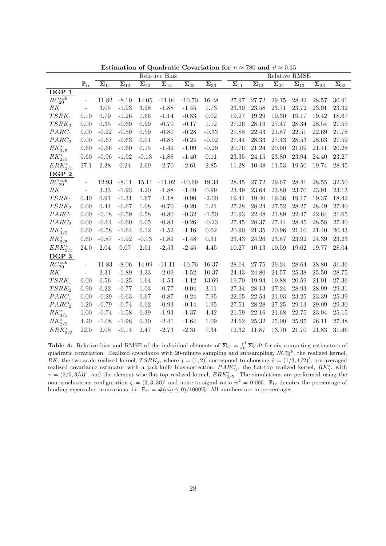|                       |                          |                          |                          |                                   | Relative Bias                         |                          |                          |                                       |                          |                                       | Relative RMSE            |                          |                                   |
|-----------------------|--------------------------|--------------------------|--------------------------|-----------------------------------|---------------------------------------|--------------------------|--------------------------|---------------------------------------|--------------------------|---------------------------------------|--------------------------|--------------------------|-----------------------------------|
|                       | $\mathbb{P}_{tr}$        | $\overline{\Sigma}_{11}$ | $\overline{\Sigma_{12}}$ | $\overline{\mathbf{\Sigma}_{22}}$ | $\overline{\boldsymbol{\Sigma}_{13}}$ | $\overline{\Sigma_{23}}$ | $\overline{\Sigma}_{33}$ | $\overline{\boldsymbol{\Sigma}_{11}}$ | $\overline{\Sigma_{12}}$ | $\overline{\boldsymbol{\Sigma}}_{22}$ | $\overline{\Sigma_{13}}$ | $\overline{\Sigma_{23}}$ | $\overline{\mathbf{\Sigma}_{33}}$ |
| DGP 1                 |                          |                          |                          |                                   |                                       |                          |                          |                                       |                          |                                       |                          |                          |                                   |
| $RC_{20}^{sub}$       | $\overline{\phantom{a}}$ | 11.82                    | $-8.10$                  | 14.05                             | $-11.04$                              | $-10.70$                 | 16.48                    | 27.97                                 | 27.72                    | 29.15                                 | 28.42                    | 28.57                    | 30.91                             |
| RK                    | $\overline{\phantom{0}}$ | $3.05\,$                 | $-1.93$                  | 3.98                              | $-1.88$                               | $-1.45$                  | 1.73                     | 23.39                                 | $23.58\,$                | 23.71                                 | 23.72                    | 23.91                    | 23.32                             |
| $TSRK_1$              | 0.10                     | 0.79                     | $-1.26$                  | 1.66                              | $-1.14$                               | $-0.83$                  | $0.02\,$                 | 19.27                                 | 19.29                    | 19.30                                 | 19.17                    | 19.42                    | 18.67                             |
| TSRK <sub>2</sub>     | 0.00                     | 0.35                     | $-0.69$                  | 0.99                              | $-0.70$                               | $-0.17$                  | 1.12                     | 27.26                                 | 28.19                    | 27.47                                 | 28.34                    | 28.54                    | $27.55\,$                         |
| $PARC_1$              | 0.00                     | $-0.22$                  | $-0.59$                  | 0.59                              | $-0.80$                               | $-0.28$                  | $-0.33$                  | 21.88                                 | 22.43                    | 21.87                                 | 22.51                    | 22.69                    | 21.78                             |
| PARC <sub>2</sub>     | 0.00                     | $-0.67$                  | $-0.63$                  | 0.01                              | $-0.85$                               | $-0.24$                  | $-0.02$                  | 27.44                                 | 28.33                    | 27.43                                 | 28.53                    | 28.63                    | 27.59                             |
| $RK_{3/5}^*$          | 0.60                     | $-0.66$                  | $-1.60$                  | 0.15                              | $-1.49$                               | $-1.09$                  | $-0.29$                  | 20.76                                 | 21.24                    | $20.90\,$                             | $21.09\,$                | $21.41\,$                | 20.28                             |
| $RK^{*}_{2/5}$        | 0.60                     | $-0.96$                  | $-1.92$                  | $-0.13$                           | $-1.88$                               | $-1.40$                  | 0.11                     | $23.35\,$                             | 24.15                    | $23.80\,$                             | $23.94\,$                | 24.40                    | 23.27                             |
| $ERK^*_{3/5}$         | 27.1                     | 2.38                     | 0.24                     | 2.69                              | $-2.70$                               | $-2.61$                  | $2.85\,$                 | 11.28                                 | 10.48                    | 11.53                                 | 19.50                    | 19.74                    | 28.45                             |
| DGP 2                 |                          |                          |                          |                                   |                                       |                          |                          |                                       |                          |                                       |                          |                          |                                   |
| $RC_{20}^{sub}$       | $\overline{\phantom{0}}$ | 12.93                    | $-8.11$                  | 15.11                             | $-11.02$                              | $-10.69$                 | 19.34                    | 28.45                                 | 27.72                    | 29.67                                 | 28.41                    | 28.55                    | 32.50                             |
| RK                    | $\overline{\phantom{a}}$ | 3.33                     | $-1.93$                  | 4.20                              | $-1.88$                               | $-1.49$                  | 0.99                     | 23.49                                 | $23.64\,$                | 23.80                                 | 23.70                    | 23.91                    | 23.13                             |
| $TSRK_1$              | 0.40                     | $\rm 0.91$               | $-1.31$                  | 1.67                              | $-1.18$                               | $-0.90$                  | $-2.00$                  | 19.44                                 | 19.40                    | 19.36                                 | 19.17                    | 19.37                    | 18.42                             |
| TSRK <sub>2</sub>     | 0.00                     | 0.44                     | $-0.67$                  | 1.08                              | $-0.70$                               | $-0.20$                  | 1.21                     | 27.28                                 | 28.24                    | 27.52                                 | 28.27                    | 28.49                    | 27.40                             |
| $PARC_1$              | 0.00                     | $-0.18$                  | $-0.59$                  | 0.58                              | $-0.80$                               | $-0.32$                  | $-1.50$                  | 21.93                                 | 22.48                    | 21.89                                 | 22.47                    | 22.64                    | 21.65                             |
| PARC <sub>2</sub>     | 0.00                     | $-0.64$                  | $-0.60$                  | $0.05\,$                          | $-0.83$                               | $-0.26$                  | $-0.23$                  | 27.45                                 | 28.37                    | 27.44                                 | 28.45                    | 28.58                    | 27.40                             |
| $RK^{*}_{3/5}$        | 0.60                     | $-0.58$                  | $-1.64$                  | 0.12                              | $-1.52$                               | $-1.16$                  | 0.62                     | 20.90                                 | $21.35\,$                | 20.96                                 | 21.10                    | 21.40                    | $20.43\,$                         |
| $RK^{*}_{2/5}$        | 0.60                     | $-0.87$                  | $-1.92$                  | $-0.13$                           | $-1.89$                               | $-1.48$                  | 0.31                     | 23.43                                 | 24.26                    | 23.87                                 | 23.92                    | 24.39                    | 23.23                             |
| $ERK^*_{3/5}$         | 24.0                     | 2.04                     | 0.07                     | $2.01\,$                          | $-2.53$                               | $-2.45$                  | 4.45                     | 10.27                                 | 10.13                    | 10.59                                 | 19.62                    | 19.77                    | 28.04                             |
| DGP 3                 |                          |                          |                          |                                   |                                       |                          |                          |                                       |                          |                                       |                          |                          |                                   |
| $RC_{20}^{sub}$       | $\frac{1}{2}$            | 11.83                    | $-8.06$                  | 14.09                             | $-11.11$                              | $-10.76$                 | 16.37                    | 28.04                                 | 27.75                    | 29.24                                 | 28.64                    | 28.80                    | 31.36                             |
| RK                    | $\overline{\phantom{a}}$ | $2.31\,$                 | $-1.89$                  | 3.33                              | $-2.09$                               | $-1.52$                  | 10.37                    | 24.43                                 | 24.80                    | 24.57                                 | 25.38                    | 25.50                    | 28.75                             |
| $TSRK_1$              | 0.00                     | $0.56\,$                 | $-1.25$                  | 1.64                              | $-1.54$                               | $-1.12$                  | 13.69                    | 19.70                                 | 19.94                    | 19.88                                 | 20.59                    | 21.01                    | 27.36                             |
| TSRK <sub>2</sub>     | 0.90                     | 0.22                     | $-0.77$                  | 1.03                              | $-0.77$                               | $-0.04$                  | 3.11                     | 27.34                                 | 28.13                    | 27.24                                 | 28.93                    | 28.99                    | 29.31                             |
| $PARC_1$              | 0.00                     | $-0.29$                  | $-0.63$                  | 0.67                              | $-0.87$                               | $-0.24$                  | 7.95                     | 22.05                                 | $22.54\,$                | 21.93                                 | 23.25                    | 23.39                    | 25.39                             |
| PARC <sub>2</sub>     | 1.20                     | $-0.79$                  | $-0.74$                  | 0.02                              | $-0.93$                               | $-0.14$                  | $1.95\,$                 | 27.51                                 | 28.28                    | $27.25\,$                             | 29.13                    | 29.09                    | 29.30                             |
| $\mathit{RK}^*_{3/5}$ | 1.00                     | $-0.74$                  | $-1.58$                  | $0.39\,$                          | $-1.93$                               | $-1.37$                  | 4.42                     | 21.59                                 | 22.16                    | 21.68                                 | 22.75                    | 23.04                    | 25.15                             |
| $RK^{*}_{2/5}$        | 4.20                     | $-1.08$                  | $-1.98$                  | 0.30                              | $-2.41$                               | $-1.64$                  | 1.09                     | 24.62                                 | 25.32                    | 25.00                                 | 25.95                    | 26.11                    | 27.48                             |
| $ERK^*_{3/5}$         | 22.0                     | $2.08\,$                 | $-0.14$                  | 2.47                              | $-2.73$                               | $-2.31$                  | 7.34                     | 12.32                                 | 11.87                    | 13.70                                 | 21.70                    | 21.83                    | 31.46                             |

Estimation of Quadratic Covariation for  $n \approx 780$  and  $\vartheta \approx 0.15$ 

**Table 4:** Relative bias and RMSE of the individual elements of  $\Sigma_{ij} = \int_0^1 \Sigma_t^{ij} dt$  for six competing estimators of quadratic covariation: Realized covariance with 20-minute sampling and subsampling,  $RC_{20}^{sub}$ , the realized kernel, RK, the two-scale realized kernel,  $TSRK_j$ , where  $j = (1, 2)'$  correspond to choosing  $\tilde{\nu} = (1/3, 1/2)'$ , pre-averaged realized covariance estimator with a jack-knife bias-correction,  $PARC_j$ , the flat-top realized kernel,  $RK^*_{\gamma}$ , with  $\gamma = (2/5, 3/5)'$ , and the element-wise flat-top realized kernel,  $ERK^*_{3/5}$ . The simulations are performed using the non-synchronous configuration  $\zeta = (3, 3, 30)'$  and noise-to-signal ratio  $\psi^2 = 0.005$ .  $\mathbb{P}_{tr}$  denotes the percentage of binding eigenvalue truncations, i.e.  $\mathbb{P}_{tr} = \#(eig \le 0)/1000\%$ . All numbers are in percentages.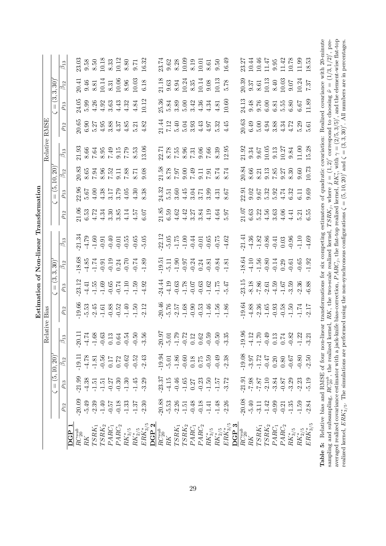|                    |                 | $\beta_{13}$            |     |                            |  |  |  | $23.03$<br>$9.58$<br>$8.50$<br>$10.18$<br>$8.33$<br>$10.32$<br>$8.50$<br>$10.32$<br>$10.32$                                                                                                                                                                                                                                                                                                                             |  |  |  |  |                                                                            | $23.74$<br>$9.62$<br>$9.82$<br>$10.09$<br>$10.01$<br>$10.03$<br>$10.49$<br>$10.49$                                                                                                                                                                                                                                              |  |  |  |  |                                                                                                                                                                                                                                                                                                                                                      | 23.27<br>10.44 S<br>10.45 S<br>10.78 S<br>10.53<br>10.53 S<br>10.53                                                                                                                                                                                                                                                                                                          |                          |
|--------------------|-----------------|-------------------------|-----|----------------------------|--|--|--|-------------------------------------------------------------------------------------------------------------------------------------------------------------------------------------------------------------------------------------------------------------------------------------------------------------------------------------------------------------------------------------------------------------------------|--|--|--|--|----------------------------------------------------------------------------|---------------------------------------------------------------------------------------------------------------------------------------------------------------------------------------------------------------------------------------------------------------------------------------------------------------------------------|--|--|--|--|------------------------------------------------------------------------------------------------------------------------------------------------------------------------------------------------------------------------------------------------------------------------------------------------------------------------------------------------------|------------------------------------------------------------------------------------------------------------------------------------------------------------------------------------------------------------------------------------------------------------------------------------------------------------------------------------------------------------------------------|--------------------------|
|                    | 3,30)           | $\overline{\beta_{12}}$ |     |                            |  |  |  | 20.41<br>9.46<br>9.81<br>9.31<br>9.96<br>9.96<br>9.00<br>9.00<br>9.00<br>9.00                                                                                                                                                                                                                                                                                                                                           |  |  |  |  |                                                                            | $\begin{array}{l} 21.18 \\ 21.63 \\ 9.63 \\ 8.94 \\ 10.24 \\ 8.35 \\ 10.14 \\ 9.08 \\ 10.13 \\ 10.3 \\ 10.5 \\ 10.78 \\ \end{array}$                                                                                                                                                                                            |  |  |  |  |                                                                                                                                                                                                                                                                                                                                                      | $\begin{array}{l} 20.39 \\ 9.37 \\ 8.61 \\ 10.13 \\ 8.40 \\ 9.07 \\ 10.03 \\ 10.24 \\ 11.33 \\ 7.37 \\ \end{array}$                                                                                                                                                                                                                                                          |                          |
|                    | $\frac{3}{5}$   | $\rho_{13}$             |     |                            |  |  |  | $\begin{array}{l} 24.05 \\ 24.29 \\ 5.99 \\ 4.31 \\ 6.32 \\ 7.33 \\ 8.33 \\ 1.24 \\ 1.12 \\ 1.12 \\ 1.12 \\ 1.12 \\ 1.13 \\ 1.12 \\ 1.13 \\ 1.14 \\ 1.13 \\ 1.14 \\ 1.13 \\ 1.14 \\ 1.13 \\ 1.14 \\ 1.13 \\ 1.14 \\ 1.13 \\ 1.14 \\ 1.13 \\ 1.14 \\ 1.13 \\ 1.14 \\ 1.14 \\ 1.15 \\ 1.15 \\ 1.16 \\ 1.17 \\ $                                                                                                           |  |  |  |  |                                                                            |                                                                                                                                                                                                                                                                                                                                 |  |  |  |  |                                                                                                                                                                                                                                                                                                                                                      | 24.13<br>9.48<br>9.76<br>6.85<br>6.87<br>6.67<br>11.89<br>11.89                                                                                                                                                                                                                                                                                                              |                          |
| <b>RMSE</b>        |                 | $\rho_{12}$             |     |                            |  |  |  | $\begin{array}{c} 20.65 \\ 20.9 \\ 6.31 \\ 5.38 \\ 6.37 \\ 7.43 \\ 8.37 \\ 9.53 \\ 1.53 \\ 1.53 \\ 1.53 \\ 1.53 \\ 1.53 \\ 1.53 \\ 1.53 \\ 1.53 \\ 1.53 \\ 1.53 \\ 1.53 \\ 1.53 \\ 1.53 \\ 1.53 \\ 1.53 \\ 1.53 \\ 1.53 \\ 1.53 \\ 1.53 \\ 1.53 \\ 1.53 \\ 1.53 \\ 1.53 \\ 1.53 \\ 1.53 \\ 1.53 \\ 1.53 \\ 1$                                                                                                           |  |  |  |  |                                                                            |                                                                                                                                                                                                                                                                                                                                 |  |  |  |  |                                                                                                                                                                                                                                                                                                                                                      | 0.63<br>20.63 20.72.20.5<br>20.63 20.72.20.5                                                                                                                                                                                                                                                                                                                                 |                          |
| Relative           |                 | $\overline{\beta}_{13}$ |     |                            |  |  |  | 21.93<br>8.66 3.99<br>7.64 3.99<br>7.79<br>8.93<br>8.93<br>8.93                                                                                                                                                                                                                                                                                                                                                         |  |  |  |  |                                                                            | 22.71<br>23.75.95.51.95.95.95<br>23.95.95.95.95.95.95                                                                                                                                                                                                                                                                           |  |  |  |  |                                                                                                                                                                                                                                                                                                                                                      | $\begin{array}{l} 21.92 \\ 9.34 \\ 9.67 \\ 10.05 \\ 9.13 \\ 10.27 \\ 11.00 \\ 11.00 \\ 11.00 \\ 11.00 \\ 11.0 \\ \end{array}$                                                                                                                                                                                                                                                |                          |
|                    |                 | $\beta_{12}$            |     |                            |  |  |  |                                                                                                                                                                                                                                                                                                                                                                                                                         |  |  |  |  | 21.58<br>8.78 000 000 100<br>6.78 000 100 100<br>6.74 100 100 100 1100 120 |                                                                                                                                                                                                                                                                                                                                 |  |  |  |  |                                                                                                                                                                                                                                                                                                                                                      | $\begin{array}{l} 20.84 \\ 8.66 \\ 8.21 \\ 9.13 \\ 9.57 \\ 9.37 \\ 9.30 \\ 9.60 \\ 10.73 \end{array}$                                                                                                                                                                                                                                                                        |                          |
|                    | $=$ $(5,$       | $\rho_{13}$             |     |                            |  |  |  | $\begin{array}{l} 23.96 \\ 23.67 \\ 55.67 \\ 45.4 \\ \end{array} \hspace{-.25cm} \begin{array}{l} 28 \\ 21.7 \\ 23.7 \\ \end{array} \hspace{-.25cm} \begin{array}{l} 29 \\ 23.7 \\ 24.7 \\ \end{array} \hspace{-.25cm} \begin{array}{l} 29 \\ 23.7 \\ \end{array} \hspace{-.25cm} \begin{array}{l} 29 \\ 23.7 \\ \end{array} \hspace{-.25cm} \begin{array}{l} 29 \\ 23.7 \\ \end{array} \hspace{-.25cm} \begin{array}{$ |  |  |  |  |                                                                            | $\frac{3}{2}$<br>$\frac{3}{5}$<br>$\frac{5}{5}$<br>$\frac{6}{5}$<br>$\frac{4}{5}$<br>$\frac{3}{5}$<br>$\frac{3}{5}$<br>$\frac{3}{5}$<br>$\frac{3}{5}$<br>$\frac{3}{5}$<br>$\frac{3}{5}$<br>$\frac{3}{5}$<br>$\frac{3}{5}$<br>$\frac{3}{5}$<br>$\frac{3}{5}$<br>$\frac{3}{5}$<br>$\frac{3}{5}$<br>$\frac{3}{5}$<br>$\frac{3}{5}$ |  |  |  |  |                                                                                                                                                                                                                                                                                                                                                      | $23.302$<br>$25.303$<br>$5.53$<br>$5.73$<br>$5.73$<br>$5.73$<br>$5.73$<br>$5.73$<br>$5.69$                                                                                                                                                                                                                                                                                   |                          |
| Transformation     |                 | $\rho_{12}$             |     |                            |  |  |  | $\begin{array}{l} 21.06 \\ 21.33 \\ 6.53 \\ 4.43 \\ 3.36 \\ 5.74 \\ 6.07 \\ 7.74 \\ 8.36 \\ 7.7 \\ 8.7 \\ 9.6 \\ 1.5 \\ 1.5 \\ 0.07 \\ 4.5 \\ 0.07 \\ 0.07 \\ 0.07 \\ 0.07 \\ 0.07 \\ 0.07 \\ 0.07 \\ 0.07 \\ 0.07 \\ 0.07 \\ 0.07 \\ 0.07 \\ 0.07 \\ 0.07 \\ 0.07 \\ 0.07 \\ 0.07 \\ 0.07 \\ 0.07 \\ 0.07 \\ $                                                                                                         |  |  |  |  |                                                                            |                                                                                                                                                                                                                                                                                                                                 |  |  |  |  |                                                                                                                                                                                                                                                                                                                                                      |                                                                                                                                                                                                                                                                                                                                                                              |                          |
|                    |                 | $\beta_{13}$            |     |                            |  |  |  | $\frac{34}{71}$<br>$\frac{34}{7}$<br>$\frac{4}{7}$ $\frac{3}{7}$ $\frac{6}{7}$ $\frac{6}{7}$ $\frac{6}{7}$ $\frac{6}{7}$ $\frac{6}{7}$ $\frac{6}{7}$ $\frac{6}{7}$ $\frac{6}{7}$ $\frac{6}{7}$ $\frac{6}{7}$ $\frac{6}{7}$ $\frac{6}{7}$ $\frac{6}{7}$ $\frac{6}{7}$                                                                                                                                                    |  |  |  |  |                                                                            | $22.12$<br>$-5.05$<br>$-7.76$<br>$-7.76$<br>$-7.76$<br>$-7.62$<br>$-7.62$<br>$-7.62$                                                                                                                                                                                                                                            |  |  |  |  |                                                                                                                                                                                                                                                                                                                                                      | $\begin{array}{cccc}\n\frac{11}{21} & \frac{11}{20} & \frac{11}{20} & \frac{11}{20} & \frac{11}{20} & \frac{11}{20} & \frac{11}{20} & \frac{11}{20} & \frac{11}{20} & \frac{11}{20} & \frac{11}{20} & \frac{11}{20} & \frac{11}{20} & \frac{11}{20} & \frac{11}{20} & \frac{11}{20} & \frac{11}{20} & \frac{11}{20} & \frac{11}{20} & \frac{11}{20} & \frac{11}{20} & \frac$ | $\ddot{\phantom{a}}$     |
| of Non-linear      | 3,30)           | $\beta_{12}$            |     |                            |  |  |  | $\begin{array}{cccc}\n 18.68 \\  18.53 \\  -1.74 \\  -1.91 \\  9.24 \\  -1.74 \\  -1.91 \\  -1.91 \\  -1.89 \\  -1.89\n \end{array}$                                                                                                                                                                                                                                                                                    |  |  |  |  |                                                                            | 5<br>5 5 6 7 7 7 8 9 8 9<br>5 5 6 7 7 8 9 9 9 9 1                                                                                                                                                                                                                                                                               |  |  |  |  |                                                                                                                                                                                                                                                                                                                                                      |                                                                                                                                                                                                                                                                                                                                                                              |                          |
|                    | $=$ $(3,$       | $\rho_{13}$             |     |                            |  |  |  | $\begin{array}{cccccc}\n23.12 & 24 & 35 & 26 & 27 & 27 & 28 & 28 \\ 44.15 & 25 & 26 & 27 & 27 & 27 & 27 & 27 \\ 5 & 25 & 27 & 27 & 27 & 27 & 27 & 27\n\end{array}$                                                                                                                                                                                                                                                      |  |  |  |  |                                                                            | 24.44<br>4.19<br>4.19<br>5.78<br>5.78<br>5.29<br>5.47<br>4.47                                                                                                                                                                                                                                                                   |  |  |  |  |                                                                                                                                                                                                                                                                                                                                                      | $23.15$<br>$-7.86$<br>$-7.59$<br>$-7.59$<br>$-7.59$<br>$-7.59$<br>$-7.59$<br>$-7.59$<br>$-7.59$<br>$-7.59$                                                                                                                                                                                                                                                                   |                          |
| Estimation<br>Bias |                 | $\rho_{12}$             |     |                            |  |  |  | $\begin{array}{cccc}\n 19.66 \\  19.53 \\  -15.54 \\  -16.18 \\  -16.18 \\  -16.19 \\  -16.19 \\  -16.19 \\  -16.19 \\  -16.19 \\  -16.19 \\  -16.19 \\  -16.19 \\  -16.19 \\  -16.19 \\  -16.19 \\  -16.19 \\  -16.19 \\  -16.19 \\  -16.19 \\  -16.19 \\  -16.19 \\  -16.19 \\  -16.19 \\  -16.19 \\  -16.19 \\  -16.19 \\  -16.19 \\  -16.19 \\  -16.19 \\  -1$                                                      |  |  |  |  |                                                                            | $-20.46$<br>$-5.76$<br>$-7.55$<br>$-7.50$<br>$-7.50$<br>$-7.50$<br>$-7.50$<br>$-7.50$<br>$-7.50$                                                                                                                                                                                                                                |  |  |  |  |                                                                                                                                                                                                                                                                                                                                                      |                                                                                                                                                                                                                                                                                                                                                                              | $\overline{\phantom{a}}$ |
| elative            |                 | $\beta_{13}$            |     |                            |  |  |  |                                                                                                                                                                                                                                                                                                                                                                                                                         |  |  |  |  |                                                                            | $-20.97$<br>$-5.01$<br>$-1.79$<br>$-1.22$<br>$-1.29$<br>$-1.29$<br>$-1.29$<br>$-1.29$<br>$-1.29$<br>$-1.29$<br>$-1.29$<br>$-1.29$<br>$-1.29$                                                                                                                                                                                    |  |  |  |  | $\begin{array}{cccc} -19.96 \\ -4.12 \\ -1.70 \\ -0.32 \\ -0.82 \\ -1.24 \\ -0.32 \\ -0.32 \\ -1.31 \\ -3.21 \\ -3.21 \\ -3.21 \\ -3.21 \\ -3.21 \\ -3.21 \\ -3.21 \\ -3.21 \\ -3.21 \\ -3.21 \\ -3.21 \\ -3.21 \\ -3.21 \\ -3.21 \\ -3.21 \\ -3.21 \\ -3.21 \\ -3.21 \\ -3.21 \\ -3.21 \\ -3.21 \\ -3.21 \\ -3.21 \\ -3.21 \\ -3.21 \\ -3.21 \\ -3$ |                                                                                                                                                                                                                                                                                                                                                                              |                          |
|                    |                 | $\beta_{12}$            |     |                            |  |  |  |                                                                                                                                                                                                                                                                                                                                                                                                                         |  |  |  |  |                                                                            |                                                                                                                                                                                                                                                                                                                                 |  |  |  |  |                                                                                                                                                                                                                                                                                                                                                      |                                                                                                                                                                                                                                                                                                                                                                              | $\ddot{c}$               |
|                    | $= (5, 10, 20)$ | $\rho_{13}$             |     |                            |  |  |  |                                                                                                                                                                                                                                                                                                                                                                                                                         |  |  |  |  |                                                                            |                                                                                                                                                                                                                                                                                                                                 |  |  |  |  |                                                                                                                                                                                                                                                                                                                                                      | $\begin{array}{lllllllllllllllllll} \mathbb{S}_{31}^1&\mathbb{S}_{32}^1&\mathbb{S}_{33}^1&\mathbb{S}_{34}^1&\mathbb{S}_{34}^1&\mathbb{S}_{34}^1&\mathbb{S}_{34}^1&\mathbb{S}_{34}^1&\mathbb{S}_{34}^1&\mathbb{S}_{34}^1&\mathbb{S}_{34}^1&\mathbb{S}_{34}^1&\mathbb{S}_{34}^1&\mathbb{S}_{34}^1&\mathbb{S}_{34}^1&\mathbb{S}_{34}^1&\mathbb{S}_{34}^1&$                      |                          |
|                    |                 | $\rho_{12}$             |     |                            |  |  |  | $\begin{array}{c} 20.09 \\ 20.49 \\ -1.51 \\ -1.51 \\ -1.52 \\ -1.53 \\ -1.57 \\ -1.59 \\ -1.59 \\ -1.59 \\ -1.59 \\ -1.59 \\ -1.59 \\ -1.59 \\ -1.59 \\ -1.59 \\ -1.59 \\ -1.59 \\ -1.59 \\ -1.59 \\ -1.59 \\ -1.59 \\ -1.59 \\ -1.59 \\ -1.59 \\ -1.59 \\ -1.59 \\ -1.59 \\ -1.59 \\ -1.59 \\ -1.59 \\ -1.59 \\ -1.59 \\ -1.59 \\ -1.59 \\ -$                                                                         |  |  |  |  |                                                                            |                                                                                                                                                                                                                                                                                                                                 |  |  |  |  |                                                                                                                                                                                                                                                                                                                                                      | $\begin{array}{lllllllllllllllll} 38.53 & 53.53 & 54.53 & 54.53 & 54.53 & 54.54 & 54.54 & 54.55 & 54.54 & 54.55 & 54.54 & 54.55 & 54.55 & 54.55 & 54.55 & 54.55 & 54.55 & 54.55 & 54.55 & 54.55 & 54.55 & 54.55 & 54.55 & 54.55 & 54.55 & 54.55 & 54.55 & 54.55 & 54.55 & 5$                                                                                                 |                          |
|                    |                 |                         | DGP | $\frac{RC_{20}^{sub}}{RK}$ |  |  |  |                                                                                                                                                                                                                                                                                                                                                                                                                         |  |  |  |  |                                                                            |                                                                                                                                                                                                                                                                                                                                 |  |  |  |  |                                                                                                                                                                                                                                                                                                                                                      |                                                                                                                                                                                                                                                                                                                                                                              |                          |

**Table 5:** Relative bias and RMSE of four non-linear transformations for six competing estimators of quadratic covariation: Realized covariance with 20-minute<br>sampling and subsampling,  $RC_{30}^{240}$ , the realized kernel, Table 5: Relative bias and RMSE of four non-linear transformations for six competing estimators of quadratic covariation: Realized covariance with 20-minute sampling and subsampling,  $RC_2^{sub}$ , the realized kernel, RK, the two-scale realized kernel, TSRK<sub>j</sub>, where  $j = (1, 2)'$  correspond to choosing  $\tilde{\nu} = (1/3, 1/2)'$ , preaveraged realized covariance estimator with a jack-knife bias-correction, PARCj, the flat-top realized kernel, RK\*<sub>i</sub>, with  $\gamma = (2/5, 3/5)'$ , and the element-wise flat-top realized kernel,  $ERK_{3/5}^*$ . The simulations are performed using the non-synchronous configurations  $\zeta = (5, 10, 20)'$  and  $\zeta = (3, 3, 30)'$ . All numbers are in percentages.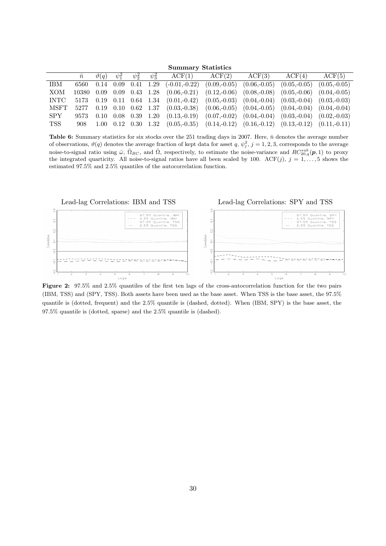#### Summary Statistics

|             | $\bar{n}$ |  |  | $\vartheta(q)$ $\psi_1^2$ $\psi_2^2$ $\psi_3^2$ ACF(1) ACF(2) ACF(3)                                         |  | $ACF(4)$ $ACF(5)$             |                |
|-------------|-----------|--|--|--------------------------------------------------------------------------------------------------------------|--|-------------------------------|----------------|
| <b>IBM</b>  |           |  |  | $6560$ 0.14 0.09 0.41 1.29 (-0.01,-0.22) (0.09,-0.05)                                                        |  | $(0.06,-0.05)$ $(0.05,-0.05)$ | $(0.05,-0.05)$ |
| XOM         |           |  |  | 10380 0.09 0.09 0.43 1.28 (0.06,-0.21) (0.12,-0.06) (0.08,-0.08) (0.05,-0.06) (0.04,-0.05)                   |  |                               |                |
| <b>INTC</b> |           |  |  | $5173$ 0.19 0.11 0.64 1.34 $(0.01,-0.42)$ $(0.05,-0.03)$ $(0.04,-0.04)$ $(0.03,-0.04)$ $(0.03,-0.03)$        |  |                               |                |
| MSFT        |           |  |  | $5277$ 0.19 0.10 0.62 1.37 (0.03,-0.38) (0.06,-0.05) (0.04,-0.05) (0.04,-0.04) (0.04,-0.04)                  |  |                               |                |
| SPY.        |           |  |  | 9573 0.10 0.08 0.39 1.20 (0.13,-0.19) (0.07,-0.02) (0.04,-0.04) (0.03,-0.04) (0.02,-0.03)                    |  |                               |                |
| TSS -       |           |  |  | $908$ $1.00$ $0.12$ $0.30$ $1.32$ $(0.05,-0.35)$ $(0.14,-0.12)$ $(0.16,-0.12)$ $(0.13,-0.12)$ $(0.11,-0.11)$ |  |                               |                |

Table 6: Summary statistics for six stocks over the 251 trading days in 2007. Here,  $\bar{n}$  denotes the average number of observations,  $\vartheta(q)$  denotes the average fraction of kept data for asset  $q, \psi_j^2$ ,  $j = 1, 2, 3$ , corresponds to the average noise-to-signal ratio using  $\hat{\omega}$ ,  $\hat{\Omega}_{BC}$ , and  $\hat{\Omega}$ , respectively, to estimate the noise-variance and  $RC_{20,q}^{sub}(p,1)$  to proxy the integrated quarticity. All noise-to-signal ratios have all been scaled by 100. ACF(j),  $j = 1, ..., 5$  shows the estimated 97.5% and 2.5% quantiles of the autocorrelation function.



Figure 2: 97.5% and 2.5% quantiles of the first ten lags of the cross-autocorrelation function for the two pairs (IBM, TSS) and (SPY, TSS). Both assets have been used as the base asset. When TSS is the base asset, the 97.5% quantile is (dotted, frequent) and the 2.5% quantile is (dashed, dotted). When (IBM, SPY) is the base asset, the 97.5% quantile is (dotted, sparse) and the 2.5% quantile is (dashed).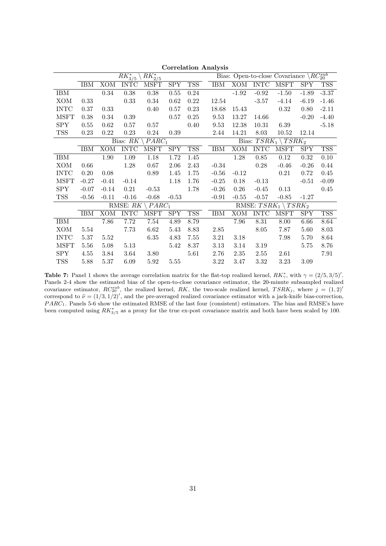|             |          |            | $RK_{3/5}^*$ | $RK^{*}_{2/5}$     |             |                  |            |            |               | Bias: Open-to-close Covariance $\backslash RC_{20}^{sub}$ |            |            |
|-------------|----------|------------|--------------|--------------------|-------------|------------------|------------|------------|---------------|-----------------------------------------------------------|------------|------------|
|             | IBM      | XOM        | <b>INTC</b>  | <b>MSFT</b>        | SPY         | TSS <sup>T</sup> | IBM        |            | XOM INTC MSFT |                                                           | SPY        | <b>TSS</b> |
| IBM         |          | 0.34       | 0.38         | $0.38\,$           | 0.55        | 0.24             |            | $-1.92$    | $-0.92$       | $-1.50$                                                   | $-1.89$    | $-3.37$    |
| XOM         | 0.33     |            | 0.33         | 0.34               | 0.62        | 0.22             | 12.54      |            | $-3.57$       | $-4.14$                                                   | $-6.19$    | $-1.46$    |
| <b>INTC</b> | 0.37     | 0.33       |              | 0.40               | 0.57        | 0.23             | 18.68      | 15.43      |               | 0.32                                                      | 0.80       | $-2.11$    |
| <b>MSFT</b> | 0.38     | 0.34       | 0.39         |                    | 0.57        | 0.25             | 9.53       | 13.27      | 14.66         |                                                           | $-0.20$    | $-4.40$    |
| <b>SPY</b>  | $0.55\,$ | 0.62       | 0.57         | 0.57               |             | 0.40             | 9.53       | 12.38      | 10.31         | 6.39                                                      |            | $-5.18$    |
| <b>TSS</b>  | 0.23     | 0.22       | 0.23         | 0.24               | 0.39        |                  | 2.44       | 14.21      | 8.03          | 10.52                                                     | 12.14      |            |
|             |          |            | Bias: RK     | $\setminus PARC_1$ |             |                  |            |            |               | Bias: $TSRK_1 \setminus TSRK_2$                           |            |            |
|             | IBM      | <b>XOM</b> | <b>INTC</b>  | <b>MSFT</b>        | <b>SPY</b>  | TSS              | <b>IBM</b> | <b>XOM</b> | <b>INTC</b>   | <b>MSFT</b>                                               | SPY        | <b>TSS</b> |
| IBM         |          | 1.90       | 1.09         | $1.18\,$           | 1.72        | 1.45             |            | 1.28       | 0.85          | 0.12                                                      | 0.32       | 0.10       |
| XOM         | 0.66     |            | 1.28         | 0.67               | 2.06        | 2.43             | $-0.34$    |            | 0.28          | $-0.46$                                                   | $-0.26$    | 0.44       |
| <b>INTC</b> | 0.20     | 0.08       |              | 0.89               | 1.45        | 1.75             | $-0.56$    | $-0.12$    |               | 0.21                                                      | 0.72       | 0.45       |
| <b>MSFT</b> | $-0.27$  | $-0.41$    | $-0.14$      |                    | 1.18        | 1.76             | $-0.25$    | 0.18       | $-0.13$       |                                                           | $-0.51$    | $-0.09$    |
| <b>SPY</b>  | $-0.07$  | $-0.14$    | 0.21         | $-0.53$            |             | 1.78             | $-0.26$    | 0.26       | $-0.45$       | 0.13                                                      |            | 0.45       |
| TSS         | $-0.56$  | $-0.11$    | $-0.16$      | $-0.68$            | $-0.53$     |                  | $-0.91$    | $-0.55$    | $-0.57$       | $-0.85$                                                   | $-1.27$    |            |
|             |          |            | RMSE: RK     | $PARC_1$           |             |                  |            |            |               | RMSE: $TSRK_1 \setminus TSRK_2$                           |            |            |
|             | IBM      | XOM        | <b>INTC</b>  | <b>MSFT</b>        | ${\rm SPY}$ | <b>TSS</b>       | IBM        | XOM        | <b>INTC</b>   | <b>MSFT</b>                                               | <b>SPY</b> | <b>TSS</b> |
| <b>IBM</b>  |          | 7.86       | 7.72         | 7.54               | 4.89        | 8.79             |            | 7.96       | 8.31          | 8.00                                                      | 6.66       | 8.64       |
| XOM         | 5.54     |            | 7.73         | 6.62               | 5.43        | 8.83             | 2.85       |            | 8.05          | 7.87                                                      | 5.60       | 8.03       |
| <b>INTC</b> | 5.37     | 5.52       |              | 6.35               | 4.83        | 7.55             | 3.21       | 3.18       |               | 7.98                                                      | 5.70       | 8.64       |
| <b>MSFT</b> | 5.56     | 5.08       | 5.13         |                    | 5.42        | 8.37             | 3.13       | 3.14       | 3.19          |                                                           | 5.75       | 8.76       |
| <b>SPY</b>  | 4.55     | 3.84       | 3.64         | 3.80               |             | 5.61             | 2.76       | 2.35       | 2.55          | 2.61                                                      |            | 7.91       |
| <b>TSS</b>  | 5.88     | 5.37       | 6.09         | 5.92               | 5.55        |                  | 3.22       | 3.47       | 3.32          | 3.23                                                      | 3.09       |            |

Correlation Analysis

**Table 7:** Panel 1 shows the average correlation matrix for the flat-top realized kernel,  $RK^*_{\gamma}$ , with  $\gamma = (2/5, 3/5)'$ . Panels 2-4 show the estimated bias of the open-to-close covariance estimator, the 20-minute subsampled realized covariance estimator,  $RC_{20}^{sub}$ , the realized kernel, RK, the two-scale realized kernel,  $TSRK_j$ , where  $j = (1, 2)$ correspond to  $\tilde{\nu} = (1/3, 1/2)'$ , and the pre-averaged realized covariance estimator with a jack-knife bias-correction, PARC<sub>1</sub>. Panels 5-6 show the estimated RMSE of the last four (consistent) estimators. The bias and RMSE's have been computed using  $RK^*_{3/5}$  as a proxy for the true ex-post covariance matrix and both have been scaled by 100.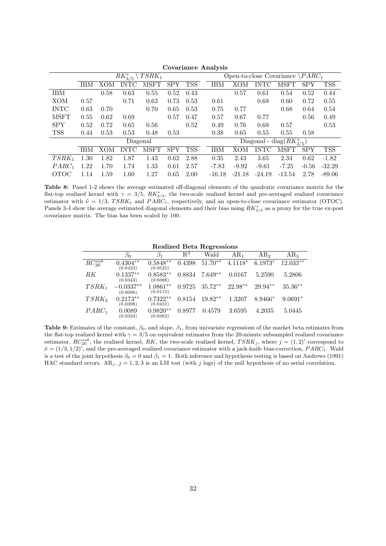|             |            |      |                |             |            |            | 5.01       |          |             |                                          |            |            |
|-------------|------------|------|----------------|-------------|------------|------------|------------|----------|-------------|------------------------------------------|------------|------------|
|             |            |      | $RK^{*}_{3/5}$ | $TSRK_1$    |            |            |            |          |             | Open-to-close Covariance $\angle PARC_1$ |            |            |
|             | <b>IBM</b> | XOM  | <b>INTC</b>    | <b>MSFT</b> | <b>SPY</b> | <b>TSS</b> | <b>IBM</b> | хом      | <b>INTC</b> | MSFT                                     | <b>SPY</b> | <b>TSS</b> |
| <b>IBM</b>  |            | 0.58 | 0.63           | 0.55        | 0.52       | 0.43       |            | 0.57     | 0.61        | 0.54                                     | 0.52       | 0.44       |
| XOM         | 0.57       |      | 0.71           | 0.63        | 0.73       | 0.53       | 0.61       |          | 0.68        | 0.60                                     | 0.72       | 0.55       |
| <b>INTC</b> | 0.63       | 0.70 |                | 0.70        | 0.65       | 0.53       | 0.75       | 0.77     |             | 0.68                                     | 0.64       | 0.54       |
| <b>MSFT</b> | 0.55       | 0.62 | 0.69           |             | 0.57       | 0.47       | 0.57       | 0.67     | 0.77        |                                          | 0.56       | 0.49       |
| <b>SPY</b>  | 0.52       | 0.72 | 0.65           | 0.56        |            | 0.52       | 0.49       | 0.76     | 0.68        | 0.57                                     |            | 0.53       |
| <b>TSS</b>  | 0.44       | 0.53 | 0.53           | 0.48        | 0.53       |            | 0.38       | 0.65     | 0.55        | 0.55                                     | 0.58       |            |
|             |            |      | Diagonal       |             |            |            |            |          |             | Diagonal - diag $(RK_{3/5}^*)$           |            |            |
|             | <b>IBM</b> | XOM  | <b>INTC</b>    | <b>MSFT</b> | <b>SPY</b> | <b>TSS</b> | IBM        | XOM      | <b>INTC</b> | MSFT                                     | <b>SPY</b> | <b>TSS</b> |
| $TSRK_1$    | 1.30       | 1.82 | 1.87           | 1.43        | 0.62       | 2.88       | 0.35       | 2.43     | 3.65        | 2.34                                     | 0.62       | $-1.82$    |
| $PARC_1$    | 1.22       | 1.70 | 1.74           | 1.33        | 0.61       | 2.57       | $-7.83$    | $-9.92$  | $-9.61$     | $-7.25$                                  | $-0.56$    | $-32.29$   |
| OTOC        | 1.14       | 1.59 | 1.60           | 1.27        | 0.65       | 2.00       | $-16.18$   | $-21.18$ | $-24.19$    | $-13.54$                                 | 2.78       | $-89.06$   |

Covariance Analysis

Table 8: Panel 1-2 shows the average estimated off-diagonal elements of the quadratic covariance matrix for the flat-top realized kernel with  $\gamma = 3/5$ ,  $RK^*_{3/5}$ , the two-scale realized kernel and pre-averaged realized covariance estimator with  $\tilde{\nu} = 1/3$ , TSRK<sub>1</sub> and PARC<sub>1</sub>, respectively, and an open-to-close covariance estimator (OTOC). Panels 3-4 show the average estimated diagonal elements and their bias using  $RK_{3/5}^*$  as a proxy for the true ex-post covariance matrix. The bias has been scaled by 100.

Realized Beta Regressions

|                 | $\beta_0$               | $\beta_1$              | $\overline{\mathrm{R}^2}$ | Wald      | AR <sub>1</sub> | AR <sub>2</sub> | AR <sub>3</sub> |
|-----------------|-------------------------|------------------------|---------------------------|-----------|-----------------|-----------------|-----------------|
| $RC_{20}^{sub}$ | $0.4304**$<br>(0.0423)  | $0.5848**$<br>(0.0525) | 0.4398                    | $51.70**$ | $4.1118*$       | $6.1973*$       | $12.033**$      |
| RK              | $0.1337**$<br>(0.0343)  | $0.8583**$<br>(0.0388) | 0.8834                    | $7.649**$ | 0.0167          | 5.2590          | 5.2806          |
| $TSRK_1$        | $-0.0337**$<br>(0.0098) | $1.0861**$<br>(0.0115) | 0.9725                    | $35.72**$ | $22.98**$       | 29.94**         | $35.36**$       |
| $TSRK_2$        | $0.2173**$<br>(0.0398)  | $0.7322**$<br>(0.0431) | 0.8154                    | $19.82**$ | 1.3207          | $8.9466*$       | $9.0691*$       |
| $PARC_1$        | 0.0089<br>(0.0324)      | $0.9820**$<br>(0.0362) | 0.8977                    | 0.4579    | 3.6595          | 4.2035          | 5.0445          |

Table 9: Estimates of the constant,  $\beta_0$ , and slope,  $\beta_1$ , from univariate regressions of the market beta estimates from the flat-top realized kernel with  $\gamma = 3/5$  on equivalent estimates from the 20-minute subsampled realized covariance estimator,  $RC_{20}^{sub}$ , the realized kernel, RK, the two-scale realized kernel,  $TSRK_j$ , where  $j = (1, 2)'$  correspond to  $\tilde{\nu} = (1/3, 1/2)'$ , and the pre-averaged realized covariance estimator with a jack-knife bias-correction, PARC<sub>1</sub>. Wald is a test of the joint hypothesis  $\beta_0 = 0$  and  $\beta_1 = 1$ . Both inference and hypothesis testing is based on Andrews (1991) HAC standard errors.  $AR_j$ ,  $j = 1, 2, 3$  is an LM test (with j lags) of the null hypothesis of no serial correlation.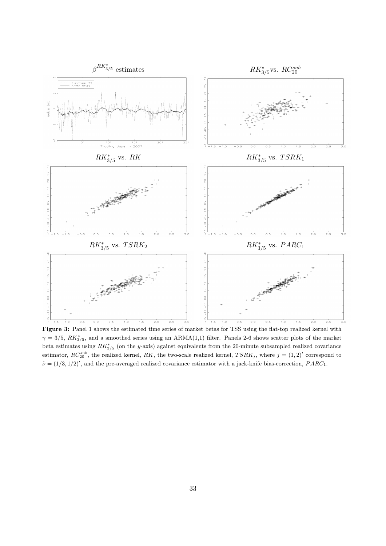

Figure 3: Panel 1 shows the estimated time series of market betas for TSS using the flat-top realized kernel with  $\gamma = 3/5$ ,  $RK_{3/5}^*$ , and a smoothed series using an ARMA(1,1) filter. Panels 2-6 shows scatter plots of the market beta estimates using  $RK_{3/5}^*$  (on the y-axis) against equivalents from the 20-minute subsampled realized covariance estimator,  $RC_{20}^{sub}$ , the realized kernel, RK, the two-scale realized kernel,  $TSRK_j$ , where  $j = (1, 2)'$  correspond to  $\tilde{\nu} = (1/3, 1/2)'$ , and the pre-averaged realized covariance estimator with a jack-knife bias-correction,  $PARC_1$ .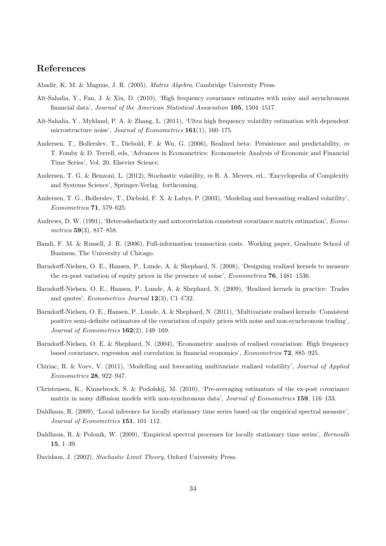## References

Abadir, K. M. & Magnus, J. R. (2005), Matrix Algebra, Cambridge University Press.

- Aït-Sahalia, Y., Fan, J. & Xiu, D. (2010), 'High frequency covariance estimates with noisy and asynchronous financial data', Journal of the American Statistical Association 105, 1504–1517.
- Aït-Sahalia, Y., Mykland, P. A. & Zhang, L. (2011), 'Ultra high frequency volatility estimation with dependent microstructure noise', Journal of Econometrics 161(1), 160–175.
- Andersen, T., Bollerslev, T., Diebold, F. & Wu, G. (2006), Realized beta: Persistence and predictability, in T. Fomby & D. Terrell, eds, 'Advances in Econometrics: Econometric Analysis of Economic and Financial Time Series', Vol. 20, Elsevier Science.
- Andersen, T. G. & Benzoni, L. (2012), Stochastic volatility, in R. A. Meyers, ed., 'Encyclopedia of Complexity and Systems Science', Springer-Verlag. forthcoming.
- Andersen, T. G., Bollerslev, T., Diebold, F. X. & Labys, P. (2003), 'Modeling and forecasting realized volatility', Econometrica 71, 579–625.
- Andrews, D. W. (1991), 'Heteroskedasticity and autocorrelation consistent covariance matrix estimation', Econometrica 59(3), 817–858.
- Bandi, F. M. & Russell, J. R. (2006), Full-information transaction costs. Working paper, Graduate School of Business, The University of Chicago.
- Barndorff-Nielsen, O. E., Hansen, P., Lunde, A. & Shephard, N. (2008), 'Designing realized kernels to measure the ex-post variation of equity prices in the presence of noise', Econometrica 76, 1481–1536.
- Barndorff-Nielsen, O. E., Hansen, P., Lunde, A. & Shephard, N. (2009), 'Realized kernels in practice: Trades and quotes', Econometrics Journal 12(3), C1–C32.
- Barndorff-Nielsen, O. E., Hansen, P., Lunde, A. & Shephard, N. (2011), 'Multivariate realised kernels: Consistent positive semi-definite estimators of the covariation of equity prices with noise and non-synchronous trading', Journal of Econometrics  $162(2)$ , 149–169.
- Barndorff-Nielsen, O. E. & Shephard, N. (2004), 'Econometric analysis of realised covariation: High frequency based covariance, regression and correlation in financial economics', Econometrica 72, 885–925.
- Chiriac, R. & Voev, V. (2011), 'Modelling and forecasting multivariate realized volatility', Journal of Applied Econometrics 28, 922–947.
- Christensen, K., Kinnebrock, S. & Podolskij, M. (2010), 'Pre-averaging estimators of the ex-post covariance matrix in noisy diffusion models with non-synchronous data', Journal of Econometrics 159, 116–133.
- Dahlhaus, R. (2009), 'Local inference for locally stationary time series based on the empirical spectral measure', Journal of Econometrics 151, 101–112.
- Dahlhaus, R. & Polonik, W. (2009), 'Empirical spectral processes for locally stationary time series', Bernoulli 15, 1–39.

Davidson, J. (2002), Stochastic Limit Theory, Oxford University Press.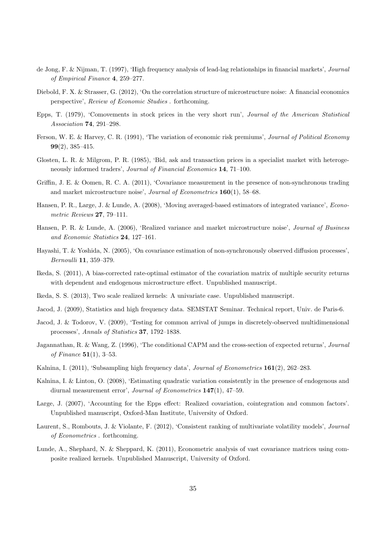- de Jong, F. & Nijman, T. (1997), 'High frequency analysis of lead-lag relationships in financial markets', Journal of Empirical Finance 4, 259–277.
- Diebold, F. X. & Strasser, G. (2012), 'On the correlation structure of microstructure noise: A financial economics perspective', Review of Economic Studies . forthcoming.
- Epps, T. (1979), 'Comovements in stock prices in the very short run', Journal of the American Statistical Association 74, 291–298.
- Ferson, W. E. & Harvey, C. R. (1991), 'The variation of economic risk premiums', Journal of Political Economy 99(2), 385–415.
- Glosten, L. R. & Milgrom, P. R. (1985), 'Bid, ask and transaction prices in a specialist market with heterogeneously informed traders', Journal of Financial Economics 14, 71–100.
- Griffin, J. E. & Oomen, R. C. A. (2011), 'Covariance measurement in the presence of non-synchronous trading and market microstructure noise', Journal of Econometrics 160(1), 58–68.
- Hansen, P. R., Large, J. & Lunde, A. (2008), 'Moving averaged-based estimators of integrated variance', Econometric Reviews 27, 79–111.
- Hansen, P. R. & Lunde, A. (2006), 'Realized variance and market microstructure noise', Journal of Business and Economic Statistics 24, 127–161.
- Hayashi, T. & Yoshida, N. (2005), 'On covariance estimation of non-synchronously observed diffusion processes', Bernoulli 11, 359–379.
- Ikeda, S. (2011), A bias-corrected rate-optimal estimator of the covariation matrix of multiple security returns with dependent and endogenous microstructure effect. Unpublished manuscript.
- Ikeda, S. S. (2013), Two scale realized kernels: A univariate case. Unpublished manuscript.
- Jacod, J. (2009), Statistics and high frequency data. SEMSTAT Seminar. Technical report, Univ. de Paris-6.
- Jacod, J. & Todorov, V. (2009), 'Testing for common arrival of jumps in discretely-observed multidimensional processes', Annals of Statistics 37, 1792–1838.
- Jagannathan, R. & Wang, Z. (1996), 'The conditional CAPM and the cross-section of expected returns', Journal of Finance  $51(1)$ , 3-53.
- Kalnina, I. (2011), 'Subsampling high frequency data', *Journal of Econometrics* 161(2), 262–283.
- Kalnina, I. & Linton, O. (2008), 'Estimating quadratic variation consistently in the presence of endogenous and diurnal measurement error', Journal of Econometrics 147(1), 47–59.
- Large, J. (2007), 'Accounting for the Epps effect: Realized covariation, cointegration and common factors'. Unpublished manuscript, Oxford-Man Institute, University of Oxford.
- Laurent, S., Rombouts, J. & Violante, F. (2012), 'Consistent ranking of multivariate volatility models', Journal of Econometrics . forthcoming.
- Lunde, A., Shephard, N. & Sheppard, K. (2011), Econometric analysis of vast covariance matrices using composite realized kernels. Unpublished Manuscript, University of Oxford.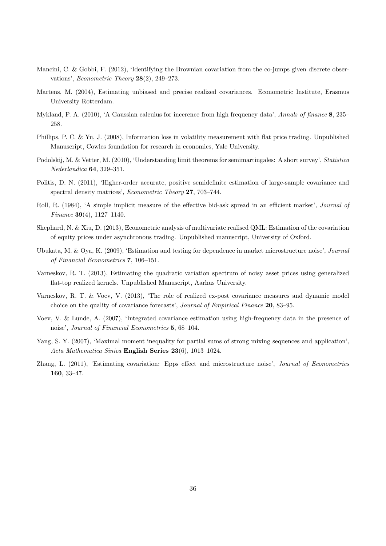- Mancini, C. & Gobbi, F. (2012), 'Identifying the Brownian covariation from the co-jumps given discrete observations', Econometric Theory 28(2), 249–273.
- Martens, M. (2004), Estimating unbiased and precise realized covariances. Econometric Institute, Erasmus University Rotterdam.
- Mykland, P. A. (2010), 'A Gaussian calculus for incerence from high frequency data', Annals of finance 8, 235– 258.
- Phillips, P. C. & Yu, J. (2008), Information loss in volatility measurement with flat price trading. Unpublished Manuscript, Cowles foundation for research in economics, Yale University.
- Podolskij, M. & Vetter, M. (2010), 'Understanding limit theorems for semimartingales: A short survey', Statistica Nederlandica 64, 329–351.
- Politis, D. N. (2011), 'Higher-order accurate, positive semidefinite estimation of large-sample covariance and spectral density matrices', *Econometric Theory* 27, 703-744.
- Roll, R. (1984), 'A simple implicit measure of the effective bid-ask spread in an efficient market', Journal of Finance 39(4), 1127–1140.
- Shephard, N. & Xiu, D. (2013), Econometric analysis of multivariate realised QML: Estimation of the covariation of equity prices under asynchronous trading. Unpublished manuscript, University of Oxford.
- Ubukata, M. & Oya, K. (2009), 'Estimation and testing for dependence in market microstructure noise', Journal of Financial Econometrics 7, 106–151.
- Varneskov, R. T. (2013), Estimating the quadratic variation spectrum of noisy asset prices using generalized flat-top realized kernels. Unpublished Manuscript, Aarhus University.
- Varneskov, R. T. & Voev, V. (2013), 'The role of realized ex-post covariance measures and dynamic model choice on the quality of covariance forecasts', Journal of Empirical Finance 20, 83–95.
- Voev, V. & Lunde, A. (2007), 'Integrated covariance estimation using high-frequency data in the presence of noise', Journal of Financial Econometrics 5, 68–104.
- Yang, S. Y. (2007), 'Maximal moment inequality for partial sums of strong mixing sequences and application', Acta Mathematica Sinica English Series 23(6), 1013–1024.
- Zhang, L. (2011), 'Estimating covariation: Epps effect and microstructure noise', Journal of Econometrics 160, 33–47.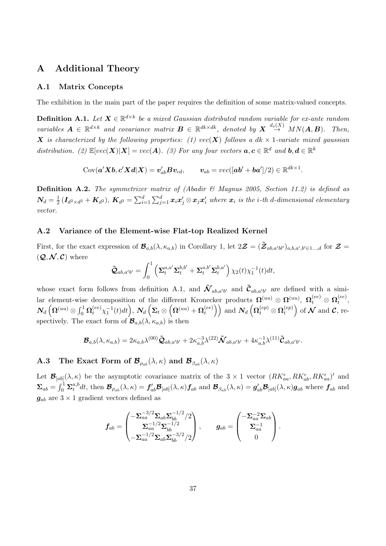## A Additional Theory

#### A.1 Matrix Concepts

The exhibition in the main part of the paper requires the definition of some matrix-valued concepts.

**Definition A.1.** Let  $X \in \mathbb{R}^{d \times k}$  be a mixed Gaussian distributed random variable for ex-ante random variables  $\mathbf{A} \in \mathbb{R}^{d \times k}$  and covariance matrix  $\mathbf{B} \in \mathbb{R}^{dk \times dk}$ , denoted by  $\mathbf{X} \stackrel{d_s(X)}{\rightarrow} MN(\mathbf{A}, \mathbf{B})$ . Then, X is characterized by the following properties: (1)  $vec(X)$  follows a dk  $\times$  1-variate mixed gaussian distribution. (2)  $\mathbb{E}[vec(\boldsymbol{X})|\boldsymbol{X}] = vec(\boldsymbol{A})$ . (3) For any four vectors  $\boldsymbol{a}, \boldsymbol{c} \in \mathbb{R}^d$  and  $\boldsymbol{b}, \boldsymbol{d} \in \mathbb{R}^k$ 

 $\text{Cov}(\bm{a}'\bm{X}\bm{b},\bm{c}'\bm{X}\bm{d}|\bm{X})=\bm{v}_{ab}'\bm{B}\bm{v}_{cd}, \qquad \bm{v}_{ab}=vec([\bm{a}\bm{b}'+\bm{b}\bm{a}'])/2)\in\mathbb{R}^{dk\times1}.$ 

**Definition A.2.** The symmetrizer matrix of (Abadir  $\mathcal{C}$  Magnus 2005, Section 11.2) is defined as  $\boldsymbol{N_d}=\frac{1}{2}$  $\frac{1}{2}\left(\bm{I}_{d^2\times d^2}+\bm{K}_{d^2}\right)$ ,  $\bm{K}_{d^2}=\sum_{i=1}^d\sum_{j=1}^d\bm{x}_i\bm{x}_j'\otimes \bm{x}_j\bm{x}_i'$  where  $\bm{x}_i$  is the i-th d-dimensional elementary vector.

#### A.2 Variance of the Element-wise Flat-top Realized Kernel

First, for the exact expression of  $\mathcal{B}_{a,b}(\lambda, \kappa_{a,b})$  in Corollary 1, let  $2\mathcal{Z} = (\tilde{\mathcal{Z}}_{ab,a'b'} )_{a,b,a',b' \in 1...,d}$  for  $\mathcal{Z} =$  $(Q, \mathcal{N}, \mathcal{C})$  where

$$
\tilde{\mathbf{\mathcal{Q}}}_{ab,a'b'} = \int_0^1 \left( \mathbf{\Sigma}_t^{a,a'} \mathbf{\Sigma}_t^{b,b'} + \mathbf{\Sigma}_t^{a,b'} \mathbf{\Sigma}_t^{b,a'} \right) \chi_2(t) \chi_1^{-1}(t) dt,
$$

whose exact form follows from definition A.1, and  $\tilde{\mathcal{N}}_{ab,a'b'}$  and  $\tilde{\mathcal{C}}_{ab,a'b'}$  are defined with a similar element-wise decomposition of the different Kronecker products  $\mathbf{\Omega}^{(uu)} \otimes \mathbf{\Omega}^{(uu)}$ ,  $\mathbf{\Omega}^{(ee)}_t \otimes \mathbf{\Omega}^{(ee)}_t$  $_t^{(ee)},$  $\bm{N}_d\left(\bm{\Omega}^{(uu)}\otimes \int_0^1\bm{\Omega}^{(ee)}_t\chi_1^{-1}(t)dt\right)$  ,  $\bm{N}_d\left(\bm{\Sigma}_t\otimes\left(\bm{\Omega}^{(uu)}+\bm{\Omega}^{(ee)}_t\right)\right)$  $\mathcal{O}_t^{(ee)}$  and  $\mathcal{N}_d\left(\mathbf{\Omega}_t^{(ep)}\otimes \mathbf{\Omega}_t^{(ep)}\right)$  $t^{(ep)}$  of  $\mathcal N$  and  $\mathcal C$ , respectively. The exact form of  $\mathcal{B}_{a,b}(\lambda, \kappa_{a,b})$  is then

$$
\mathcal{B}_{a,b}(\lambda,\kappa_{a,b})=2\kappa_{a,b}\lambda^{(00)}\tilde{\mathcal{Q}}_{ab,a'b'}+2\kappa_{a,b}^{-3}\lambda^{(22)}\tilde{\mathcal{N}}_{ab,a'b'}+4\kappa_{a,b}^{-1}\lambda^{(11)}\tilde{\mathcal{C}}_{ab,a'b'}.
$$

**A.3** The Exact Form of  $\mathcal{B}_{\rho_{ab}}(\lambda,\kappa)$  and  $\mathcal{B}_{\beta_{ab}}(\lambda,\kappa)$ 

Let  $\mathcal{B}_{[ab]}(\lambda,\kappa)$  be the asymptotic covariance matrix of the  $3 \times 1$  vector  $(RK_{aa}^{\epsilon}, RK_{ab}^{\epsilon}, RK_{aa}^{\epsilon})'$  and  $\boldsymbol{\Sigma}_{ab} = \int_0^1 \boldsymbol{\Sigma}_t^{a,b}$  $t^{a,b}_t dt$ , then  $\mathcal{B}_{\rho_{ab}}(\lambda,\kappa) = f'_{ab}\mathcal{B}_{[ab]}(\lambda,\kappa) f_{ab}$  and  $\mathcal{B}_{\beta_{ab}}(\lambda,\kappa) = g'_{ab}\mathcal{B}_{[ab]}(\lambda,\kappa) g_{ab}$  where  $f_{ab}$  and  $g_{ab}$  are  $3 \times 1$  gradient vectors defined as

$$
f_{ab} = \begin{pmatrix} -\Sigma_{aa}^{-3/2} \Sigma_{ab} \Sigma_{bb}^{-1/2} / 2 \\ \Sigma_{aa}^{-1/2} \Sigma_{bb}^{-1/2} \\ -\Sigma_{aa}^{-1/2} \Sigma_{ab} \Sigma_{bb}^{-3/2} / 2 \end{pmatrix}, \qquad g_{ab} = \begin{pmatrix} -\Sigma_{aa}^{-2} \Sigma_{ab} \\ \Sigma_{aa}^{-1} \\ 0 \end{pmatrix}.
$$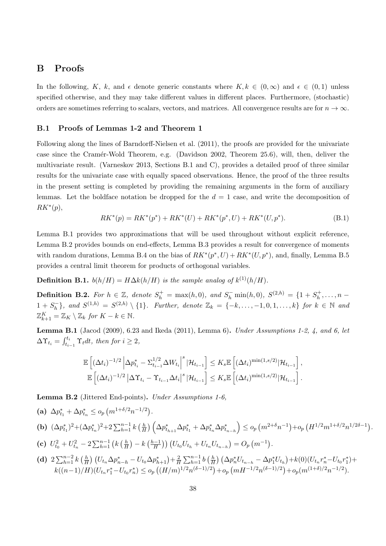## B Proofs

In the following, K, k, and  $\epsilon$  denote generic constants where  $K, k \in (0,\infty)$  and  $\epsilon \in (0,1)$  unless specified otherwise, and they may take different values in different places. Furthermore, (stochastic) orders are sometimes referring to scalars, vectors, and matrices. All convergence results are for  $n \to \infty$ .

#### B.1 Proofs of Lemmas 1-2 and Theorem 1

Following along the lines of Barndorff-Nielsen et al. (2011), the proofs are provided for the univariate case since the Cramér-Wold Theorem, e.g. (Davidson 2002, Theorem 25.6), will, then, deliver the multivariate result. (Varneskov 2013, Sections B.1 and C), provides a detailed proof of three similar results for the univariate case with equally spaced observations. Hence, the proof of the three results in the present setting is completed by providing the remaining arguments in the form of auxiliary lemmas. Let the boldface notation be dropped for the  $d = 1$  case, and write the decomposition of  $RK^*(p),$ 

$$
RK^*(p) = RK^*(p^*) + RK^*(U) + RK^*(p^*, U) + RK^*(U, p^*).
$$
\n(B.1)

Lemma B.1 provides two approximations that will be used throughout without explicit reference, Lemma B.2 provides bounds on end-effects, Lemma B.3 provides a result for convergence of moments with random durations, Lemma B.4 on the bias of  $RK^*(p^*, U) + RK^*(U, p^*)$ , and, finally, Lemma B.5 provides a central limit theorem for products of orthogonal variables.

**Definition B.1.**  $b(h/H) = H\Delta k(h/H)$  is the sample analog of  $k^{(1)}(h/H)$ .

**Definition B.2.** For  $h \in \mathbb{Z}$ , denote  $S_h^+ = \max(h, 0)$ , and  $S_h^- \min(h, 0)$ ,  $S^{(2,h)} = \{1 + S_h^+$  $h^+, \ldots, h 1 + S_h^ \{F_n\}$ , and  $S^{(1,h)} = S^{(2,h)} \setminus \{1\}$ . Further, denote  $\mathbb{Z}_k = \{-k, \ldots, -1, 0, 1, \ldots, k\}$  for  $k \in \mathbb{N}$  and  $\mathbb{Z}_{k+1}^K = \mathbb{Z}_K \setminus \mathbb{Z}_k$  for  $K - k \in \mathbb{N}$ .

**Lemma B.1** (Jacod (2009), 6.23 and Ikeda (2011), Lemma 6). Under Assumptions 1-2, 4, and 6, let  $\Delta \Upsilon_{t_i} = \int_{t_{i-1}}^{t_i} \Upsilon_t dt$ , then for  $i \geq 2$ ,

$$
\mathbb{E}\left[ (\Delta t_i)^{-1/2} \left| \Delta p_{t_i}^* - \Sigma_{t_{i-1}}^{1/2} \Delta W_{t_i} \right|^s |\mathcal{H}_{t_{i-1}} \right] \leq K_s \mathbb{E}\left[ (\Delta t_i)^{\min(1,s/2)} |\mathcal{H}_{t_{i-1}} \right],
$$
  

$$
\mathbb{E}\left[ (\Delta t_i)^{-1/2} \left| \Delta \Upsilon_{t_i} - \Upsilon_{t_{i-1}} \Delta t_i \right|^s |\mathcal{H}_{t_{i-1}} \right] \leq K_s \mathbb{E}\left[ (\Delta t_i)^{\min(1,s/2)} |\mathcal{H}_{t_{i-1}} \right].
$$

Lemma B.2 (Jittered End-points). Under Assumptions 1-6,

(a) 
$$
\Delta p_{t_1}^* + \Delta p_{t_n}^* \le o_p (m^{1+\delta/2} n^{-1/2}).
$$
  
\n(b)  $(\Delta p_{t_1}^*)^2 + (\Delta p_{t_n}^*)^2 + 2 \sum_{h=1}^{n-1} k \left(\frac{h}{H}\right) \left(\Delta p_{t_{h+1}}^* \Delta p_{t_1}^* + \Delta p_{t_n}^* \Delta p_{t_{n-h}}^*\right) \le o_p (m^{2+\delta} n^{-1}) + o_p (H^{1/2} m^{1+\delta/2} n^{1/2\delta-1}).$   
\n(c)  $U_{t_0}^2 + U_{t_n}^2 - 2 \sum_{h=1}^{n-1} \left(k \left(\frac{h}{H}\right) - k \left(\frac{h-1}{H}\right)\right) \left(U_{t_0} U_{t_h} + U_{t_n} U_{t_{n-h}}\right) = O_p (m^{-1}).$ 

(d) 
$$
2\sum_{h=1}^{n-2} k\left(\frac{h}{H}\right) \left(U_{t_n} \Delta p_{n-h}^* - U_{t_0} \Delta p_{h+1}^*\right) + \frac{2}{H} \sum_{h=1}^{n-1} b\left(\frac{h}{H}\right) \left(\Delta p_n^* U_{t_{n-h}} - \Delta p_1^* U_{t_h}\right) + k(0) \left(U_{t_n} r_n^* - U_{t_0} r_1^*\right) + k\left((n-1)/H\right) \left(U_{t_n} r_1^* - U_{t_0} r_n^*\right) \leq o_p \left((H/m)^{1/2} n^{(\delta-1)/2}\right) + o_p \left(m^{H-1/2} n^{(\delta-1)/2}\right) + o_p(m^{(1+\delta)/2} n^{-1/2}).
$$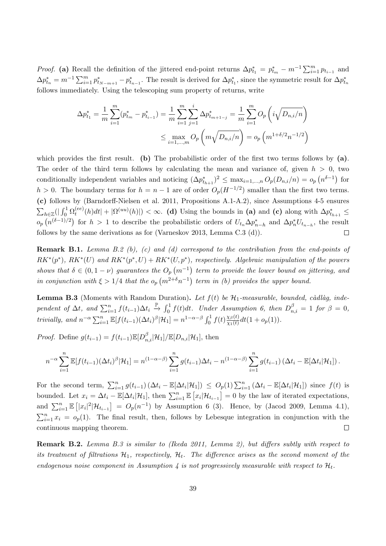*Proof.* (a) Recall the definition of the jittered end-point returns  $\Delta p_{t_1}^* = p_{t_m}^* - m^{-1} \sum_{i=1}^m p_{t_{i-1}}$  and  $\Delta p_{t_n}^* = m^{-1} \sum_{i=1}^m p_{t_{N-m+1}}^* - p_{t_{n-1}}^*$ . The result is derived for  $\Delta p_{t_1}^*$ , since the symmetric result for  $\Delta p_{t_n}^*$ follows immediately. Using the telescoping sum property of returns, write

$$
\Delta p_{t_1}^* = \frac{1}{m} \sum_{i=1}^m (p_{t_m}^* - p_{t_{i-1}}^*) = \frac{1}{m} \sum_{i=1}^m \sum_{j=1}^i \Delta p_{t_{m+1-j}}^* = \frac{1}{m} \sum_{i=1}^m O_p\left(i \sqrt{D_{n,i}/n}\right)
$$

$$
\leq \max_{i=1,\dots,m} O_p\left(m \sqrt{D_{n,i}/n}\right) = o_p\left(m^{1+\delta/2} n^{-1/2}\right)
$$

which provides the first result. (b) The probabilistic order of the first two terms follows by (a). The order of the third term follows by calculating the mean and variance of, given  $h > 0$ , two conditionally independent variables and noticing  $(\Delta p_{t_{h+1}}^*)^2 \leq \max_{i=1,\dots,n} O_p(D_{n,i}/n) = o_p(n^{\delta-1})$  for  $h > 0$ . The boundary terms for  $h = n - 1$  are of order  $O_p(H^{-1/2})$  smaller than the first two terms. (c) follows by (Barndorff-Nielsen et al. 2011, Propositions A.1-A.2), since Assumptions 4-5 ensures  $\sum_{h \in \mathbb{Z}} ( \mid \int_0^1 \Omega_t^{(ee)}$  $\mathcal{L}_t^{(ee)}(h)dt| + |\Omega^{(uu)}(h)| < \infty.$  (d) Using the bounds in (a) and (c) along with  $\Delta p_{t_{h+1}}^* \leq$  $o_p(n^{(\delta-1)/2})$  for  $h > 1$  to describe the probabilistic orders of  $U_{t_n}\Delta p_{n-h}^*$  and  $\Delta p_n^*U_{t_{n-h}}$ , the result follows by the same derivations as for (Varneskov 2013, Lemma C.3 (d)).  $\Box$ 

**Remark B.1.** Lemma B.2 (b), (c) and (d) correspond to the contribution from the end-points of  $RK^*(p^*)$ ,  $RK^*(U)$  and  $RK^*(p^*, U) + RK^*(U, p^*)$ , respectively. Algebraic manipulation of the powers shows that  $\delta \in (0, 1 - \nu)$  guarantees the  $O_p(m^{-1})$  term to provide the lower bound on jittering, and in conjunction with  $\xi > 1/4$  that the  $o_p(m^{2+\delta}n^{-1})$  term in (b) provides the upper bound.

**Lemma B.3** (Moments with Random Duration). Let  $f(t)$  be  $H_1$ -measurable, bounded, càdlàg, independent of  $\Delta t$ , and  $\sum_{i=1}^{n} f(t_{i-1})\Delta t_i \stackrel{\mathbb{P}}{\rightarrow} \int_0^1 f(t)dt$ . Under Assumption 6, then  $D_{n,i}^{\beta} = 1$  for  $\beta = 0$ , trivially, and  $n^{-\alpha} \sum_{i=1}^{n} \mathbb{E}[f(t_{i-1})(\Delta t_i)^{\beta}|\mathcal{H}_1] = n^{1-\alpha-\beta} \int_0^1 f(t) \frac{\chi_{\beta}(t)}{\chi_1(t)}$  $\frac{\chi_{\beta}(t)}{\chi_1(t)}dt(1+o_p(1)).$ 

*Proof.* Define  $g(t_{i-1}) = f(t_{i-1}) \mathbb{E}[D_{n,i}^{\beta} | \mathcal{H}_1] / \mathbb{E}[D_{n,i} | \mathcal{H}_1]$ , then

$$
n^{-\alpha} \sum_{i=1}^n \mathbb{E}[f(t_{i-1})(\Delta t_i)^{\beta}|\mathcal{H}_1] = n^{(1-\alpha-\beta)} \sum_{i=1}^n g(t_{i-1})\Delta t_i - n^{(1-\alpha-\beta)} \sum_{i=1}^n g(t_{i-1}) (\Delta t_i - \mathbb{E}[\Delta t_i|\mathcal{H}_1]).
$$

For the second term,  $\sum_{i=1}^n g(t_{i-1}) (\Delta t_i - \mathbb{E}[\Delta t_i|\mathcal{H}_1]) \leq O_p(1) \sum_{i=1}^n (\Delta t_i - \mathbb{E}[\Delta t_i|\mathcal{H}_1])$  since  $f(t)$  is bounded. Let  $x_i = \Delta t_i - \mathbb{E}[\Delta t_i | \mathcal{H}_1]$ , then  $\sum_{i=1}^n \mathbb{E}[x_i | \mathcal{H}_{t_{i-1}}] = 0$  by the law of iterated expectations, and  $\sum_{i=1}^{n} \mathbb{E}[|x_i|^2|\mathcal{H}_{t_{i-1}}] = O_p(n^{-1})$  by Assumption 6 (3). Hence, by (Jacod 2009, Lemma 4.1),  $\sum_{i=1}^{n} x_i = o_p(1)$ . The final result, then, follows by Lebesque integration in conjunction with the continuous mapping theorem.  $\Box$ 

Remark B.2. Lemma B.3 is similar to (Ikeda 2011, Lemma 2), but differs subtly with respect to its treatment of filtrations  $H_1$ , respectively,  $H_t$ . The difference arises as the second moment of the endogenous noise component in Assumption 4 is not progressively measurable with respect to  $\mathcal{H}_t$ .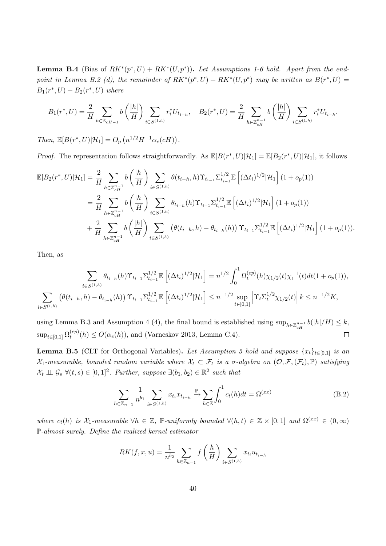**Lemma B.4** (Bias of  $RK^*(p^*, U) + RK^*(U, p^*)$ ). Let Assumptions 1-6 hold. Apart from the endpoint in Lemma B.2 (d), the remainder of  $RK^*(p^*,U) + RK^*(U,p^*)$  may be written as  $B(r^*,U) =$  $B_1(r^*, U) + B_2(r^*, U)$  where

$$
B_1(r^*, U) = \frac{2}{H} \sum_{h \in \mathbb{Z}_{cH-1}} b\left(\frac{|h|}{H}\right) \sum_{i \in S^{(1,h)}} r_i^* U_{t_{i-h}}, \quad B_2(r^*, U) = \frac{2}{H} \sum_{h \in \mathbb{Z}_{cH}^{n-1}} b\left(\frac{|h|}{H}\right) \sum_{i \in S^{(1,h)}} r_i^* U_{t_{i-h}}.
$$

Then,  $\mathbb{E}[B(r^*, U)|\mathcal{H}_1] = O_p(n^{1/2}H^{-1}\alpha_e(cH)).$ 

*Proof.* The representation follows straightforwardly. As  $\mathbb{E}[B(r^*,U)|\mathcal{H}_1] = \mathbb{E}[B_2(r^*,U)|\mathcal{H}_1]$ , it follows

$$
\mathbb{E}[B_{2}(r^{*},U)|\mathcal{H}_{1}] = \frac{2}{H} \sum_{h \in \mathbb{Z}_{cH}^{n-1}} b\left(\frac{|h|}{H}\right) \sum_{i \in S^{(1,h)}} \theta(t_{i-h},h) \Upsilon_{t_{i-1}} \Sigma_{t_{i-1}}^{1/2} \mathbb{E}\left[(\Delta t_{i})^{1/2}|\mathcal{H}_{1}\right](1+o_{p}(1))
$$
  
\n
$$
= \frac{2}{H} \sum_{h \in \mathbb{Z}_{cH}^{n-1}} b\left(\frac{|h|}{H}\right) \sum_{i \in S^{(1,h)}} \theta_{t_{i-h}}(h) \Upsilon_{t_{i-1}} \Sigma_{t_{i-1}}^{1/2} \mathbb{E}\left[(\Delta t_{i})^{1/2}|\mathcal{H}_{1}\right](1+o_{p}(1))
$$
  
\n
$$
+ \frac{2}{H} \sum_{h \in \mathbb{Z}_{cH}^{n-1}} b\left(\frac{|h|}{H}\right) \sum_{i \in S^{(1,h)}} \left(\theta(t_{i-h},h) - \theta_{t_{i-h}}(h)\right) \Upsilon_{t_{i-1}} \Sigma_{t_{i-1}}^{1/2} \mathbb{E}\left[(\Delta t_{i})^{1/2}|\mathcal{H}_{1}\right](1+o_{p}(1)).
$$

Then, as

$$
\sum_{i \in S^{(1,h)}} \theta_{t_{i-h}}(h) \Upsilon_{t_{i-1}} \Sigma_{t_{i-1}}^{1/2} \mathbb{E}\left[ (\Delta t_i)^{1/2} |\mathcal{H}_1 \right] = n^{1/2} \int_0^1 \Omega_t^{(ep)}(h) \chi_{1/2}(t) \chi_1^{-1}(t) dt (1 + o_p(1)),
$$
  

$$
\sum_{i \in S^{(1,h)}} \left( \theta(t_{i-h}, h) - \theta_{t_{i-h}}(h) \right) \Upsilon_{t_{i-1}} \Sigma_{t_{i-1}}^{1/2} \mathbb{E}\left[ (\Delta t_i)^{1/2} |\mathcal{H}_1 \right] \le n^{-1/2} \sup_{t \in [0,1]} \left| \Upsilon_t \Sigma_t^{1/2} \chi_{1/2}(t) \right| k \le n^{-1/2} K,
$$

using Lemma B.3 and Assumption 4 (4), the final bound is established using  $\sup_{h\in\mathbb{Z}_{cH}^{n-1}}b(|h|/H)\leq k$ ,  $\sup_{t\in[0,1]}\Omega_t^{(ep)}$  $t_t^{(ep)}(h) \leq O(\alpha_e(h))$ , and (Varneskov 2013, Lemma C.4).  $\Box$ 

**Lemma B.5** (CLT for Orthogonal Variables). Let Assumption 5 hold and suppose  $\{x_t\}_{t\in[0,1]}$  is an  $\mathcal{X}_1$ -measurable, bounded random variable where  $\mathcal{X}_t \subset \mathcal{F}_t$  is a  $\sigma$ -algebra on  $(\mathcal{O}, \mathcal{F}, (\mathcal{F}_t), \mathbb{P})$  satisfying  $\mathcal{X}_t \perp \hspace*{-0.1cm}\perp \mathcal{G}_s \ \forall (t,s) \in [0,1]^2$ . Further, suppose  $\exists (b_1,b_2) \in \mathbb{R}^2$  such that

$$
\sum_{h \in \mathbb{Z}_{n-1}} \frac{1}{n^{b_1}} \sum_{i \in S^{(1,h)}} x_{t_i} x_{t_{i-h}} \xrightarrow{\mathbb{P}} \sum_{h \in \mathbb{Z}} \int_0^1 c_t(h) dt = \Omega^{(xx)} \tag{B.2}
$$

where  $c_t(h)$  is  $\mathcal{X}_1$ -measurable  $\forall h \in \mathbb{Z}$ , P-uniformly bounded  $\forall (h,t) \in \mathbb{Z} \times [0,1]$  and  $\Omega^{(xx)} \in (0,\infty)$ P-almost surely. Define the realized kernel estimator

$$
RK(f, x, u) = \frac{1}{n^{b_2}} \sum_{h \in \mathbb{Z}_{n-1}} f\left(\frac{h}{H}\right) \sum_{i \in S^{(1,h)}} x_{t_i} u_{t_{i-h}}
$$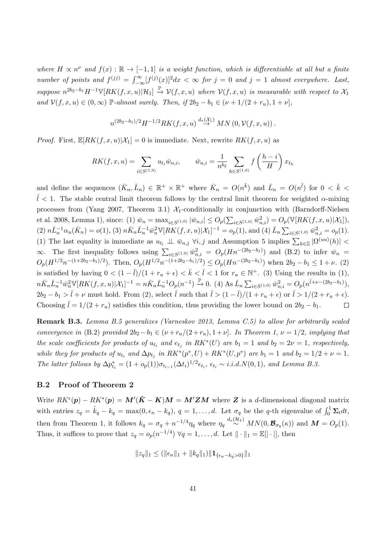where  $H \propto n^{\nu}$  and  $f(x): \mathbb{R} \to [-1,1]$  is a weight function, which is differentiable at all but a finite number of points and  $f^{(jj)} = \int_{-\infty}^{\infty} [f^{(j)}(x)]^2 dx < \infty$  for  $j = 0$  and  $j = 1$  almost everywhere. Last, suppose  $n^{2b_2-b_1}H^{-1}\mathbb{V}[RK(f,x,u)|\mathcal{H}_1] \stackrel{\mathbb{P}}{\rightarrow} \mathcal{V}(f,x,u)$  where  $\mathcal{V}(f,x,u)$  is measurable with respect to  $\mathcal{X}_1$ and  $\mathcal{V}(f, x, u) \in (0, \infty)$  P-almost surely. Then, if  $2b_2 - b_1 \in (\nu + 1/(2 + r_u), 1 + \nu],$ 

$$
n^{(2b_2-b_1)/2}H^{-1/2}RK(f, x, u) \stackrel{d_s(\mathcal{X}_1)}{\rightarrow} MN(0, \mathcal{V}(f, x, u)).
$$

*Proof.* First,  $\mathbb{E}[RK(f, x, u)|X_1] = 0$  is immediate. Next, rewrite  $RK(f, x, u)$  as

$$
RK(f, x, u) = \sum_{i \in S^{(1,0)}} u_{t_i} \bar{w}_{n,i}, \qquad \bar{w}_{n,i} = \frac{1}{n^{b_2}} \sum_{h \in S^{(1,0)}} f\left(\frac{h-i}{H}\right) x_{t_h}
$$

and define the sequences  $(\bar{K}_n, \bar{L}_n) \in \mathbb{R}^+ \times \mathbb{R}^+$  where  $\bar{K}_n = O(n^{\bar{k}})$  and  $\bar{L}_n = O(n^{\bar{l}})$  for  $0 < \bar{k} <$  $\overline{l}$  < 1. The stable central limit theorem follows by the central limit theorem for weighted  $\alpha$ -mixing processes from (Yang 2007, Theorem 3.1)  $\mathcal{X}_1$ -conditionally in conjunction with (Barndorff-Nielsen et al. 2008, Lemma 1), since: (1)  $\bar{w}_n = \max_{i \in S^{(1,0)}} |\bar{w}_{n,i}| \leq O_p(\sum_{i \in S^{(1,0)}} \bar{w}_{n,i}^2) = O_p(\mathbb{V}[RK(f, x, u)|X_1]),$  $(2) n\bar{L}_n^{-1} \alpha_u(\bar{K}_n) = o(1), (3) n\bar{K}_n\bar{L}_n^{-1}\bar{w}_n^2 \mathbb{V}[RK(f, x, u)|X_1]^{-1} = o_p(1), \text{and (4) } \bar{L}_n \sum_{i \in S^{(1, 0)}} \bar{w}_{n,i}^2 = o_p(1).$ (1) The last equality is immediate as  $u_{t_i} \perp \!\!\! \perp \bar w_{n,j} \forall i,j$  and Assumption 5 implies  $\sum_{h \in \mathbb{Z}} |\Omega^{(uu)}(h)| <$ ∞. The first inequality follows using  $\sum_{i \in S(1,0)} \bar{w}_{n,i}^2 = O_p(Hn^{-(2b_2-b_1)})$  and (B.2) to infer  $\bar{w}_n =$  $O_p(H^{1/2}n^{-(1+2b_2-b_1)/2})$ . Then,  $O_p(H^{1/2}n^{-(1+2b_2-b_1)/2}) \leq O_p(Hn^{-(2b_2-b_1)})$  when  $2b_2 - b_1 \leq 1 + \nu$ . (2) is satisfied by having  $0 < (1 - \overline{l})/(1 + r_u + \epsilon) < \overline{k} < \overline{l} < 1$  for  $r_u \in \mathbb{N}^+$ . (3) Using the results in (1),  $n\bar{K}_n\bar{L}_n^{-1}\bar{w}_n^2\mathbb{V}[RK(f, x, u)|X_1]^{-1} = n\bar{K}_n\bar{L}_n^{-1}O_p(n^{-1}) \xrightarrow{\mathbb{P}} 0.$  (4) As  $\bar{L}_n\sum_{i \in S^{(1, 0)}} \bar{w}_{n,i}^2 = O_p(n^{\bar{l}+\nu-(2b_2-b_1)}),$  $2b_2 - b_1 > \bar{l} + \nu$  must hold. From (2), select  $\bar{l}$  such that  $\bar{l} > (1 - \bar{l})/(1 + r_u + \epsilon)$  or  $\bar{l} > 1/(2 + r_u + \epsilon)$ . Choosing  $\bar{l} = 1/(2 + r_u)$  satisfies this condition, thus providing the lower bound on  $2b_2 - b_1$ .  $\Box$ 

Remark B.3. Lemma B.5 generalizes (Varneskov 2013, Lemma C.5) to allow for arbitrarily scaled convergence in (B.2) provided  $2b_2 - b_1 \in (\nu + r_u/(2 + r_u), 1 + \nu]$ . In Theorem 1,  $\nu = 1/2$ , implying that the scale coefficients for products of  $u_{t_i}$  and  $e_{t_j}$  in  $RK^*(U)$  are  $b_1 = 1$  and  $b_2 = 2\nu = 1$ , respectively, while they for products of  $u_{t_i}$  and  $\Delta p_{t_j}$  in  $RK^*(p^*, U) + RK^*(U, p^*)$  are  $b_1 = 1$  and  $b_2 = 1/2 + \nu = 1$ . The latter follows by  $\Delta p_{t_i}^* = (1 + o_p(1))\sigma_{t_{i-1}}(\Delta t_i)^{1/2} \epsilon_{t_i}, \epsilon_{t_i} \sim i.i.d.N(0,1),$  and Lemma B.3.

#### B.2 Proof of Theorem 2

Write  $RK^{\epsilon}(p) - RK^*(p) = M'(\hat{K} - K)M = M'ZM$  where Z is a d-dimensional diagonal matrix with entries  $z_q = \hat{k}_q - k_q = \max(0, \epsilon_n - k_q)$ ,  $q = 1, \ldots, d$ . Let  $\sigma_q$  be the q-th eigenvalue of  $\int_0^1 \Sigma_t dt$ , then from Theorem 1, it follows  $k_q = \sigma_q + n^{-1/4} \eta_q$  where  $\eta_q \stackrel{d_s(\mathcal{H}_1)}{\sim} MN(0, \mathcal{B}_{\sigma_q}(\kappa))$  and  $\mathbf{M} = O_p(1)$ . Thus, it suffices to prove that  $z_q = o_p(n^{-1/4}) \ \forall q = 1, \ldots, d$ . Let  $\|\cdot\|_1 = \mathbb{E}[\|\cdot\|]$ , then

$$
||z_q||_1 \le (||\epsilon_n||_1 + ||k_q||_1) ||\mathbf{1}_{\{\epsilon_n - k_q > 0\}}||_1
$$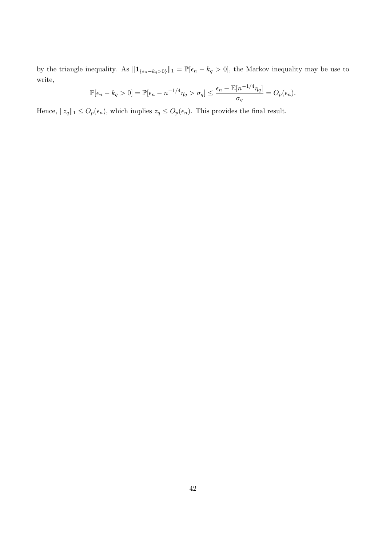by the triangle inequality. As  $||\mathbf{1}_{\{\epsilon_n-k_q>0\}}||_1 = \mathbb{P}[\epsilon_n-k_q>0]$ , the Markov inequality may be use to write,

$$
\mathbb{P}[\epsilon_n - k_q > 0] = \mathbb{P}[\epsilon_n - n^{-1/4}\eta_q > \sigma_q] \le \frac{\epsilon_n - \mathbb{E}[n^{-1/4}\eta_q]}{\sigma_q} = O_p(\epsilon_n).
$$

Hence,  $||z_q||_1 \leq O_p(\epsilon_n)$ , which implies  $z_q \leq O_p(\epsilon_n)$ . This provides the final result.